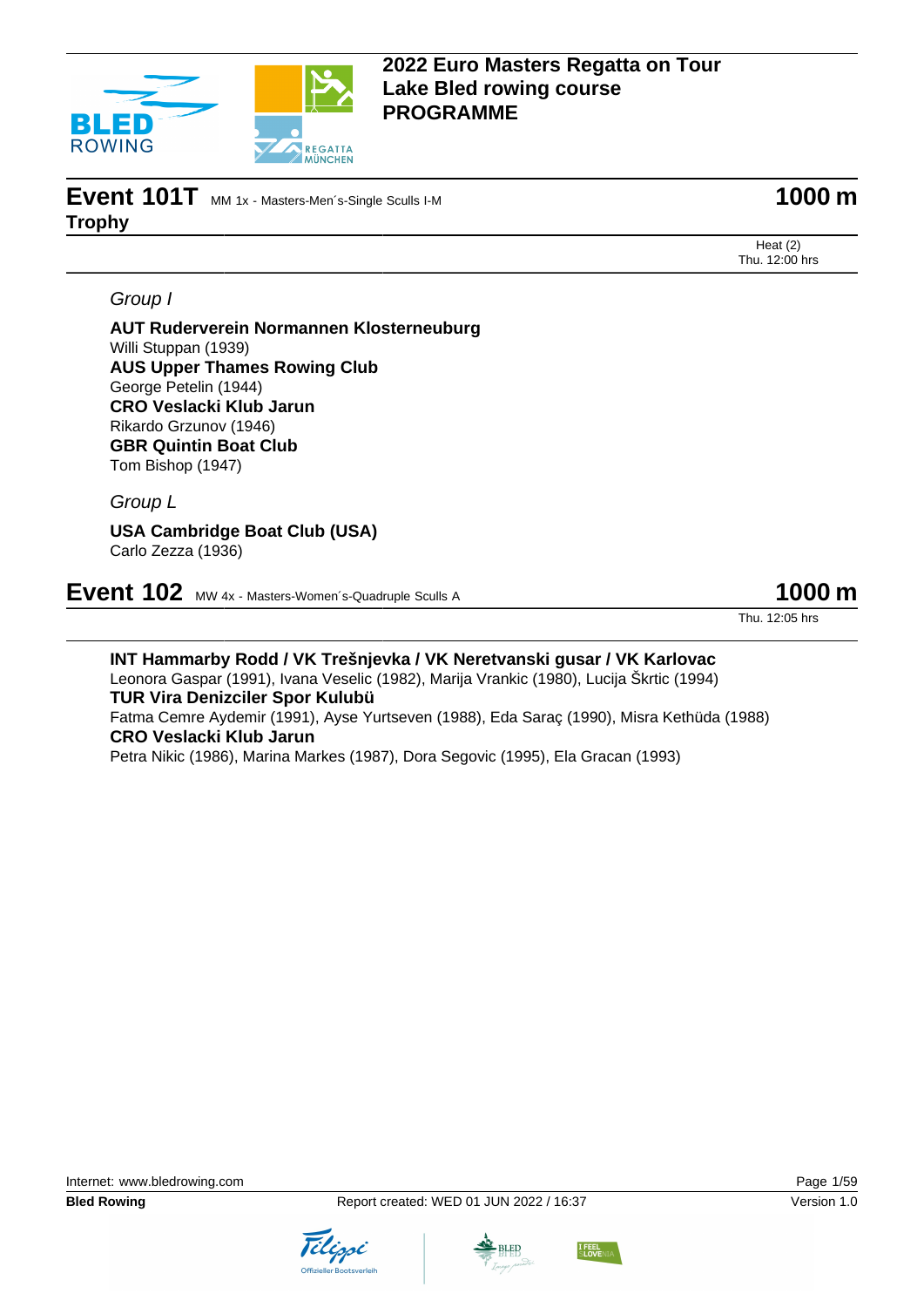

# **Event 101T** MM 1x - Masters-Men's-Single Sculls I-M **1000 m Trophy**

Heat (2) Thu. 12:00 hrs

### Group I

**AUT Ruderverein Normannen Klosterneuburg** Willi Stuppan (1939) **AUS Upper Thames Rowing Club** George Petelin (1944) **CRO Veslacki Klub Jarun** Rikardo Grzunov (1946) **GBR Quintin Boat Club** Tom Bishop (1947)

Group L

**USA Cambridge Boat Club (USA)** Carlo Zezza (1936)

**Event 102** MW 4x - Masters-Women's-Quadruple Sculls A **1000 m** 

Thu. 12:05 hrs

**INT Hammarby Rodd / VK Trešnjevka / VK Neretvanski gusar / VK Karlovac** Leonora Gaspar (1991), Ivana Veselic (1982), Marija Vrankic (1980), Lucija Škrtic (1994) **TUR Vira Denizciler Spor Kulubü** Fatma Cemre Aydemir (1991), Ayse Yurtseven (1988), Eda Saraç (1990), Misra Kethüda (1988) **CRO Veslacki Klub Jarun** Petra Nikic (1986), Marina Markes (1987), Dora Segovic (1995), Ela Gracan (1993)





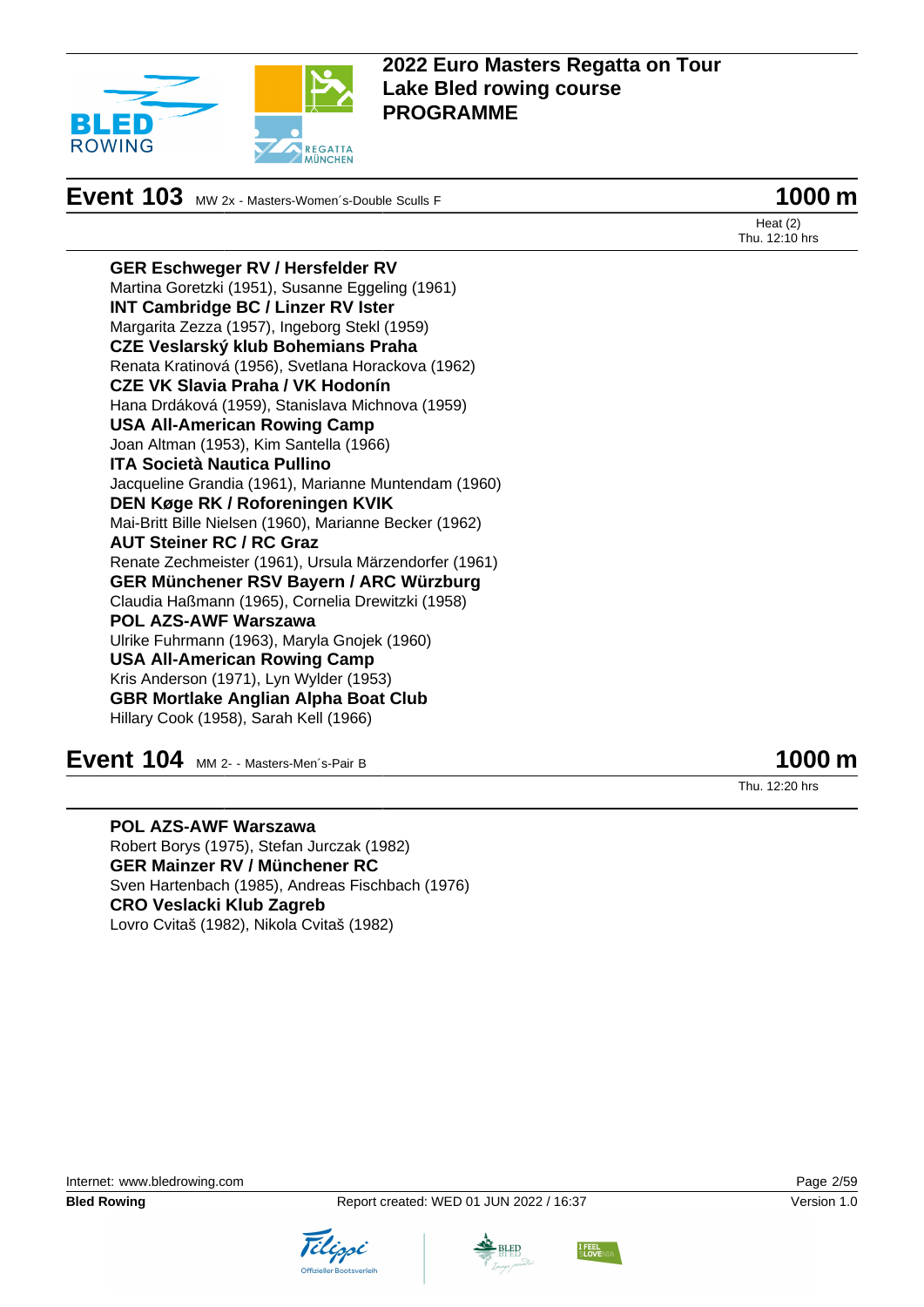

# **Event 103** MW 2x - Masters-Women's-Double Sculls F **1000 m**

Heat (2) Thu. 12:10 hrs

**GER Eschweger RV / Hersfelder RV** Martina Goretzki (1951), Susanne Eggeling (1961) **INT Cambridge BC / Linzer RV Ister** Margarita Zezza (1957), Ingeborg Stekl (1959) **CZE Veslarský klub Bohemians Praha** Renata Kratinová (1956), Svetlana Horackova (1962) **CZE VK Slavia Praha / VK Hodonín** Hana Drdáková (1959), Stanislava Michnova (1959) **USA All-American Rowing Camp** Joan Altman (1953), Kim Santella (1966) **ITA Società Nautica Pullino** Jacqueline Grandia (1961), Marianne Muntendam (1960) **DEN Køge RK / Roforeningen KVIK** Mai-Britt Bille Nielsen (1960), Marianne Becker (1962) **AUT Steiner RC / RC Graz** Renate Zechmeister (1961), Ursula Märzendorfer (1961) **GER Münchener RSV Bayern / ARC Würzburg** Claudia Haßmann (1965), Cornelia Drewitzki (1958) **POL AZS-AWF Warszawa** Ulrike Fuhrmann (1963), Maryla Gnojek (1960) **USA All-American Rowing Camp** Kris Anderson (1971), Lyn Wylder (1953) **GBR Mortlake Anglian Alpha Boat Club** Hillary Cook (1958), Sarah Kell (1966)

**Event 104** MM 2- - Masters-Men's-Pair B **1000 m** 

Thu. 12:20 hrs

**POL AZS-AWF Warszawa** Robert Borys (1975), Stefan Jurczak (1982) **GER Mainzer RV / Münchener RC** Sven Hartenbach (1985), Andreas Fischbach (1976) **CRO Veslacki Klub Zagreb** Lovro Cvitaš (1982), Nikola Cvitaš (1982)







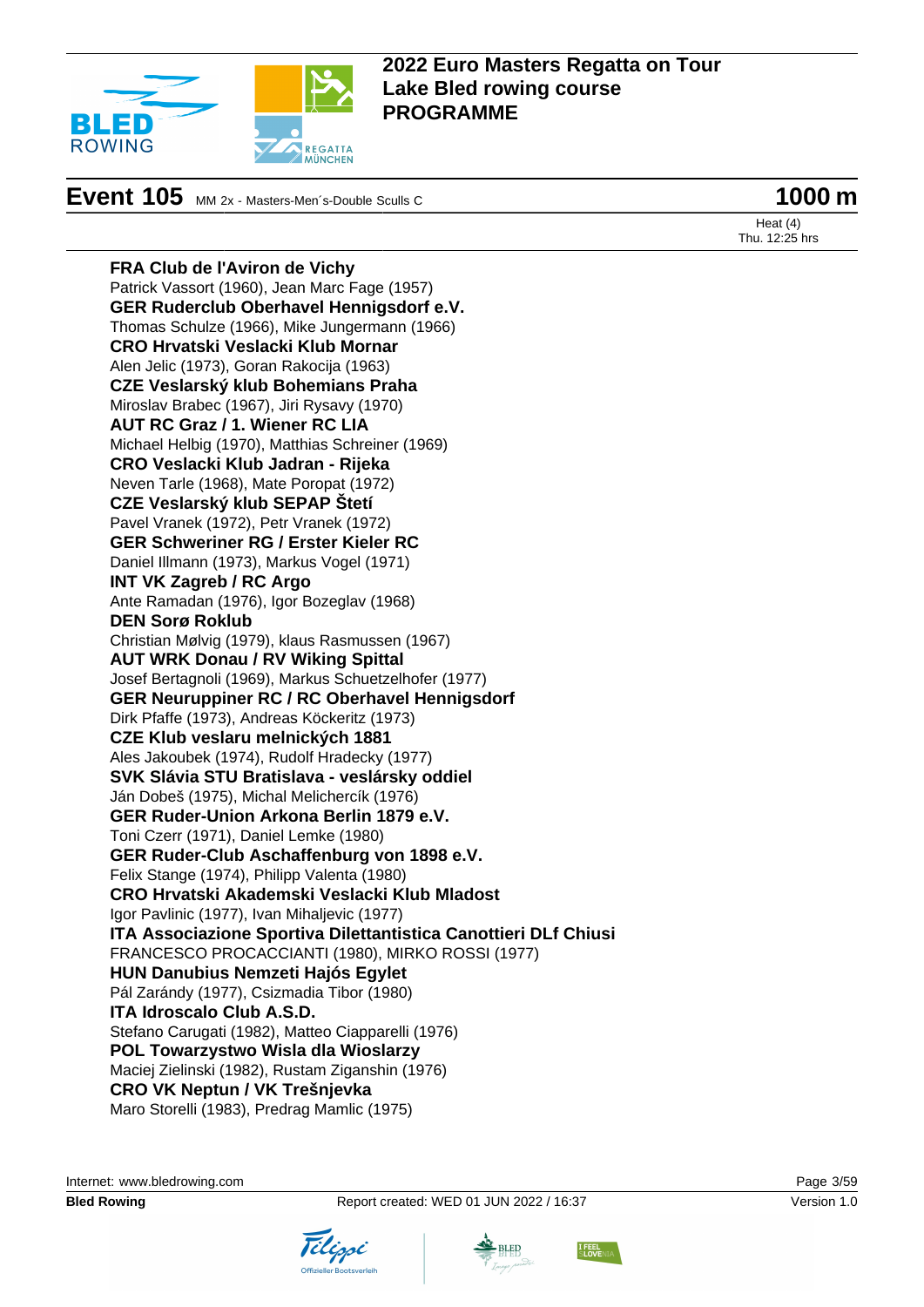

# **Event 105** MM 2x - Masters-Men's-Double Sculls C **1000 m**

**FRA Club de l'Aviron de Vichy**

Heat (4) Thu. 12:25 hrs

Patrick Vassort (1960), Jean Marc Fage (1957) **GER Ruderclub Oberhavel Hennigsdorf e.V.** Thomas Schulze (1966), Mike Jungermann (1966) **CRO Hrvatski Veslacki Klub Mornar** Alen Jelic (1973), Goran Rakocija (1963) **CZE Veslarský klub Bohemians Praha** Miroslav Brabec (1967), Jiri Rysavy (1970) **AUT RC Graz / 1. Wiener RC LIA** Michael Helbig (1970), Matthias Schreiner (1969) **CRO Veslacki Klub Jadran - Rijeka** Neven Tarle (1968), Mate Poropat (1972) **CZE Veslarský klub SEPAP Štetí** Pavel Vranek (1972), Petr Vranek (1972) **GER Schweriner RG / Erster Kieler RC** Daniel Illmann (1973), Markus Vogel (1971) **INT VK Zagreb / RC Argo** Ante Ramadan (1976), Igor Bozeglav (1968) **DEN Sorø Roklub** Christian Mølvig (1979), klaus Rasmussen (1967) **AUT WRK Donau / RV Wiking Spittal** Josef Bertagnoli (1969), Markus Schuetzelhofer (1977) **GER Neuruppiner RC / RC Oberhavel Hennigsdorf** Dirk Pfaffe (1973), Andreas Köckeritz (1973) **CZE Klub veslaru melnických 1881** Ales Jakoubek (1974), Rudolf Hradecky (1977) **SVK Slávia STU Bratislava - veslársky oddiel** Ján Dobeš (1975), Michal Melichercík (1976) **GER Ruder-Union Arkona Berlin 1879 e.V.** Toni Czerr (1971), Daniel Lemke (1980) **GER Ruder-Club Aschaffenburg von 1898 e.V.** Felix Stange (1974), Philipp Valenta (1980) **CRO Hrvatski Akademski Veslacki Klub Mladost** Igor Pavlinic (1977), Ivan Mihaljevic (1977) **ITA Associazione Sportiva Dilettantistica Canottieri DLf Chiusi** FRANCESCO PROCACCIANTI (1980), MIRKO ROSSI (1977) **HUN Danubius Nemzeti Hajós Egylet** Pál Zarándy (1977), Csizmadia Tibor (1980) **ITA Idroscalo Club A.S.D.** Stefano Carugati (1982), Matteo Ciapparelli (1976) **POL Towarzystwo Wisla dla Wioslarzy** Maciej Zielinski (1982), Rustam Ziganshin (1976) **CRO VK Neptun / VK Trešnjevka** Maro Storelli (1983), Predrag Mamlic (1975)

Internet: [www.bledrowing.com](http://www.bledrowing.com) Page 3/59



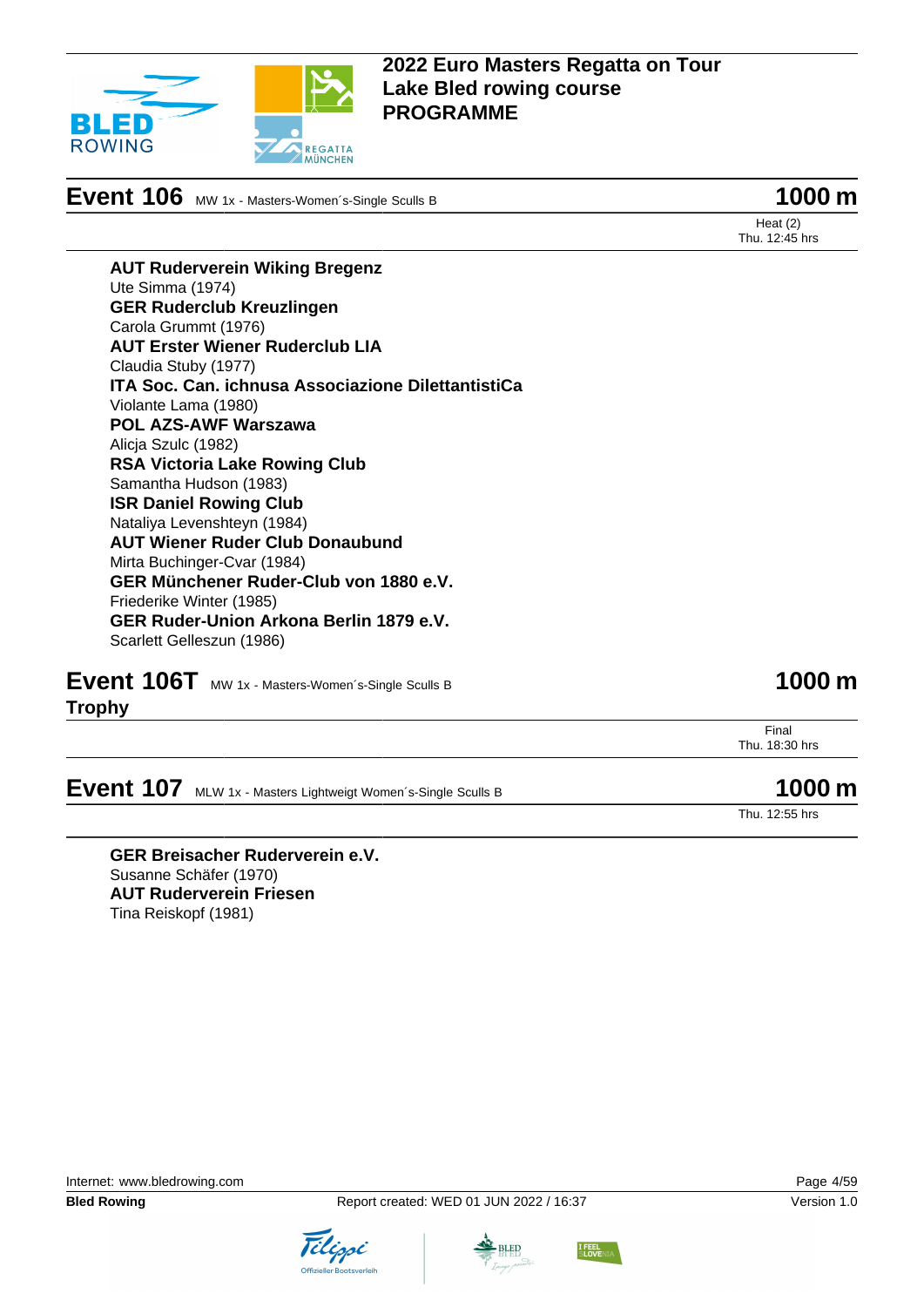

**Event 106** MW 1x - Masters-Women's-Single Sculls B **1000 m** 

Heat (2) Thu. 12:45 hrs

**AUT Ruderverein Wiking Bregenz** Ute Simma (1974) **GER Ruderclub Kreuzlingen** Carola Grummt (1976) **AUT Erster Wiener Ruderclub LIA** Claudia Stuby (1977) **ITA Soc. Can. ichnusa Associazione DilettantistiCa** Violante Lama (1980) **POL AZS-AWF Warszawa** Alicja Szulc (1982) **RSA Victoria Lake Rowing Club** Samantha Hudson (1983) **ISR Daniel Rowing Club** Nataliya Levenshteyn (1984) **AUT Wiener Ruder Club Donaubund** Mirta Buchinger-Cvar (1984) **GER Münchener Ruder-Club von 1880 e.V.** Friederike Winter (1985) **GER Ruder-Union Arkona Berlin 1879 e.V.** Scarlett Gelleszun (1986)

**Event 106T** MW 1x - Masters-Women's-Single Sculls B **1000 m Trophy**

> Final Thu. 18:30 hrs

**Event 107** MLW 1x - Masters Lightweigt Women's-Single Sculls B **1000 m** 

Thu. 12:55 hrs

**GER Breisacher Ruderverein e.V.** Susanne Schäfer (1970) **AUT Ruderverein Friesen** Tina Reiskopf (1981)

Internet: [www.bledrowing.com](http://www.bledrowing.com) Page 4/59





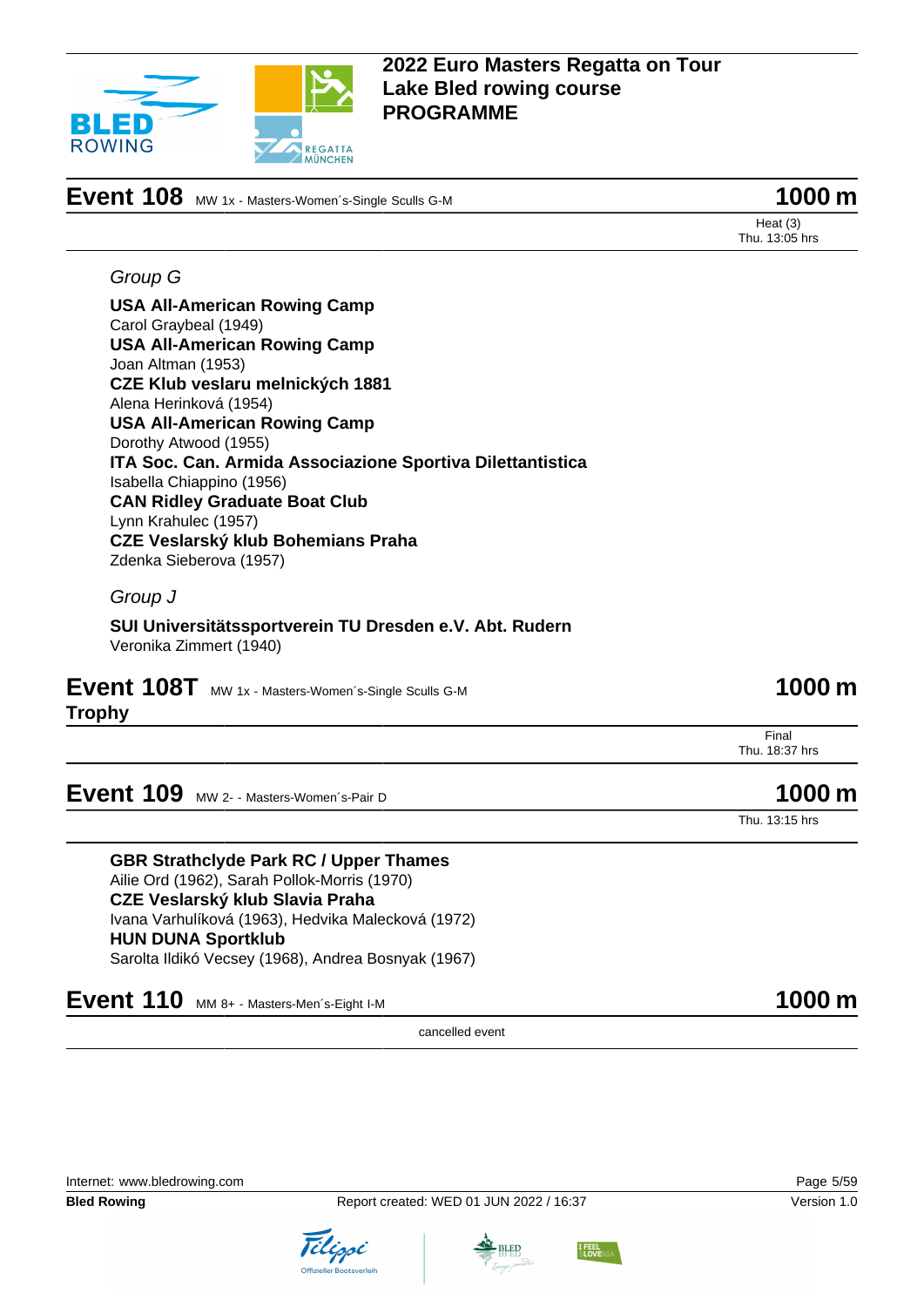

# **Event 108** MW 1x - Masters-Women's-Single Sculls G-M **1000 m** 1000 m

Heat (3) Thu. 13:05 hrs

#### Group G

**USA All-American Rowing Camp** Carol Graybeal (1949) **USA All-American Rowing Camp** Joan Altman (1953) **CZE Klub veslaru melnických 1881** Alena Herinková (1954) **USA All-American Rowing Camp** Dorothy Atwood (1955) **ITA Soc. Can. Armida Associazione Sportiva Dilettantistica** Isabella Chiappino (1956) **CAN Ridley Graduate Boat Club** Lynn Krahulec (1957) **CZE Veslarský klub Bohemians Praha** Zdenka Sieberova (1957)

### Group J

#### **SUI Universitätssportverein TU Dresden e.V. Abt. Rudern** Veronika Zimmert (1940)

**Event 108T** MW 1x - Masters-Women's-Single Sculls G-M **1000 m Trophy**

Final Thu. 18:37 hrs

**Event 109** MW 2- - Masters-Women's-Pair D **1000 m** 

Thu. 13:15 hrs

**GBR Strathclyde Park RC / Upper Thames** Ailie Ord (1962), Sarah Pollok-Morris (1970) **CZE Veslarský klub Slavia Praha** Ivana Varhulíková (1963), Hedvika Malecková (1972) **HUN DUNA Sportklub** Sarolta Ildikó Vecsey (1968), Andrea Bosnyak (1967)

## **Event 110** MM 8+ - Masters-Men´s-Eight I-M **1000 m**

cancelled event





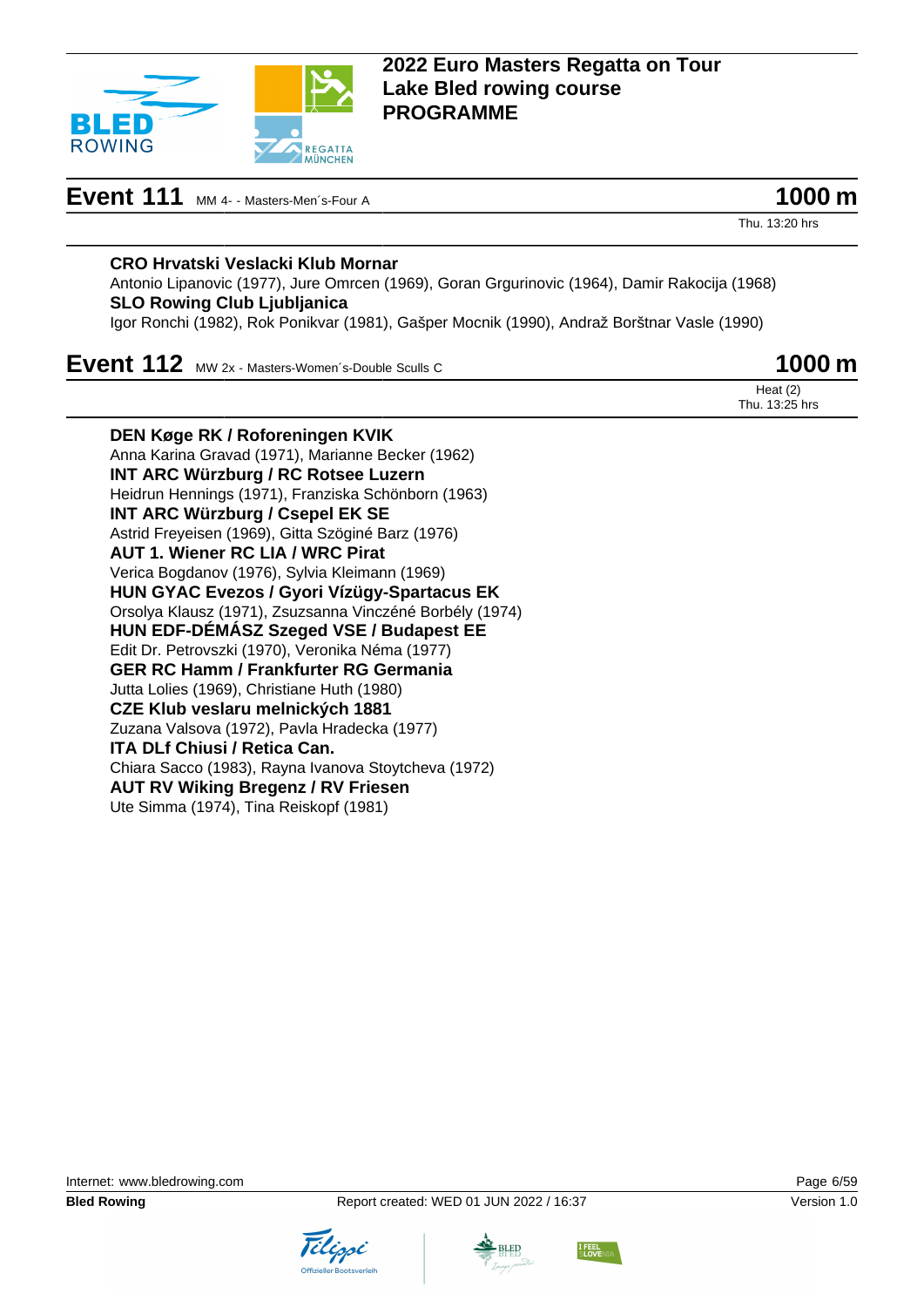

**Event 111** MM 4- - Masters-Men's-Four A **1000 m** 

Thu. 13:20 hrs

Heat (2) Thu. 13:25 hrs

#### **CRO Hrvatski Veslacki Klub Mornar**

Antonio Lipanovic (1977), Jure Omrcen (1969), Goran Grgurinovic (1964), Damir Rakocija (1968) **SLO Rowing Club Ljubljanica**

Igor Ronchi (1982), Rok Ponikvar (1981), Gašper Mocnik (1990), Andraž Borštnar Vasle (1990)

## **Event 112** MW 2x - Masters-Women's-Double Sculls C **1000 m**

**DEN Køge RK / Roforeningen KVIK** Anna Karina Gravad (1971), Marianne Becker (1962) **INT ARC Würzburg / RC Rotsee Luzern** Heidrun Hennings (1971), Franziska Schönborn (1963) **INT ARC Würzburg / Csepel EK SE** Astrid Freyeisen (1969), Gitta Szöginé Barz (1976) **AUT 1. Wiener RC LIA / WRC Pirat** Verica Bogdanov (1976), Sylvia Kleimann (1969) **HUN GYAC Evezos / Gyori Vízügy-Spartacus EK** Orsolya Klausz (1971), Zsuzsanna Vinczéné Borbély (1974) **HUN EDF-DÉMÁSZ Szeged VSE / Budapest EE** Edit Dr. Petrovszki (1970), Veronika Néma (1977) **GER RC Hamm / Frankfurter RG Germania** Jutta Lolies (1969), Christiane Huth (1980) **CZE Klub veslaru melnických 1881** Zuzana Valsova (1972), Pavla Hradecka (1977) **ITA DLf Chiusi / Retica Can.** Chiara Sacco (1983), Rayna Ivanova Stoytcheva (1972) **AUT RV Wiking Bregenz / RV Friesen** Ute Simma (1974), Tina Reiskopf (1981)

Internet: [www.bledrowing.com](http://www.bledrowing.com) Page 6/59







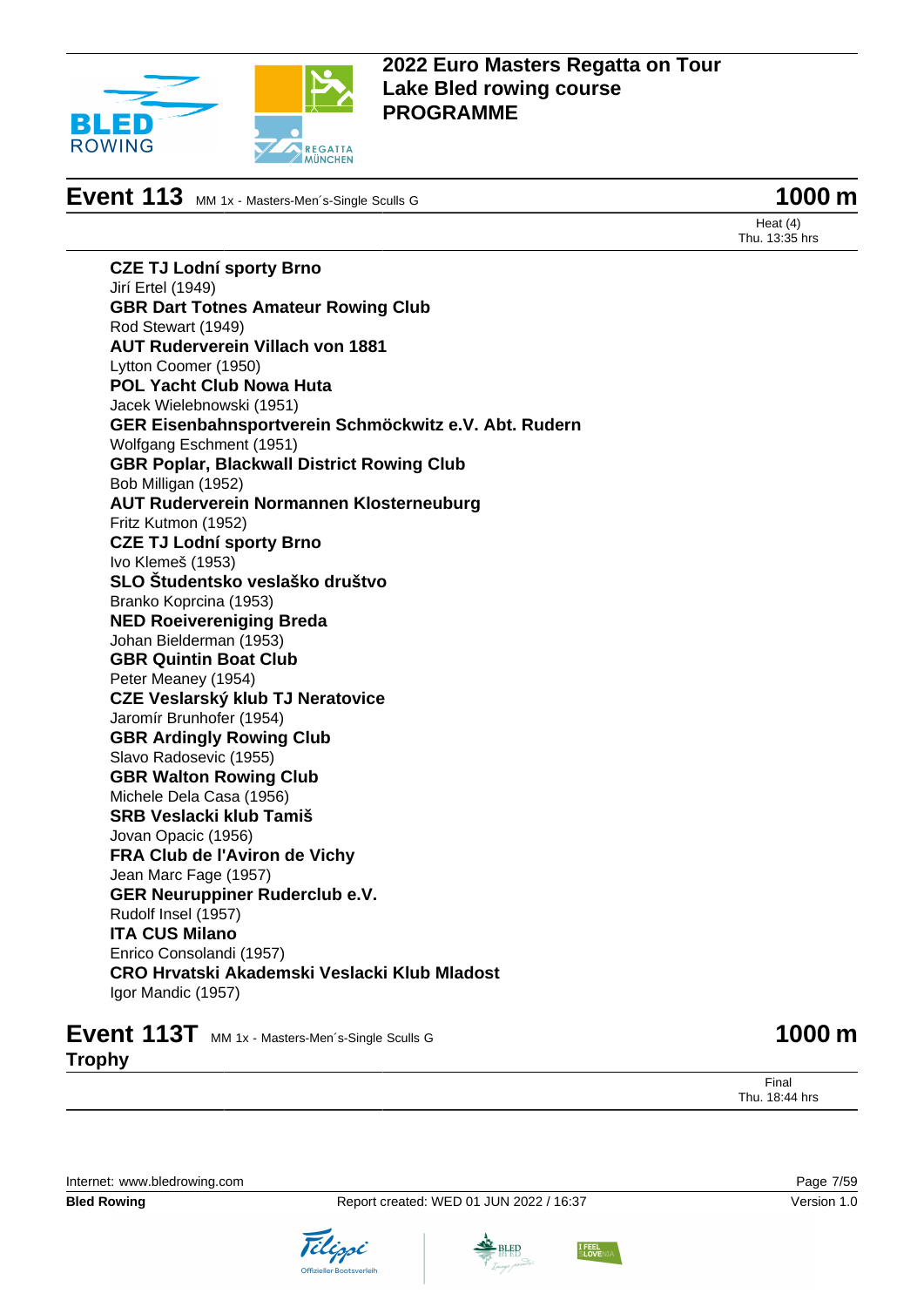

**Event 113** MM 1x - Masters-Men´s-Single Sculls G **1000 m** 

Heat (4) Thu. 13:35 hrs

**CZE TJ Lodní sporty Brno** Jirí Ertel (1949) **GBR Dart Totnes Amateur Rowing Club** Rod Stewart (1949) **AUT Ruderverein Villach von 1881** Lytton Coomer (1950) **POL Yacht Club Nowa Huta** Jacek Wielebnowski (1951) **GER Eisenbahnsportverein Schmöckwitz e.V. Abt. Rudern** Wolfgang Eschment (1951) **GBR Poplar, Blackwall District Rowing Club** Bob Milligan (1952) **AUT Ruderverein Normannen Klosterneuburg** Fritz Kutmon (1952) **CZE TJ Lodní sporty Brno** Ivo Klemeš (1953) **SLO Študentsko veslaško društvo** Branko Koprcina (1953) **NED Roeivereniging Breda** Johan Bielderman (1953) **GBR Quintin Boat Club** Peter Meaney (1954) **CZE Veslarský klub TJ Neratovice** Jaromír Brunhofer (1954) **GBR Ardingly Rowing Club** Slavo Radosevic (1955) **GBR Walton Rowing Club** Michele Dela Casa (1956) **SRB Veslacki klub Tamiš** Jovan Opacic (1956) **FRA Club de l'Aviron de Vichy** Jean Marc Fage (1957) **GER Neuruppiner Ruderclub e.V.** Rudolf Insel (1957) **ITA CUS Milano** Enrico Consolandi (1957) **CRO Hrvatski Akademski Veslacki Klub Mladost** Igor Mandic (1957)

## **Event 113T** MM 1x - Masters-Men's-Single Sculls G **1000 m Trophy**

Final Thu. 18:44 hrs

Internet: [www.bledrowing.com](http://www.bledrowing.com) Page 7/59





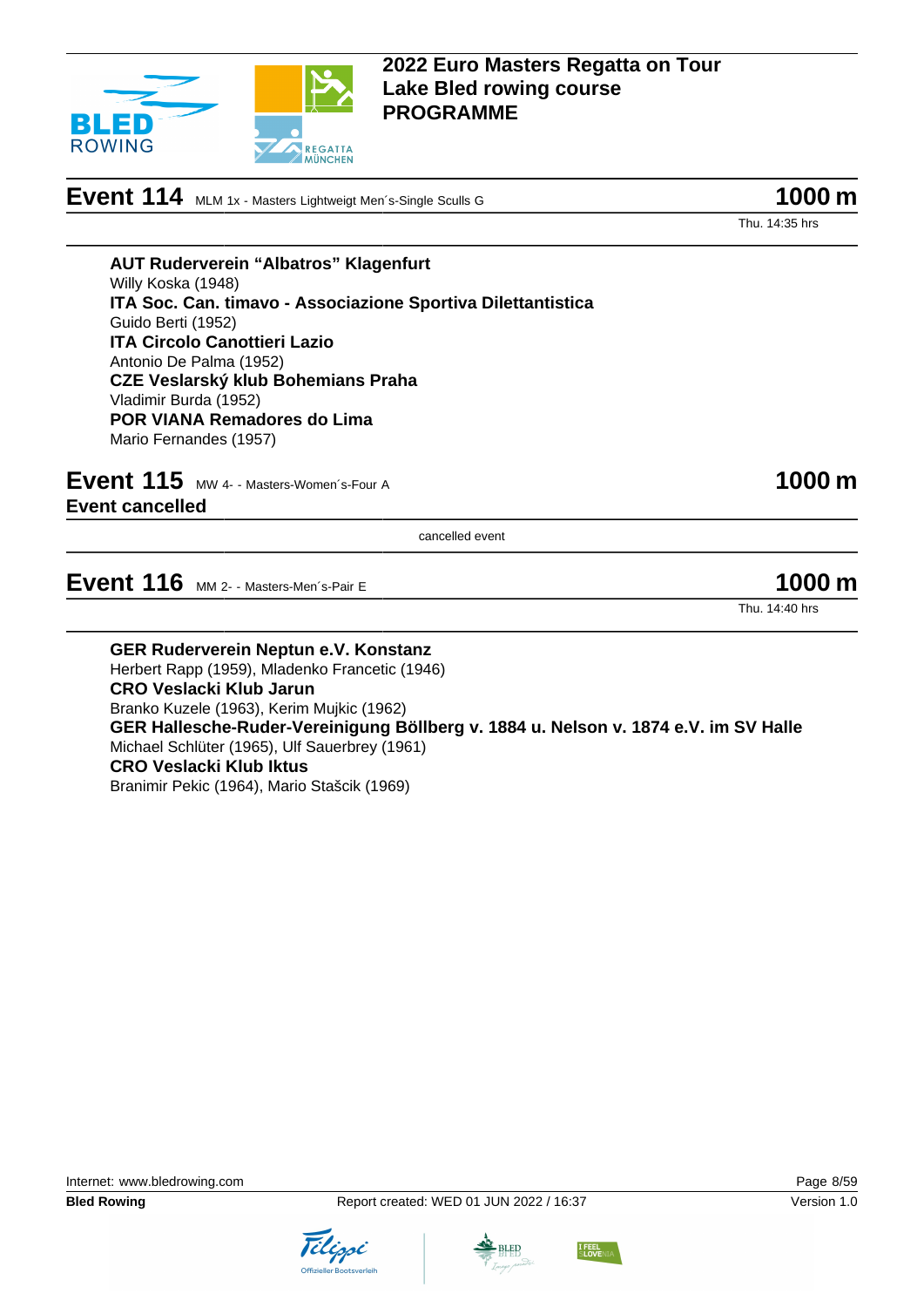

**Event 114** MLM 1x - Masters Lightweigt Men´s-Single Sculls G **1000 m** 

Thu. 14:35 hrs

**AUT Ruderverein "Albatros" Klagenfurt** Willy Koska (1948) **ITA Soc. Can. timavo - Associazione Sportiva Dilettantistica** Guido Berti (1952) **ITA Circolo Canottieri Lazio** Antonio De Palma (1952) **CZE Veslarský klub Bohemians Praha** Vladimir Burda (1952) **POR VIANA Remadores do Lima** Mario Fernandes (1957)

**Event 115** MW 4- - Masters-Women's-Four A **1000 m Event cancelled**

cancelled event

**Event 116** MM 2- - Masters-Men's-Pair E 1000 m

Thu. 14:40 hrs

**GER Ruderverein Neptun e.V. Konstanz** Herbert Rapp (1959), Mladenko Francetic (1946) **CRO Veslacki Klub Jarun** Branko Kuzele (1963), Kerim Mujkic (1962) **GER Hallesche-Ruder-Vereinigung Böllberg v. 1884 u. Nelson v. 1874 e.V. im SV Halle** Michael Schlüter (1965), Ulf Sauerbrey (1961) **CRO Veslacki Klub Iktus** Branimir Pekic (1964), Mario Stašcik (1969)





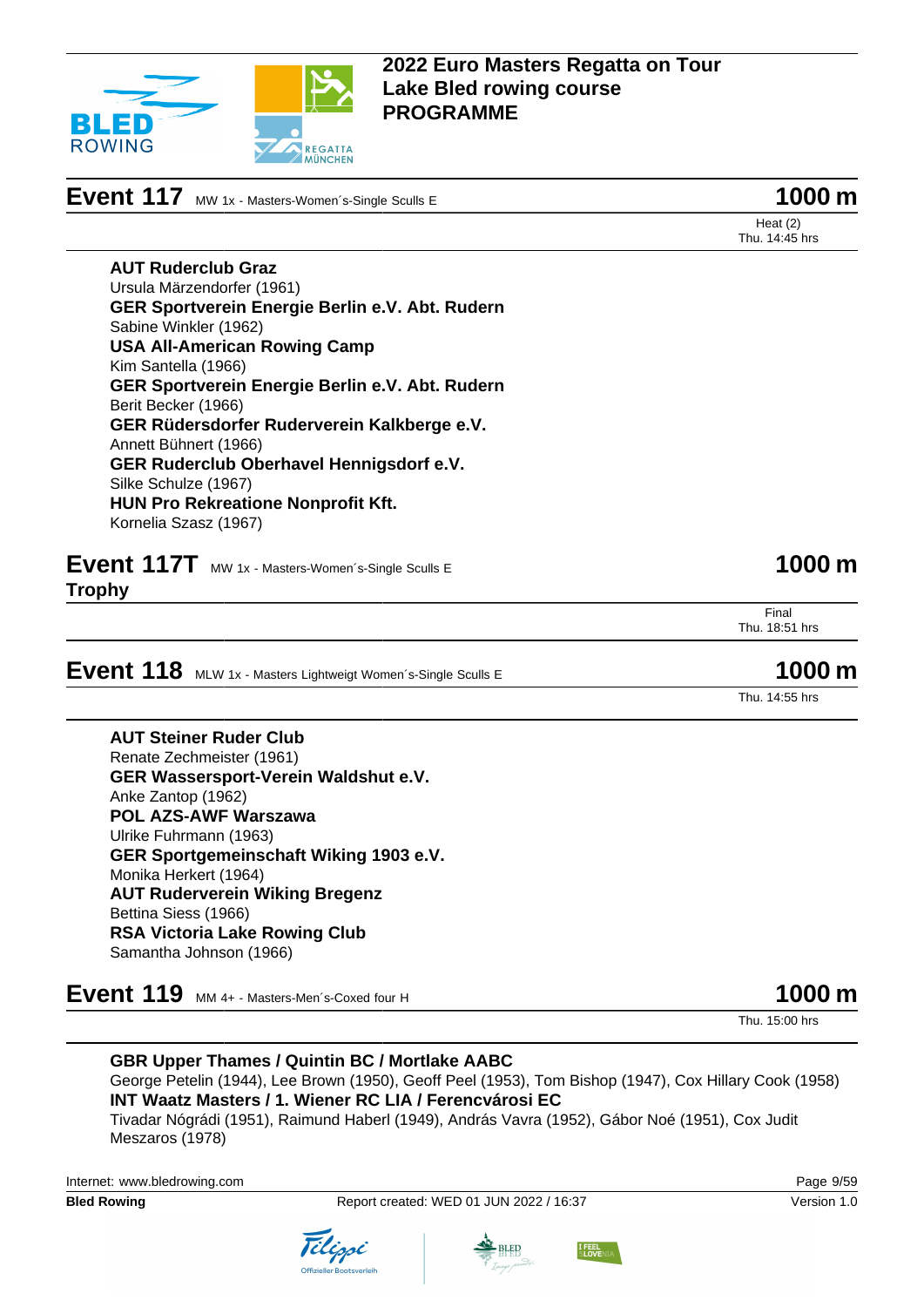

**Event 117** MW 1x - Masters-Women's-Single Sculls E **1000 m** 

Heat (2) Thu. 14:45 hrs

**AUT Ruderclub Graz** Ursula Märzendorfer (1961) **GER Sportverein Energie Berlin e.V. Abt. Rudern** Sabine Winkler (1962) **USA All-American Rowing Camp** Kim Santella (1966) **GER Sportverein Energie Berlin e.V. Abt. Rudern** Berit Becker (1966) **GER Rüdersdorfer Ruderverein Kalkberge e.V.** Annett Bühnert (1966) **GER Ruderclub Oberhavel Hennigsdorf e.V.** Silke Schulze (1967) **HUN Pro Rekreatione Nonprofit Kft.** Kornelia Szasz (1967)

- **Event 117T** MW 1x Masters-Women's-Single Sculls E **1000 m**
- **Trophy**

**Event 118** MLW 1x - Masters Lightweigt Women's-Single Sculls E **1000 m** 

**AUT Steiner Ruder Club** Renate Zechmeister (1961) **GER Wassersport-Verein Waldshut e.V.** Anke Zantop (1962) **POL AZS-AWF Warszawa** Ulrike Fuhrmann (1963) **GER Sportgemeinschaft Wiking 1903 e.V.** Monika Herkert (1964) **AUT Ruderverein Wiking Bregenz** Bettina Siess (1966) **RSA Victoria Lake Rowing Club** Samantha Johnson (1966)

# **Event 119** MM 4+ - Masters-Men´s-Coxed four H **1000 m**

**GBR Upper Thames / Quintin BC / Mortlake AABC** George Petelin (1944), Lee Brown (1950), Geoff Peel (1953), Tom Bishop (1947), Cox Hillary Cook (1958) **INT Waatz Masters / 1. Wiener RC LIA / Ferencvárosi EC** Tivadar Nógrádi (1951), Raimund Haberl (1949), András Vavra (1952), Gábor Noé (1951), Cox Judit Meszaros (1978)

Internet: [www.bledrowing.com](http://www.bledrowing.com) Page 9/59



Final

Thu. 14:55 hrs

Thu. 18:51 hrs

Thu. 15:00 hrs







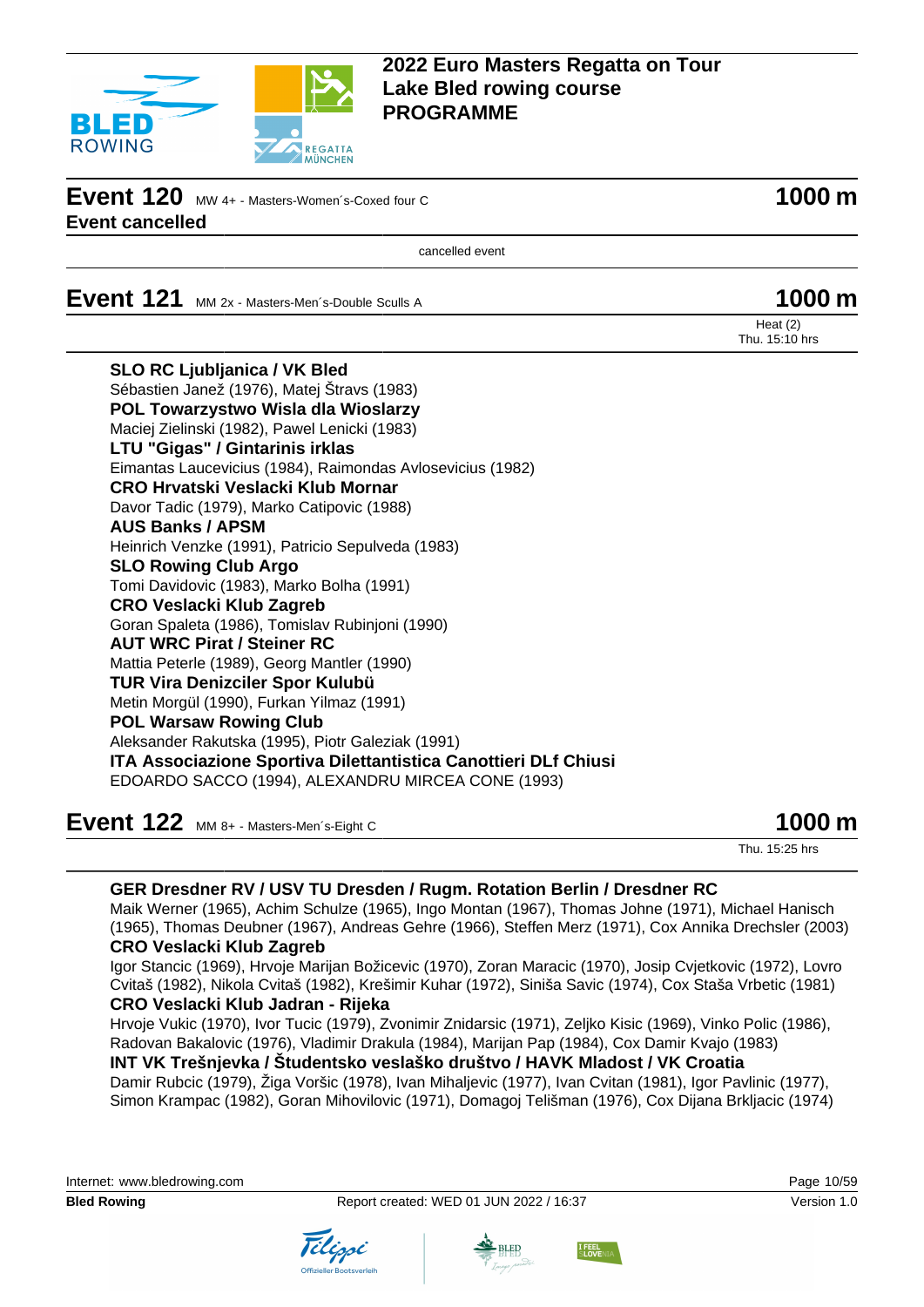

**Event 120** MW 4+ - Masters-Women's-Coxed four C **1000 m Event cancelled**

cancelled event

**Event 121** MM 2x - Masters-Men's-Double Sculls A **1000 m** 

# Heat (2)

Thu. 15:10 hrs

| <b>SLO RC Ljubljanica / VK Bled</b>                             |
|-----------------------------------------------------------------|
| Sébastien Janež (1976), Matej Štravs (1983)                     |
| POL Towarzystwo Wisla dla Wioslarzy                             |
| Maciej Zielinski (1982), Pawel Lenicki (1983)                   |
| LTU "Gigas" / Gintarinis irklas                                 |
| Eimantas Laucevicius (1984), Raimondas Avlosevicius (1982)      |
| CRO Hrvatski Veslacki Klub Mornar                               |
| Davor Tadic (1979), Marko Catipovic (1988)                      |
| <b>AUS Banks / APSM</b>                                         |
| Heinrich Venzke (1991), Patricio Sepulveda (1983)               |
| <b>SLO Rowing Club Argo</b>                                     |
| Tomi Davidovic (1983), Marko Bolha (1991)                       |
| <b>CRO Veslacki Klub Zagreb</b>                                 |
| Goran Spaleta (1986), Tomislav Rubinjoni (1990)                 |
| <b>AUT WRC Pirat / Steiner RC</b>                               |
| Mattia Peterle (1989), Georg Mantler (1990)                     |
| <b>TUR Vira Denizciler Spor Kulubü</b>                          |
| Metin Morgül (1990), Furkan Yilmaz (1991)                       |
| <b>POL Warsaw Rowing Club</b>                                   |
| Aleksander Rakutska (1995), Piotr Galeziak (1991)               |
| ITA Associazione Sportiva Dilettantistica Canottieri DLf Chiusi |
| EDOARDO SACCO (1994), ALEXANDRU MIRCEA CONE (1993)              |
|                                                                 |

**Event 122** MM 8+ - Masters-Men´s-Eight C **1000 m** 

Thu. 15:25 hrs

#### **GER Dresdner RV / USV TU Dresden / Rugm. Rotation Berlin / Dresdner RC**

Maik Werner (1965), Achim Schulze (1965), Ingo Montan (1967), Thomas Johne (1971), Michael Hanisch (1965), Thomas Deubner (1967), Andreas Gehre (1966), Steffen Merz (1971), Cox Annika Drechsler (2003) **CRO Veslacki Klub Zagreb**

Igor Stancic (1969), Hrvoje Marijan Božicevic (1970), Zoran Maracic (1970), Josip Cvjetkovic (1972), Lovro Cvitaš (1982), Nikola Cvitaš (1982), Krešimir Kuhar (1972), Siniša Savic (1974), Cox Staša Vrbetic (1981) **CRO Veslacki Klub Jadran - Rijeka**

Hrvoje Vukic (1970), Ivor Tucic (1979), Zvonimir Znidarsic (1971), Zeljko Kisic (1969), Vinko Polic (1986), Radovan Bakalovic (1976), Vladimir Drakula (1984), Marijan Pap (1984), Cox Damir Kvajo (1983)

**INT VK Trešnjevka / Študentsko veslaško društvo / HAVK Mladost / VK Croatia** Damir Rubcic (1979), Žiga Voršic (1978), Ivan Mihaljevic (1977), Ivan Cvitan (1981), Igor Pavlinic (1977), Simon Krampac (1982), Goran Mihovilovic (1971), Domagoj Telišman (1976), Cox Dijana Brkljacic (1974)

Internet: [www.bledrowing.com](http://www.bledrowing.com) Page 10/59





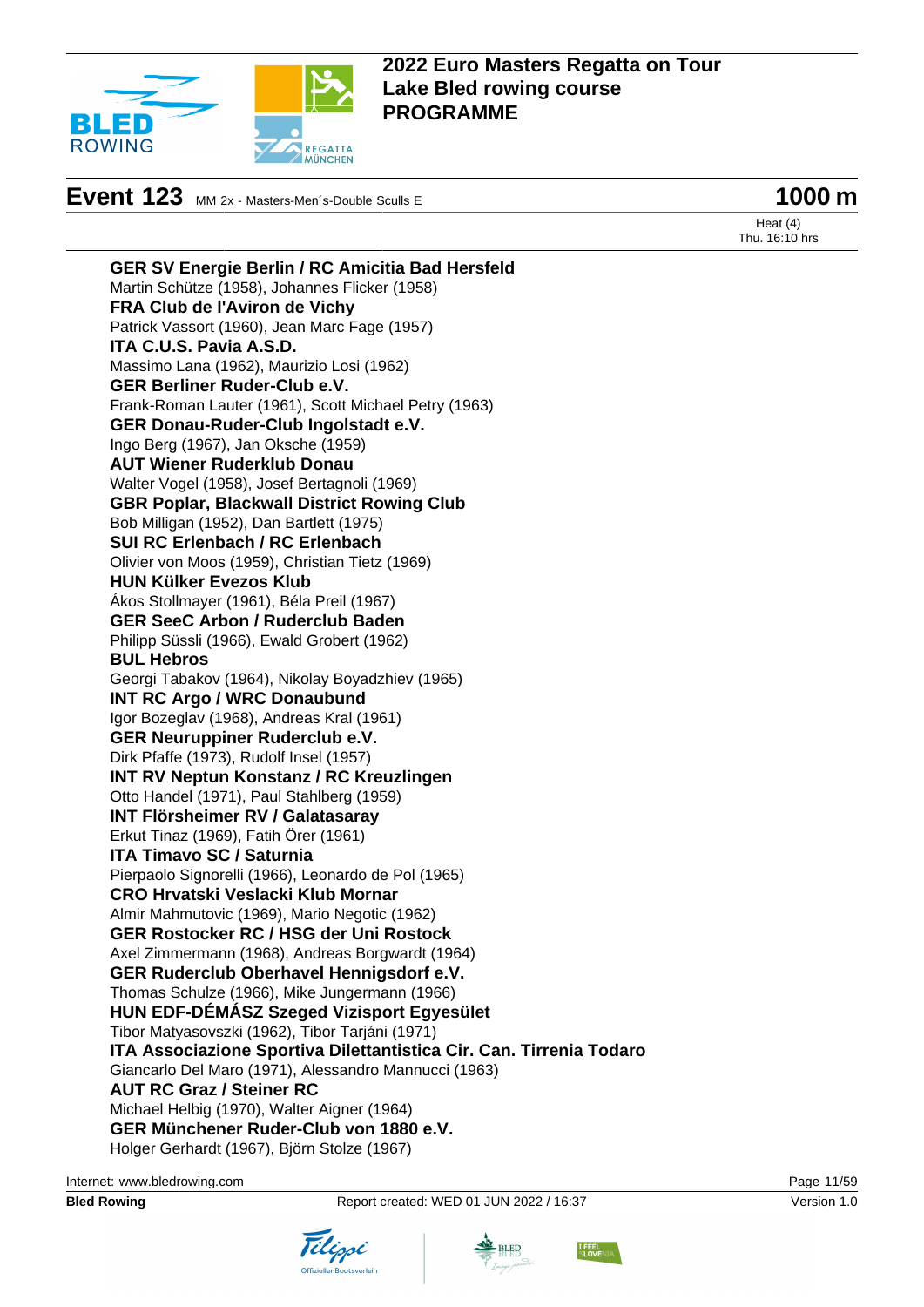

**Event 123** MM 2x - Masters-Men's-Double Sculls E **1000 m** 



Heat (4) Thu. 16:10 hrs

**GER SV Energie Berlin / RC Amicitia Bad Hersfeld** Martin Schütze (1958), Johannes Flicker (1958) **FRA Club de l'Aviron de Vichy** Patrick Vassort (1960), Jean Marc Fage (1957) **ITA C.U.S. Pavia A.S.D.** Massimo Lana (1962), Maurizio Losi (1962) **GER Berliner Ruder-Club e.V.** Frank-Roman Lauter (1961), Scott Michael Petry (1963) **GER Donau-Ruder-Club Ingolstadt e.V.** Ingo Berg (1967), Jan Oksche (1959) **AUT Wiener Ruderklub Donau** Walter Vogel (1958), Josef Bertagnoli (1969) **GBR Poplar, Blackwall District Rowing Club** Bob Milligan (1952), Dan Bartlett (1975) **SUI RC Erlenbach / RC Erlenbach** Olivier von Moos (1959), Christian Tietz (1969) **HUN Külker Evezos Klub** Ákos Stollmayer (1961), Béla Preil (1967) **GER SeeC Arbon / Ruderclub Baden** Philipp Süssli (1966), Ewald Grobert (1962) **BUL Hebros** Georgi Tabakov (1964), Nikolay Boyadzhiev (1965) **INT RC Argo / WRC Donaubund** Igor Bozeglav (1968), Andreas Kral (1961) **GER Neuruppiner Ruderclub e.V.** Dirk Pfaffe (1973), Rudolf Insel (1957) **INT RV Neptun Konstanz / RC Kreuzlingen** Otto Handel (1971), Paul Stahlberg (1959) **INT Flörsheimer RV / Galatasaray** Erkut Tinaz (1969), Fatih Örer (1961) **ITA Timavo SC / Saturnia** Pierpaolo Signorelli (1966), Leonardo de Pol (1965) **CRO Hrvatski Veslacki Klub Mornar** Almir Mahmutovic (1969), Mario Negotic (1962) **GER Rostocker RC / HSG der Uni Rostock** Axel Zimmermann (1968), Andreas Borgwardt (1964) **GER Ruderclub Oberhavel Hennigsdorf e.V.** Thomas Schulze (1966), Mike Jungermann (1966) **HUN EDF-DÉMÁSZ Szeged Vizisport Egyesület** Tibor Matyasovszki (1962), Tibor Tarjáni (1971) **ITA Associazione Sportiva Dilettantistica Cir. Can. Tirrenia Todaro** Giancarlo Del Maro (1971), Alessandro Mannucci (1963) **AUT RC Graz / Steiner RC** Michael Helbig (1970), Walter Aigner (1964) **GER Münchener Ruder-Club von 1880 e.V.** Holger Gerhardt (1967), Björn Stolze (1967)

Internet: [www.bledrowing.com](http://www.bledrowing.com) Page 11/59



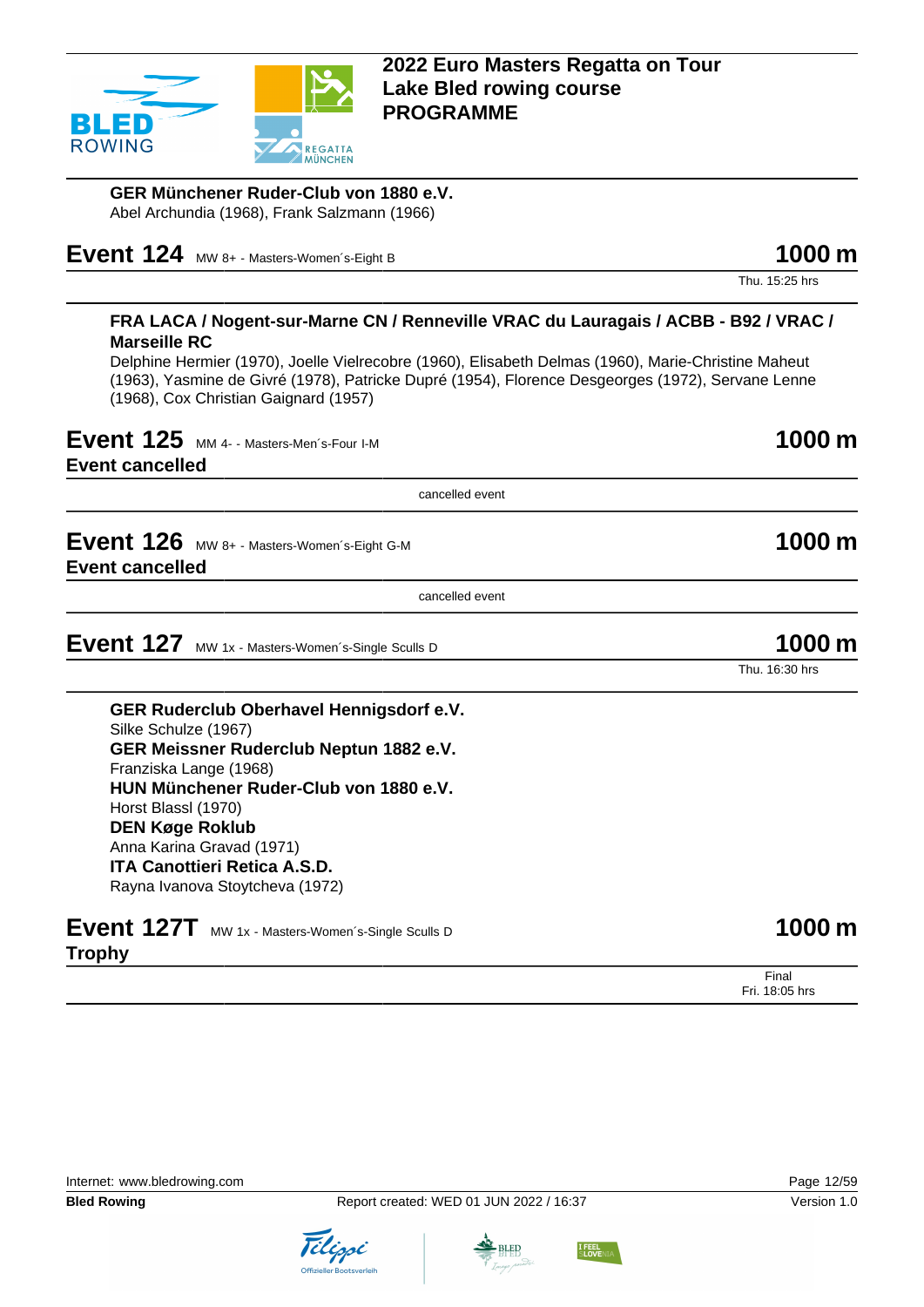

**GER Münchener Ruder-Club von 1880 e.V.** Abel Archundia (1968), Frank Salzmann (1966)

**Event 124** MW 8+ - Masters-Women's-Eight B **1000 m** 

Thu. 15:25 hrs

#### **FRA LACA / Nogent-sur-Marne CN / Renneville VRAC du Lauragais / ACBB - B92 / VRAC / Marseille RC**

Delphine Hermier (1970), Joelle Vielrecobre (1960), Elisabeth Delmas (1960), Marie-Christine Maheut (1963), Yasmine de Givré (1978), Patricke Dupré (1954), Florence Desgeorges (1972), Servane Lenne (1968), Cox Christian Gaignard (1957)

**Event 125** MM 4- - Masters-Men's-Four I-M **1000 m** 

**Event cancelled**

cancelled event

**Event 126** MW 8+ - Masters-Women's-Eight G-M **1000 m Event cancelled**

cancelled event

**Event 127** MW 1x - Masters-Women's-Single Sculls D **1000 m** 

**GER Ruderclub Oberhavel Hennigsdorf e.V.** Silke Schulze (1967) **GER Meissner Ruderclub Neptun 1882 e.V.** Franziska Lange (1968) **HUN Münchener Ruder-Club von 1880 e.V.** Horst Blassl (1970) **DEN Køge Roklub** Anna Karina Gravad (1971) **ITA Canottieri Retica A.S.D.** Rayna Ivanova Stoytcheva (1972)

|               | Event 127T MW 1x - Masters-Women's-Single Sculls D | 1000 m |
|---------------|----------------------------------------------------|--------|
| <b>Trophy</b> |                                                    |        |







Final Fri. 18:05 hrs



Thu. 16:30 hrs

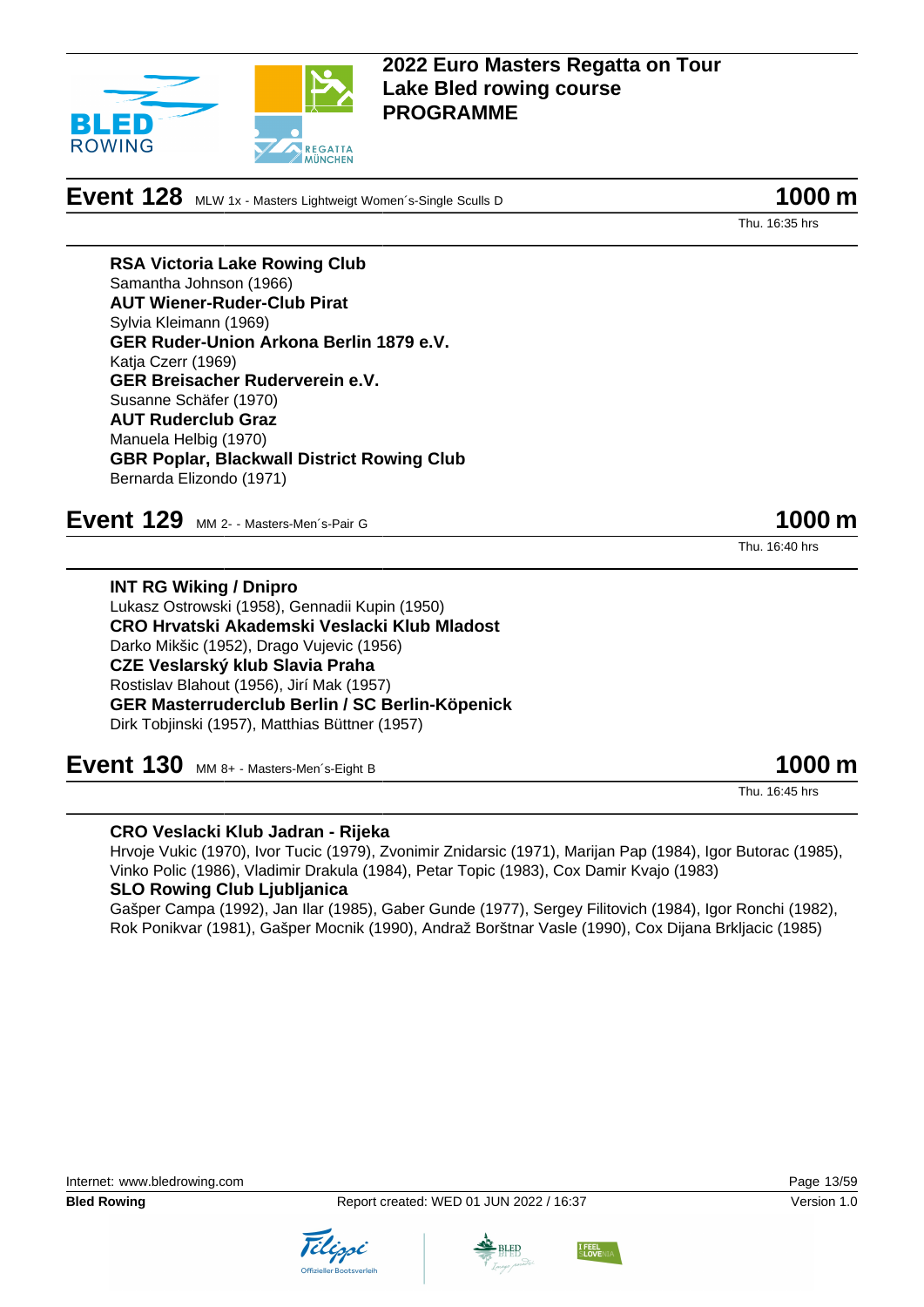

**Event 128** MLW 1x - Masters Lightweigt Women's-Single Sculls D **1000 m** 

Thu. 16:35 hrs

**RSA Victoria Lake Rowing Club** Samantha Johnson (1966) **AUT Wiener-Ruder-Club Pirat** Sylvia Kleimann (1969) **GER Ruder-Union Arkona Berlin 1879 e.V.** Katja Czerr (1969) **GER Breisacher Ruderverein e.V.** Susanne Schäfer (1970) **AUT Ruderclub Graz** Manuela Helbig (1970) **GBR Poplar, Blackwall District Rowing Club** Bernarda Elizondo (1971)

**Event 129** MM 2- - Masters-Men's-Pair G **1000 m** 

Thu. 16:40 hrs

**INT RG Wiking / Dnipro** Lukasz Ostrowski (1958), Gennadii Kupin (1950) **CRO Hrvatski Akademski Veslacki Klub Mladost** Darko Mikšic (1952), Drago Vujevic (1956) **CZE Veslarský klub Slavia Praha** Rostislav Blahout (1956), Jirí Mak (1957) **GER Masterruderclub Berlin / SC Berlin-Köpenick** Dirk Tobjinski (1957), Matthias Büttner (1957)

**Event 130** MM 8+ - Masters-Men´s-Eight B **1000 m** 

Thu. 16:45 hrs

### **CRO Veslacki Klub Jadran - Rijeka**

Hrvoje Vukic (1970), Ivor Tucic (1979), Zvonimir Znidarsic (1971), Marijan Pap (1984), Igor Butorac (1985), Vinko Polic (1986), Vladimir Drakula (1984), Petar Topic (1983), Cox Damir Kvajo (1983)

### **SLO Rowing Club Ljubljanica**

Gašper Campa (1992), Jan Ilar (1985), Gaber Gunde (1977), Sergey Filitovich (1984), Igor Ronchi (1982), Rok Ponikvar (1981), Gašper Mocnik (1990), Andraž Borštnar Vasle (1990), Cox Dijana Brkljacic (1985)





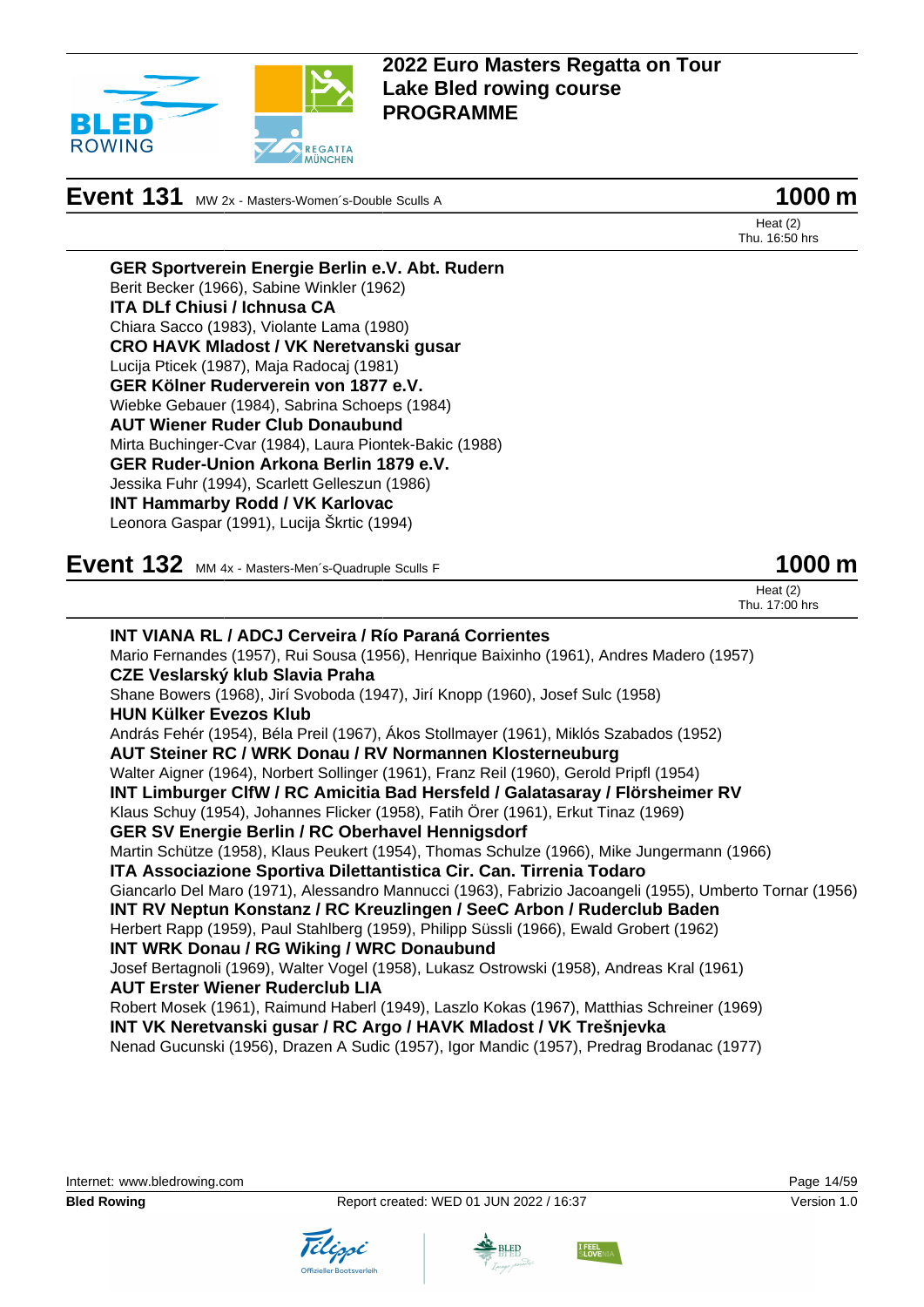

**Event 131** MW 2x - Masters-Women's-Double Sculls A **1000 m** 

Heat (2) Thu. 16:50 hrs

**GER Sportverein Energie Berlin e.V. Abt. Rudern** Berit Becker (1966), Sabine Winkler (1962) **ITA DLf Chiusi / Ichnusa CA** Chiara Sacco (1983), Violante Lama (1980) **CRO HAVK Mladost / VK Neretvanski gusar** Lucija Pticek (1987), Maja Radocaj (1981) **GER Kölner Ruderverein von 1877 e.V.** Wiebke Gebauer (1984), Sabrina Schoeps (1984) **AUT Wiener Ruder Club Donaubund** Mirta Buchinger-Cvar (1984), Laura Piontek-Bakic (1988) **GER Ruder-Union Arkona Berlin 1879 e.V.** Jessika Fuhr (1994), Scarlett Gelleszun (1986) **INT Hammarby Rodd / VK Karlovac** Leonora Gaspar (1991), Lucija Škrtic (1994)

**Event 132** MM 4x - Masters-Men's-Quadruple Sculls F **1000 m** 

| Heat $(2)$     |  |
|----------------|--|
| Thu. 17:00 hrs |  |

| <b>INT VIANA RL / ADCJ Cerveira / Río Paraná Corrientes</b>                                              |
|----------------------------------------------------------------------------------------------------------|
| Mario Fernandes (1957), Rui Sousa (1956), Henrique Baixinho (1961), Andres Madero (1957)                 |
| CZE Veslarský klub Slavia Praha                                                                          |
| Shane Bowers (1968), Jirí Svoboda (1947), Jirí Knopp (1960), Josef Sulc (1958)                           |
| <b>HUN Külker Evezos Klub</b>                                                                            |
| András Fehér (1954), Béla Preil (1967), Ákos Stollmayer (1961), Miklós Szabados (1952)                   |
| AUT Steiner RC / WRK Donau / RV Normannen Klosterneuburg                                                 |
| Walter Aigner (1964), Norbert Sollinger (1961), Franz Reil (1960), Gerold Pripfl (1954)                  |
| INT Limburger ClfW / RC Amicitia Bad Hersfeld / Galatasaray / Flörsheimer RV                             |
| Klaus Schuy (1954), Johannes Flicker (1958), Fatih Örer (1961), Erkut Tinaz (1969)                       |
| <b>GER SV Energie Berlin / RC Oberhavel Hennigsdorf</b>                                                  |
| Martin Schütze (1958), Klaus Peukert (1954), Thomas Schulze (1966), Mike Jungermann (1966)               |
| ITA Associazione Sportiva Dilettantistica Cir. Can. Tirrenia Todaro                                      |
| Giancarlo Del Maro (1971), Alessandro Mannucci (1963), Fabrizio Jacoangeli (1955), Umberto Tornar (1956) |
| INT RV Neptun Konstanz / RC Kreuzlingen / SeeC Arbon / Ruderclub Baden                                   |
| Herbert Rapp (1959), Paul Stahlberg (1959), Philipp Süssli (1966), Ewald Grobert (1962)                  |
| <b>INT WRK Donau / RG Wiking / WRC Donaubund</b>                                                         |
| Josef Bertagnoli (1969), Walter Vogel (1958), Lukasz Ostrowski (1958), Andreas Kral (1961)               |
| <b>AUT Erster Wiener Ruderclub LIA</b>                                                                   |
| Robert Mosek (1961), Raimund Haberl (1949), Laszlo Kokas (1967), Matthias Schreiner (1969)               |
| INT VK Neretvanski gusar / RC Argo / HAVK Mladost / VK Trešnjevka                                        |
| Nenad Gucunski (1956), Drazen A Sudic (1957), Igor Mandic (1957), Predrag Brodanac (1977)                |



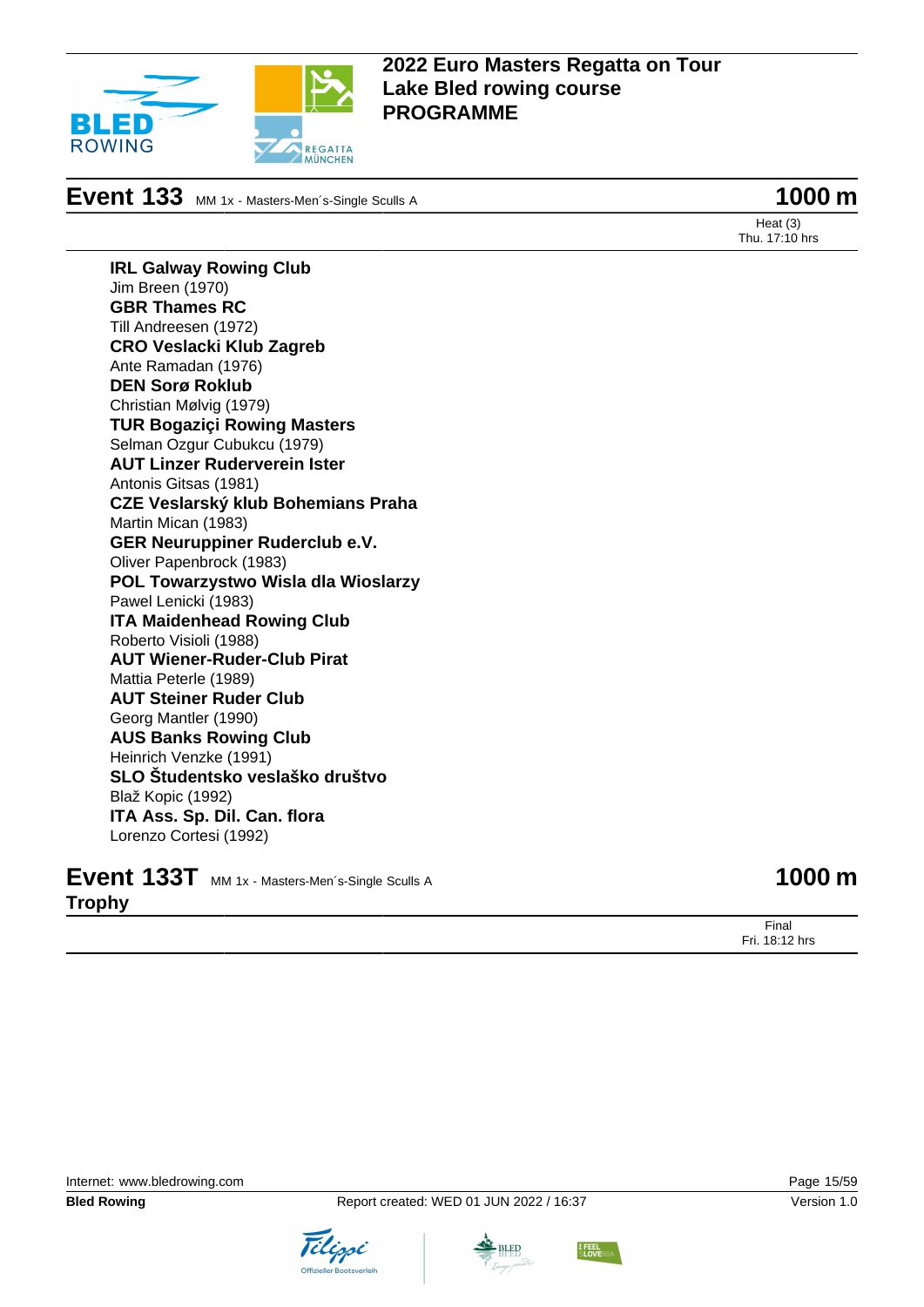

**Event 133** MM 1x - Masters-Men´s-Single Sculls A **1000 m** 

Heat (3) Thu. 17:10 hrs

**IRL Galway Rowing Club** Jim Breen (1970) **GBR Thames RC** Till Andreesen (1972) **CRO Veslacki Klub Zagreb** Ante Ramadan (1976) **DEN Sorø Roklub** Christian Mølvig (1979) **TUR Bogaziçi Rowing Masters** Selman Ozgur Cubukcu (1979) **AUT Linzer Ruderverein Ister** Antonis Gitsas (1981) **CZE Veslarský klub Bohemians Praha** Martin Mican (1983) **GER Neuruppiner Ruderclub e.V.** Oliver Papenbrock (1983) **POL Towarzystwo Wisla dla Wioslarzy** Pawel Lenicki (1983) **ITA Maidenhead Rowing Club** Roberto Visioli (1988) **AUT Wiener-Ruder-Club Pirat** Mattia Peterle (1989) **AUT Steiner Ruder Club** Georg Mantler (1990) **AUS Banks Rowing Club** Heinrich Venzke (1991) **SLO Študentsko veslaško društvo** Blaž Kopic (1992) **ITA Ass. Sp. Dil. Can. flora** Lorenzo Cortesi (1992)

|               | Event 133T MM 1x - Masters-Men's-Single Sculls A | 1000 m |
|---------------|--------------------------------------------------|--------|
| <b>Trophy</b> |                                                  |        |

Final Fri. 18:12 hrs

Internet: [www.bledrowing.com](http://www.bledrowing.com) Page 15/59









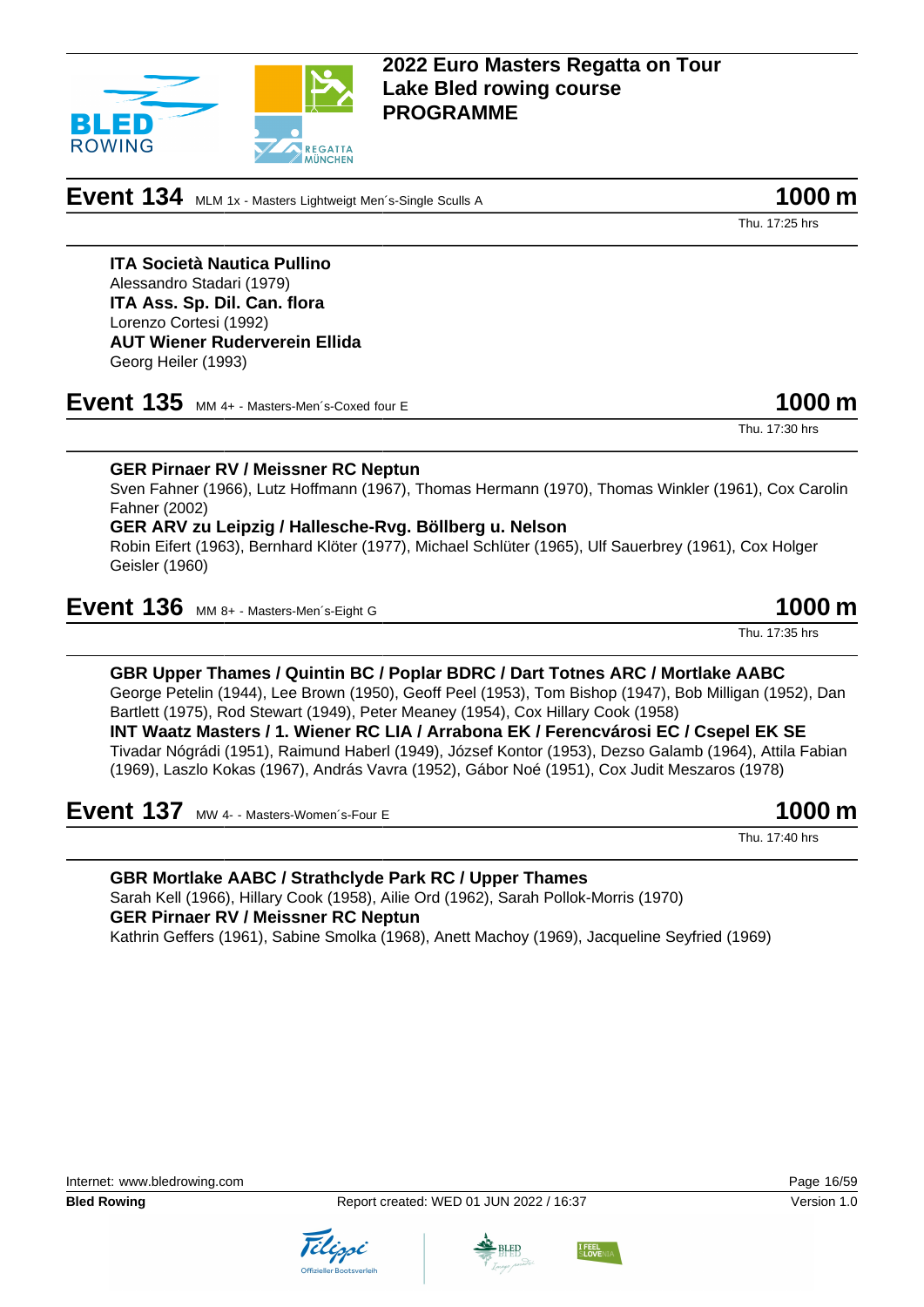**Event 134** MLM 1x - Masters Lightweigt Men´s-Single Sculls A **1000 m** 

**REGATTA** 

**ITA Società Nautica Pullino** Alessandro Stadari (1979) **ITA Ass. Sp. Dil. Can. flora** Lorenzo Cortesi (1992) **AUT Wiener Ruderverein Ellida** Georg Heiler (1993)

ROWING

**Event 135** MM 4+ - Masters-Men´s-Coxed four E 1000 m

**GER Pirnaer RV / Meissner RC Neptun** Sven Fahner (1966), Lutz Hoffmann (1967), Thomas Hermann (1970), Thomas Winkler (1961), Cox Carolin

Fahner (2002) **GER ARV zu Leipzig / Hallesche-Rvg. Böllberg u. Nelson**

Robin Eifert (1963), Bernhard Klöter (1977), Michael Schlüter (1965), Ulf Sauerbrey (1961), Cox Holger Geisler (1960)

**Event 136** MM 8+ - Masters-Men´s-Eight G 1000 m

**GBR Upper Thames / Quintin BC / Poplar BDRC / Dart Totnes ARC / Mortlake AABC** George Petelin (1944), Lee Brown (1950), Geoff Peel (1953), Tom Bishop (1947), Bob Milligan (1952), Dan Bartlett (1975), Rod Stewart (1949), Peter Meaney (1954), Cox Hillary Cook (1958) **INT Waatz Masters / 1. Wiener RC LIA / Arrabona EK / Ferencvárosi EC / Csepel EK SE** Tivadar Nógrádi (1951), Raimund Haberl (1949), József Kontor (1953), Dezso Galamb (1964), Attila Fabian

**Event 137** MW 4- - Masters-Women's-Four E **1000 m** 

**GBR Mortlake AABC / Strathclyde Park RC / Upper Thames** Sarah Kell (1966), Hillary Cook (1958), Ailie Ord (1962), Sarah Pollok-Morris (1970) **GER Pirnaer RV / Meissner RC Neptun** Kathrin Geffers (1961), Sabine Smolka (1968), Anett Machoy (1969), Jacqueline Seyfried (1969)



Thu. 17:35 hrs

Thu. 17:30 hrs

Thu. 17:25 hrs



(1969), Laszlo Kokas (1967), András Vavra (1952), Gábor Noé (1951), Cox Judit Meszaros (1978)

Thu. 17:40 hrs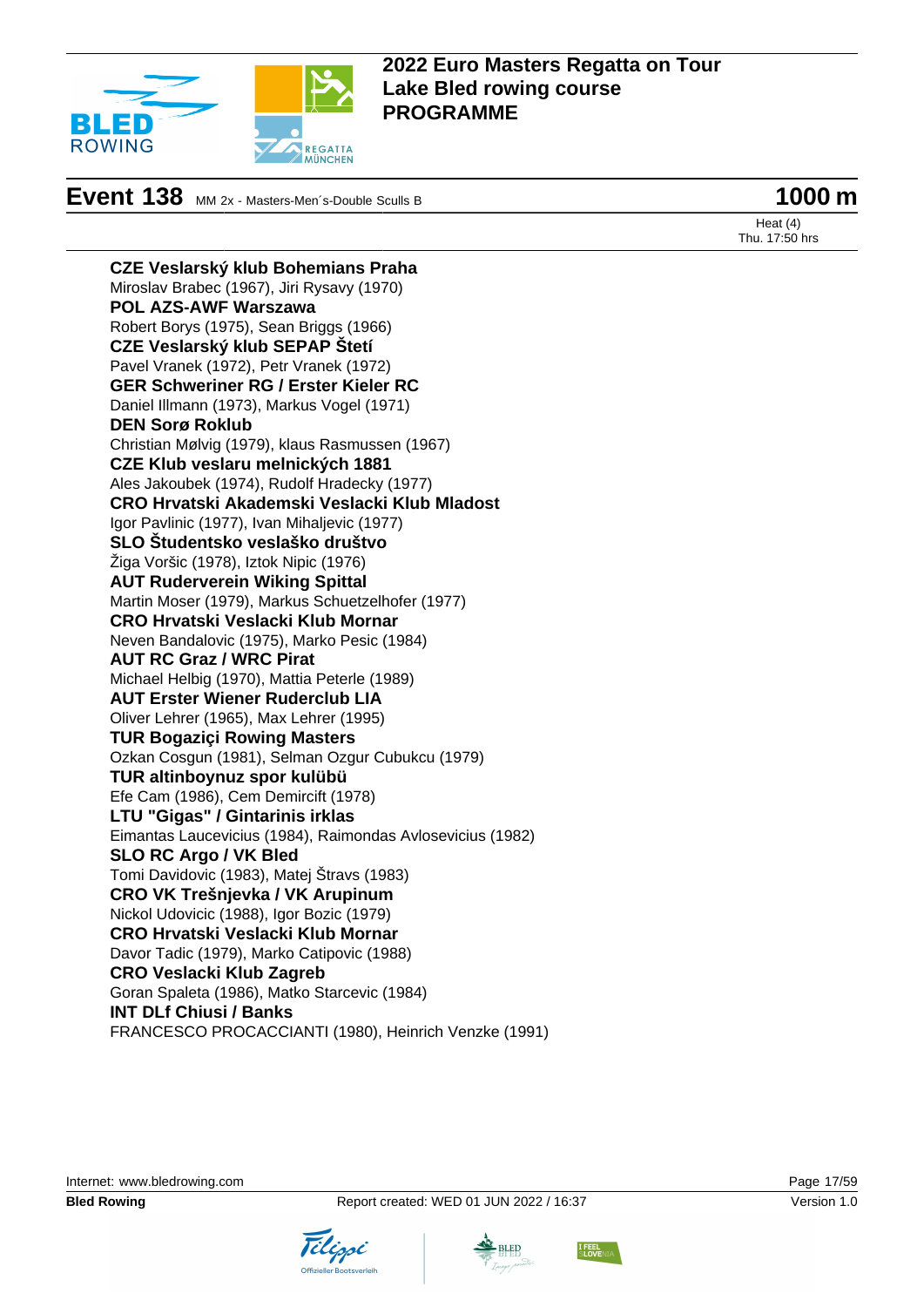

# **Event 138** MM 2x - Masters-Men's-Double Sculls B **1000 m**

Heat (4) Thu. 17:50 hrs

**CZE Veslarský klub Bohemians Praha** Miroslav Brabec (1967), Jiri Rysavy (1970) **POL AZS-AWF Warszawa** Robert Borys (1975), Sean Briggs (1966) **CZE Veslarský klub SEPAP Štetí** Pavel Vranek (1972), Petr Vranek (1972) **GER Schweriner RG / Erster Kieler RC** Daniel Illmann (1973), Markus Vogel (1971) **DEN Sorø Roklub** Christian Mølvig (1979), klaus Rasmussen (1967) **CZE Klub veslaru melnických 1881** Ales Jakoubek (1974), Rudolf Hradecky (1977) **CRO Hrvatski Akademski Veslacki Klub Mladost** Igor Pavlinic (1977), Ivan Mihaljevic (1977) **SLO Študentsko veslaško društvo** Žiga Voršic (1978), Iztok Nipic (1976) **AUT Ruderverein Wiking Spittal** Martin Moser (1979), Markus Schuetzelhofer (1977) **CRO Hrvatski Veslacki Klub Mornar** Neven Bandalovic (1975), Marko Pesic (1984) **AUT RC Graz / WRC Pirat** Michael Helbig (1970), Mattia Peterle (1989) **AUT Erster Wiener Ruderclub LIA** Oliver Lehrer (1965), Max Lehrer (1995) **TUR Bogaziçi Rowing Masters** Ozkan Cosgun (1981), Selman Ozgur Cubukcu (1979) **TUR altinboynuz spor kulübü** Efe Cam (1986), Cem Demircift (1978) **LTU "Gigas" / Gintarinis irklas** Eimantas Laucevicius (1984), Raimondas Avlosevicius (1982) **SLO RC Argo / VK Bled** Tomi Davidovic (1983), Matej Štravs (1983) **CRO VK Trešnjevka / VK Arupinum** Nickol Udovicic (1988), Igor Bozic (1979) **CRO Hrvatski Veslacki Klub Mornar** Davor Tadic (1979), Marko Catipovic (1988) **CRO Veslacki Klub Zagreb** Goran Spaleta (1986), Matko Starcevic (1984) **INT DLf Chiusi / Banks** FRANCESCO PROCACCIANTI (1980), Heinrich Venzke (1991)





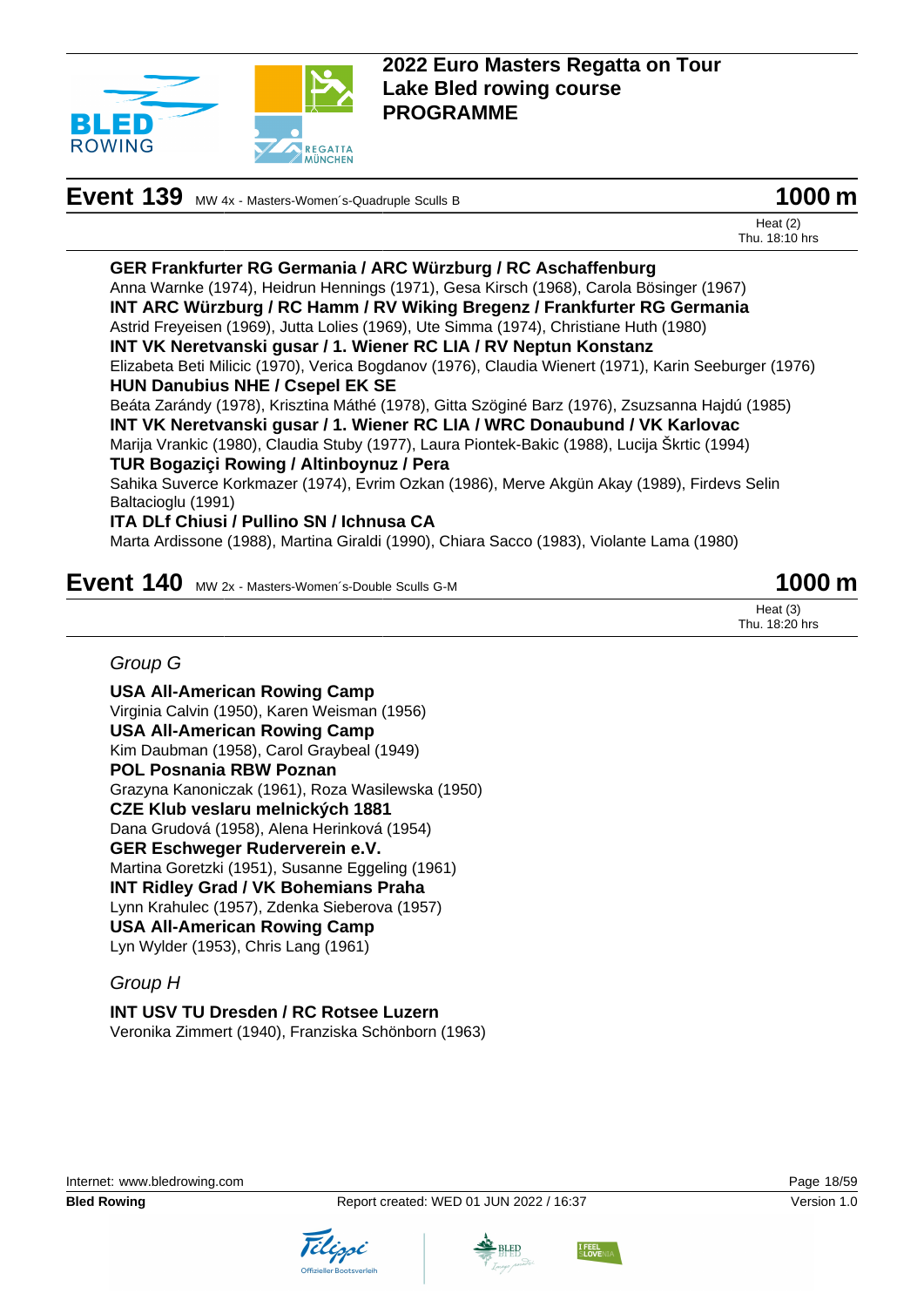

# **Event 139** MW 4x - Masters-Women's-Quadruple Sculls B **1000 m**



Heat (2) Thu. 18:10 hrs

**GER Frankfurter RG Germania / ARC Würzburg / RC Aschaffenburg** Anna Warnke (1974), Heidrun Hennings (1971), Gesa Kirsch (1968), Carola Bösinger (1967) **INT ARC Würzburg / RC Hamm / RV Wiking Bregenz / Frankfurter RG Germania** Astrid Freyeisen (1969), Jutta Lolies (1969), Ute Simma (1974), Christiane Huth (1980) **INT VK Neretvanski gusar / 1. Wiener RC LIA / RV Neptun Konstanz** Elizabeta Beti Milicic (1970), Verica Bogdanov (1976), Claudia Wienert (1971), Karin Seeburger (1976) **HUN Danubius NHE / Csepel EK SE** Beáta Zarándy (1978), Krisztina Máthé (1978), Gitta Szöginé Barz (1976), Zsuzsanna Hajdú (1985) **INT VK Neretvanski gusar / 1. Wiener RC LIA / WRC Donaubund / VK Karlovac** Marija Vrankic (1980), Claudia Stuby (1977), Laura Piontek-Bakic (1988), Lucija Škrtic (1994) **TUR Bogaziçi Rowing / Altinboynuz / Pera** Sahika Suverce Korkmazer (1974), Evrim Ozkan (1986), Merve Akgün Akay (1989), Firdevs Selin Baltacioglu (1991) **ITA DLf Chiusi / Pullino SN / Ichnusa CA** Marta Ardissone (1988), Martina Giraldi (1990), Chiara Sacco (1983), Violante Lama (1980)

## **Event 140** MW 2x - Masters-Women's-Double Sculls G-M **1000 m**

Heat (3) Thu. 18:20 hrs

#### Group G

**USA All-American Rowing Camp** Virginia Calvin (1950), Karen Weisman (1956) **USA All-American Rowing Camp** Kim Daubman (1958), Carol Graybeal (1949) **POL Posnania RBW Poznan** Grazyna Kanoniczak (1961), Roza Wasilewska (1950) **CZE Klub veslaru melnických 1881** Dana Grudová (1958), Alena Herinková (1954) **GER Eschweger Ruderverein e.V.** Martina Goretzki (1951), Susanne Eggeling (1961) **INT Ridley Grad / VK Bohemians Praha** Lynn Krahulec (1957), Zdenka Sieberova (1957) **USA All-American Rowing Camp** Lyn Wylder (1953), Chris Lang (1961)

#### Group H

**INT USV TU Dresden / RC Rotsee Luzern** Veronika Zimmert (1940), Franziska Schönborn (1963)







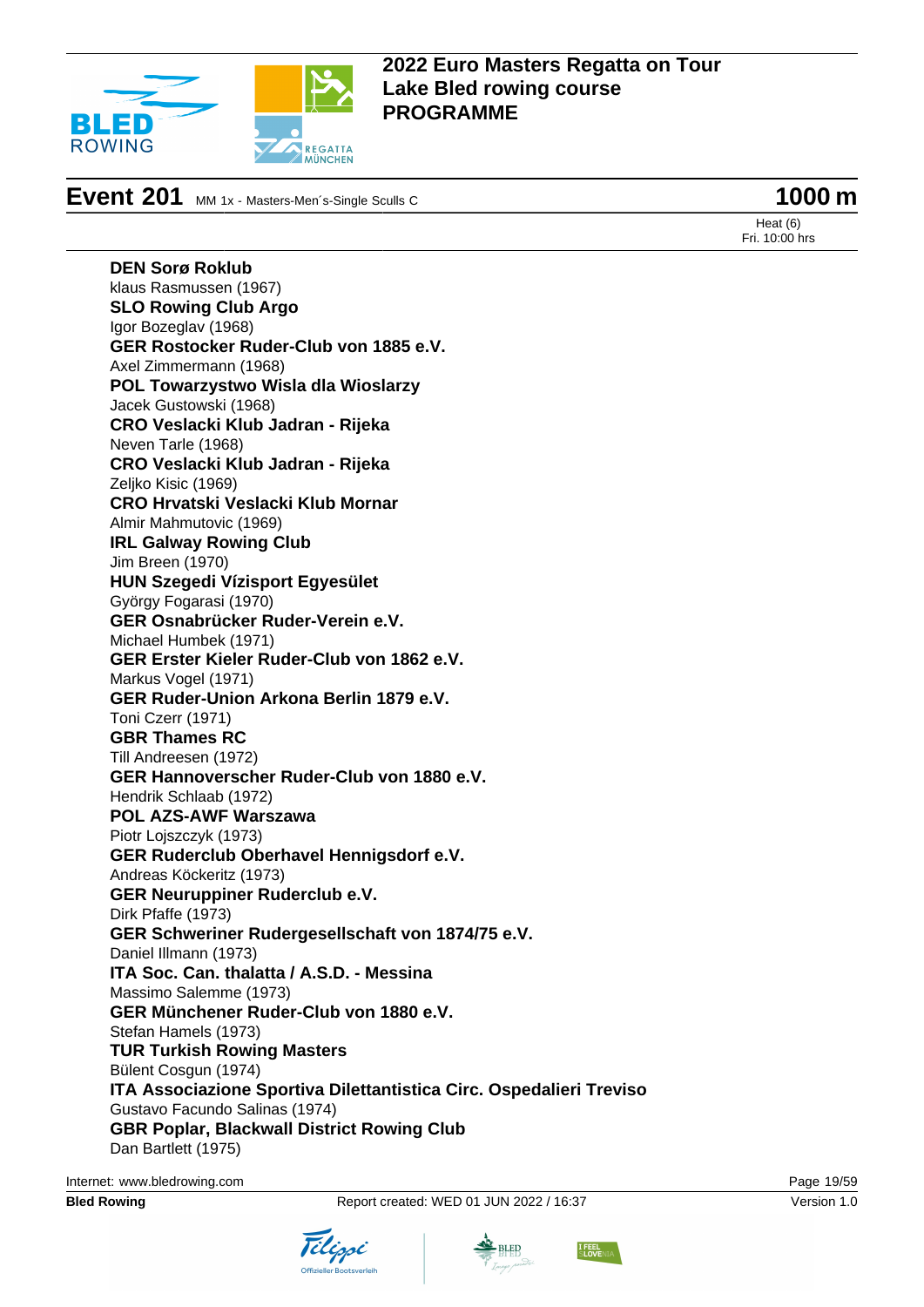

**Event 201** MM 1x - Masters-Men´s-Single Sculls C **1000 m** 

Heat (6) Fri. 10:00 hrs

**DEN Sorø Roklub** klaus Rasmussen (1967) **SLO Rowing Club Argo** Igor Bozeglav (1968) **GER Rostocker Ruder-Club von 1885 e.V.** Axel Zimmermann (1968) **POL Towarzystwo Wisla dla Wioslarzy** Jacek Gustowski (1968) **CRO Veslacki Klub Jadran - Rijeka** Neven Tarle (1968) **CRO Veslacki Klub Jadran - Rijeka** Zeliko Kisic (1969) **CRO Hrvatski Veslacki Klub Mornar** Almir Mahmutovic (1969) **IRL Galway Rowing Club** Jim Breen (1970) **HUN Szegedi Vízisport Egyesület** György Fogarasi (1970) **GER Osnabrücker Ruder-Verein e.V.** Michael Humbek (1971) **GER Erster Kieler Ruder-Club von 1862 e.V.** Markus Vogel (1971) **GER Ruder-Union Arkona Berlin 1879 e.V.** Toni Czerr (1971) **GBR Thames RC** Till Andreesen (1972) **GER Hannoverscher Ruder-Club von 1880 e.V.** Hendrik Schlaab (1972) **POL AZS-AWF Warszawa** Piotr Lojszczyk (1973) **GER Ruderclub Oberhavel Hennigsdorf e.V.** Andreas Köckeritz (1973) **GER Neuruppiner Ruderclub e.V.** Dirk Pfaffe (1973) **GER Schweriner Rudergesellschaft von 1874/75 e.V.** Daniel Illmann (1973) **ITA Soc. Can. thalatta / A.S.D. - Messina** Massimo Salemme (1973) **GER Münchener Ruder-Club von 1880 e.V.** Stefan Hamels (1973) **TUR Turkish Rowing Masters** Bülent Cosgun (1974) **ITA Associazione Sportiva Dilettantistica Circ. Ospedalieri Treviso** Gustavo Facundo Salinas (1974) **GBR Poplar, Blackwall District Rowing Club** Dan Bartlett (1975)

Internet: [www.bledrowing.com](http://www.bledrowing.com) Page 19/59







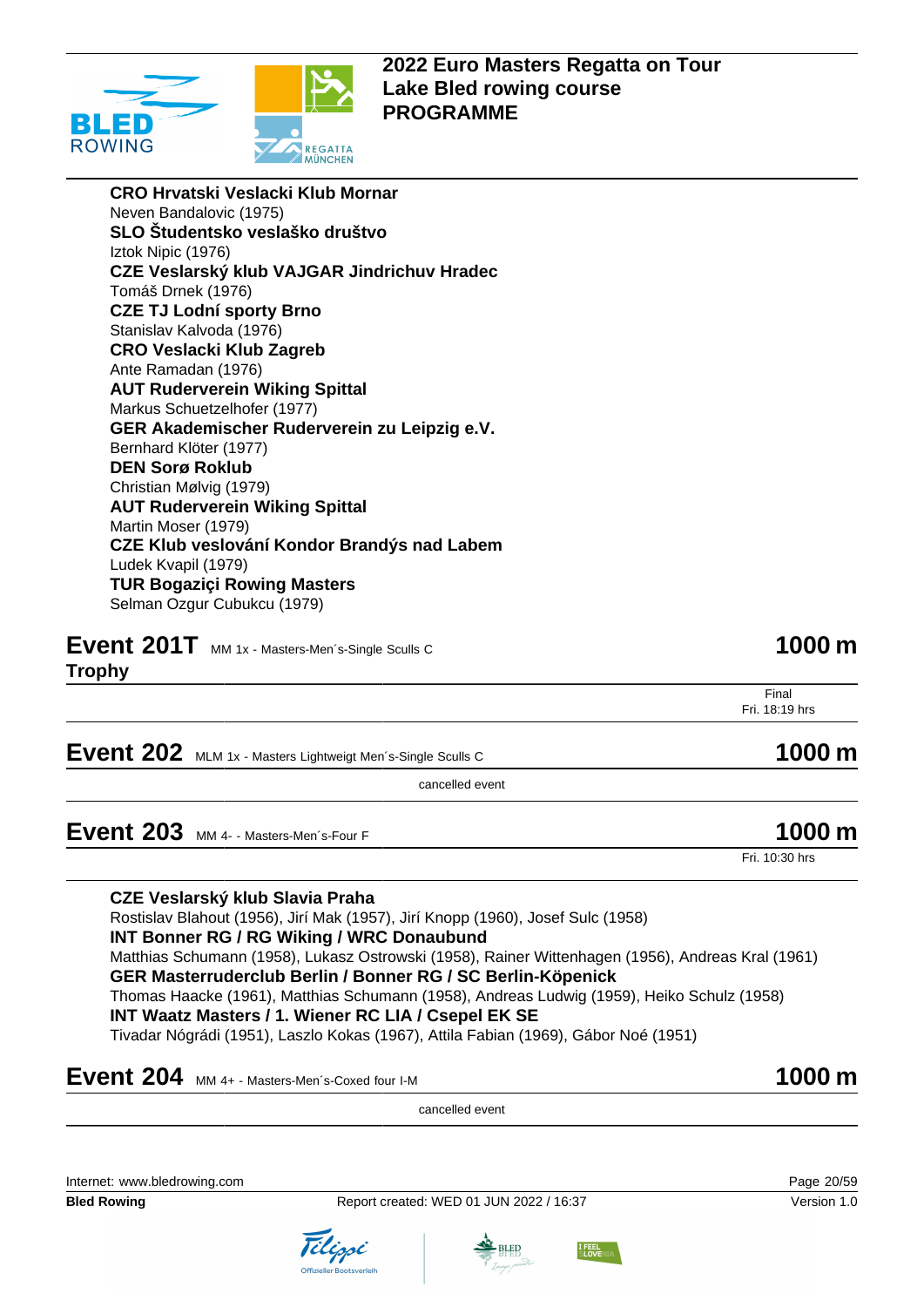

**CRO Hrvatski Veslacki Klub Mornar** Neven Bandalovic (1975) **SLO Študentsko veslaško društvo** Iztok Nipic (1976) **CZE Veslarský klub VAJGAR Jindrichuv Hradec** Tomáš Drnek (1976) **CZE TJ Lodní sporty Brno** Stanislav Kalvoda (1976) **CRO Veslacki Klub Zagreb** Ante Ramadan (1976) **AUT Ruderverein Wiking Spittal** Markus Schuetzelhofer (1977) **GER Akademischer Ruderverein zu Leipzig e.V.** Bernhard Klöter (1977) **DEN Sorø Roklub** Christian Mølvig (1979) **AUT Ruderverein Wiking Spittal** Martin Moser (1979) **CZE Klub veslování Kondor Brandýs nad Labem** Ludek Kvapil (1979) **TUR Bogaziçi Rowing Masters** Selman Ozgur Cubukcu (1979)

**Event 201T** MM 1x - Masters-Men's-Single Sculls C **1000 m** 

**Trophy**

Final Fri. 18:19 hrs

**Event 202** MLM 1x - Masters Lightweigt Men´s-Single Sculls C **1000 m** 

cancelled event

**Event 203** MM 4- - Masters-Men's-Four F **1000 m** 

**CZE Veslarský klub Slavia Praha**

Rostislav Blahout (1956), Jirí Mak (1957), Jirí Knopp (1960), Josef Sulc (1958) **INT Bonner RG / RG Wiking / WRC Donaubund** Matthias Schumann (1958), Lukasz Ostrowski (1958), Rainer Wittenhagen (1956), Andreas Kral (1961) **GER Masterruderclub Berlin / Bonner RG / SC Berlin-Köpenick** Thomas Haacke (1961), Matthias Schumann (1958), Andreas Ludwig (1959), Heiko Schulz (1958) **INT Waatz Masters / 1. Wiener RC LIA / Csepel EK SE** Tivadar Nógrádi (1951), Laszlo Kokas (1967), Attila Fabian (1969), Gábor Noé (1951)

# **Event 204** MM 4+ - Masters-Men´s-Coxed four I-M **1000 m**

cancelled event

Internet: [www.bledrowing.com](http://www.bledrowing.com) Page 20/59

**Bled Rowing The Report created: WED 01 JUN 2022 / 16:37 Version 1.0** Version 1.0









Fri. 10:30 hrs

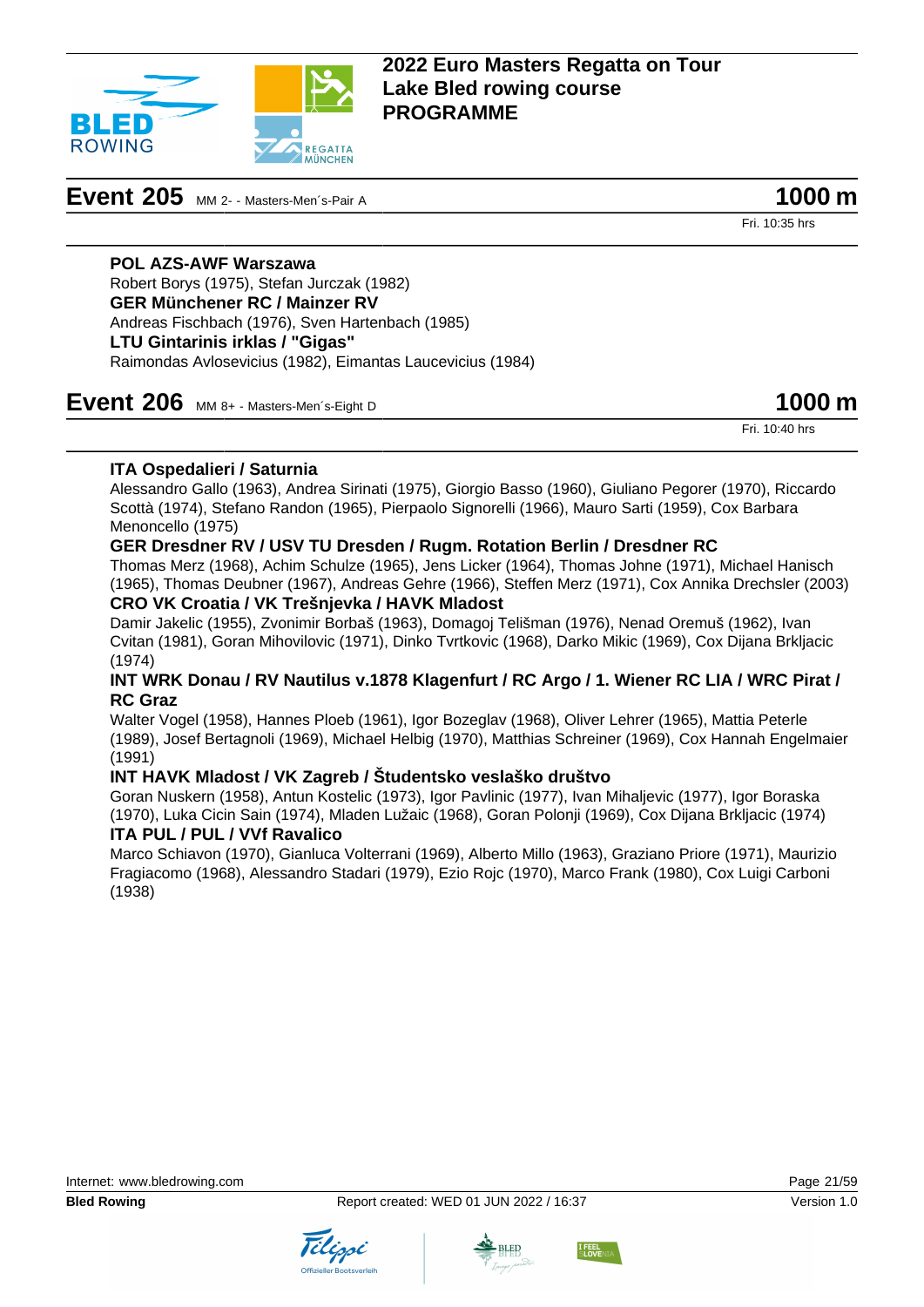

# **Event 205** MM 2- - Masters-Men's-Pair A **1000 m**

Fri. 10:35 hrs

#### **POL AZS-AWF Warszawa**

Robert Borys (1975), Stefan Jurczak (1982) **GER Münchener RC / Mainzer RV** Andreas Fischbach (1976), Sven Hartenbach (1985) **LTU Gintarinis irklas / "Gigas"** Raimondas Avlosevicius (1982), Eimantas Laucevicius (1984)

### **Event 206** MM 8+ - Masters-Men´s-Eight D **1000 m**

Fri. 10:40 hrs

#### **ITA Ospedalieri / Saturnia**

Alessandro Gallo (1963), Andrea Sirinati (1975), Giorgio Basso (1960), Giuliano Pegorer (1970), Riccardo Scottà (1974), Stefano Randon (1965), Pierpaolo Signorelli (1966), Mauro Sarti (1959), Cox Barbara Menoncello (1975)

#### **GER Dresdner RV / USV TU Dresden / Rugm. Rotation Berlin / Dresdner RC**

Thomas Merz (1968), Achim Schulze (1965), Jens Licker (1964), Thomas Johne (1971), Michael Hanisch (1965), Thomas Deubner (1967), Andreas Gehre (1966), Steffen Merz (1971), Cox Annika Drechsler (2003) **CRO VK Croatia / VK Trešnjevka / HAVK Mladost**

Damir Jakelic (1955), Zvonimir Borbaš (1963), Domagoj Telišman (1976), Nenad Oremuš (1962), Ivan Cvitan (1981), Goran Mihovilovic (1971), Dinko Tvrtkovic (1968), Darko Mikic (1969), Cox Dijana Brkljacic (1974)

#### **INT WRK Donau / RV Nautilus v.1878 Klagenfurt / RC Argo / 1. Wiener RC LIA / WRC Pirat / RC Graz**

Walter Vogel (1958), Hannes Ploeb (1961), Igor Bozeglav (1968), Oliver Lehrer (1965), Mattia Peterle (1989), Josef Bertagnoli (1969), Michael Helbig (1970), Matthias Schreiner (1969), Cox Hannah Engelmaier (1991)

#### **INT HAVK Mladost / VK Zagreb / Študentsko veslaško društvo**

Goran Nuskern (1958), Antun Kostelic (1973), Igor Pavlinic (1977), Ivan Mihaljevic (1977), Igor Boraska (1970), Luka Cicin Sain (1974), Mladen Lužaic (1968), Goran Polonji (1969), Cox Dijana Brkljacic (1974)

#### **ITA PUL / PUL / VVf Ravalico**

Marco Schiavon (1970), Gianluca Volterrani (1969), Alberto Millo (1963), Graziano Priore (1971), Maurizio Fragiacomo (1968), Alessandro Stadari (1979), Ezio Rojc (1970), Marco Frank (1980), Cox Luigi Carboni (1938)





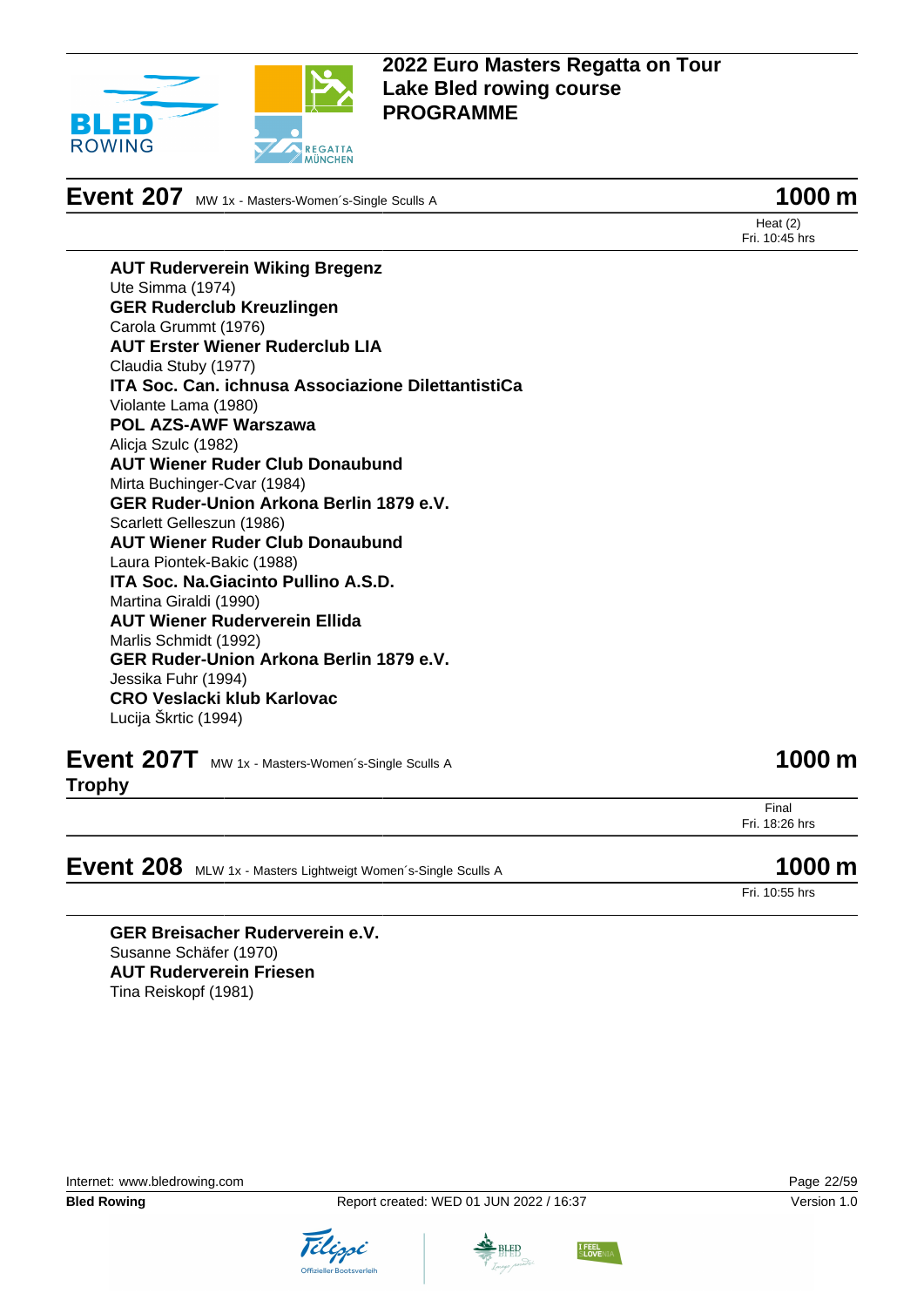

**Event 207** MW 1x - Masters-Women's-Single Sculls A **1000 m** 

Heat (2) Fri. 10:45 hrs

**AUT Ruderverein Wiking Bregenz** Ute Simma (1974) **GER Ruderclub Kreuzlingen** Carola Grummt (1976) **AUT Erster Wiener Ruderclub LIA** Claudia Stuby (1977) **ITA Soc. Can. ichnusa Associazione DilettantistiCa** Violante Lama (1980) **POL AZS-AWF Warszawa** Alicja Szulc (1982) **AUT Wiener Ruder Club Donaubund** Mirta Buchinger-Cvar (1984) **GER Ruder-Union Arkona Berlin 1879 e.V.** Scarlett Gelleszun (1986) **AUT Wiener Ruder Club Donaubund** Laura Piontek-Bakic (1988) **ITA Soc. Na.Giacinto Pullino A.S.D.** Martina Giraldi (1990) **AUT Wiener Ruderverein Ellida** Marlis Schmidt (1992) **GER Ruder-Union Arkona Berlin 1879 e.V.** Jessika Fuhr (1994) **CRO Veslacki klub Karlovac** Lucija Škrtic (1994)

**Event 207T** MW 1x - Masters-Women's-Single Sculls A **1000 m Trophy**

Final Fri. 18:26 hrs

**Event 208** MLW 1x - Masters Lightweigt Women's-Single Sculls A **1000 m** 

Fri. 10:55 hrs

**GER Breisacher Ruderverein e.V.** Susanne Schäfer (1970) **AUT Ruderverein Friesen** Tina Reiskopf (1981)

Internet: [www.bledrowing.com](http://www.bledrowing.com) Page 22/59





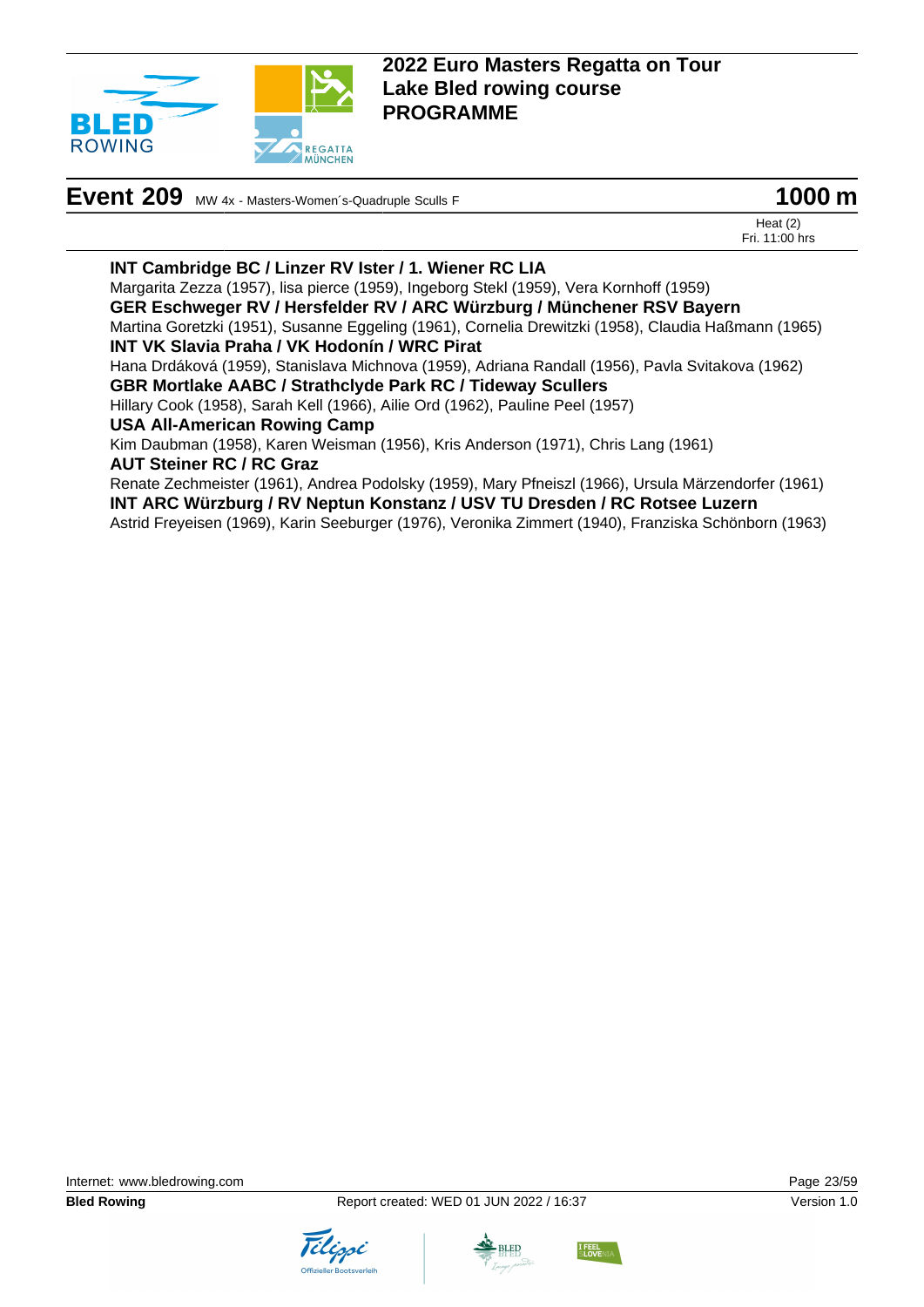

# **Event 209** MW 4x - Masters-Women's-Quadruple Sculls F **1000 m**



Heat (2) Fri. 11:00 hrs

#### **INT Cambridge BC / Linzer RV Ister / 1. Wiener RC LIA**

Margarita Zezza (1957), lisa pierce (1959), Ingeborg Stekl (1959), Vera Kornhoff (1959)

**GER Eschweger RV / Hersfelder RV / ARC Würzburg / Münchener RSV Bayern**

Martina Goretzki (1951), Susanne Eggeling (1961), Cornelia Drewitzki (1958), Claudia Haßmann (1965) **INT VK Slavia Praha / VK Hodonín / WRC Pirat**

Hana Drdáková (1959), Stanislava Michnova (1959), Adriana Randall (1956), Pavla Svitakova (1962) **GBR Mortlake AABC / Strathclyde Park RC / Tideway Scullers**

Hillary Cook (1958), Sarah Kell (1966), Ailie Ord (1962), Pauline Peel (1957)

**USA All-American Rowing Camp**

Kim Daubman (1958), Karen Weisman (1956), Kris Anderson (1971), Chris Lang (1961) **AUT Steiner RC / RC Graz**

Renate Zechmeister (1961), Andrea Podolsky (1959), Mary Pfneiszl (1966), Ursula Märzendorfer (1961) **INT ARC Würzburg / RV Neptun Konstanz / USV TU Dresden / RC Rotsee Luzern**

Astrid Freyeisen (1969), Karin Seeburger (1976), Veronika Zimmert (1940), Franziska Schönborn (1963)





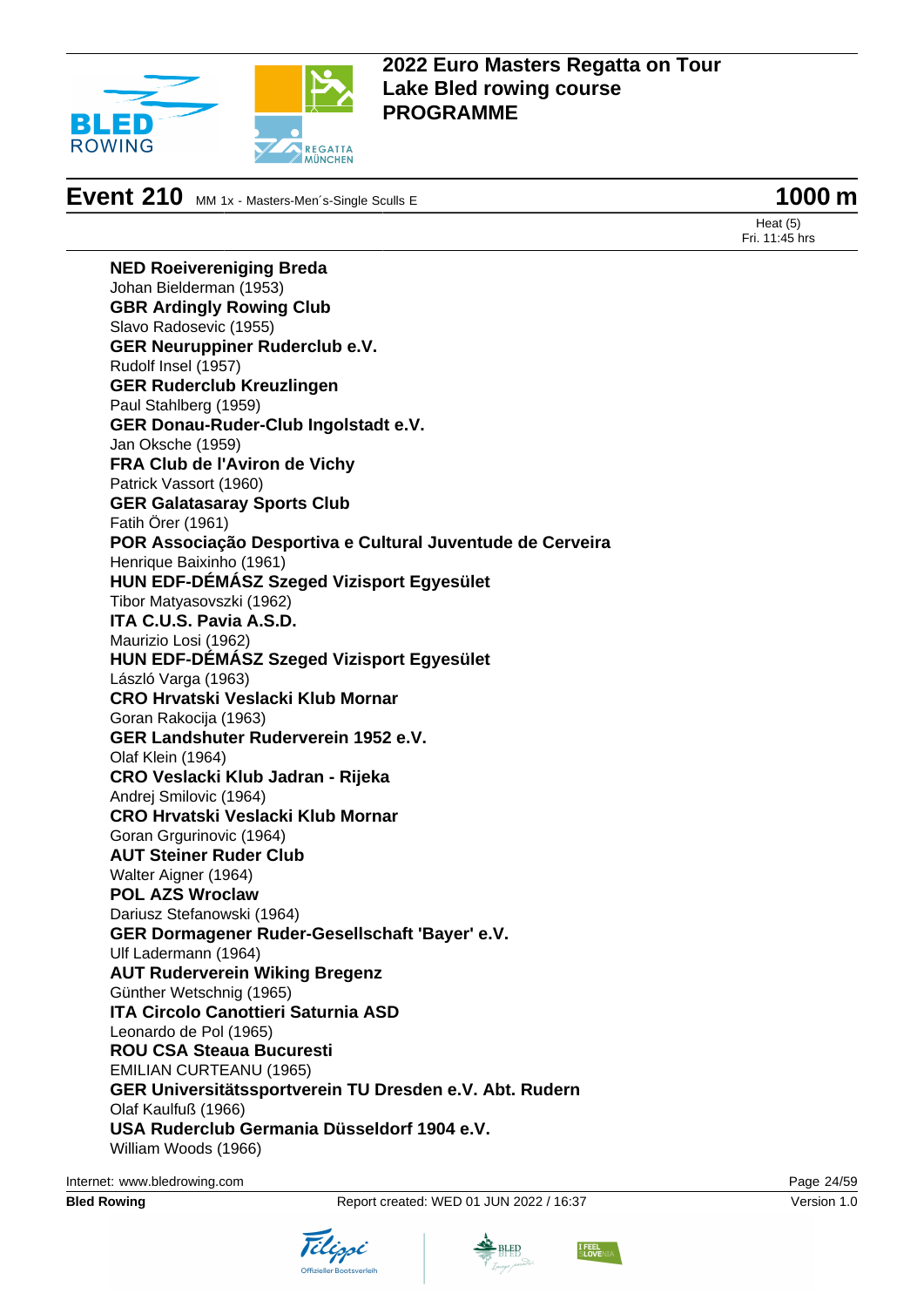

# **Event 210** MM 1x - Masters-Men´s-Single Sculls E **1000 m**

Heat (5) Fri. 11:45 hrs

**NED Roeivereniging Breda** Johan Bielderman (1953) **GBR Ardingly Rowing Club** Slavo Radosevic (1955) **GER Neuruppiner Ruderclub e.V.** Rudolf Insel (1957) **GER Ruderclub Kreuzlingen** Paul Stahlberg (1959) **GER Donau-Ruder-Club Ingolstadt e.V.** Jan Oksche (1959) **FRA Club de l'Aviron de Vichy** Patrick Vassort (1960) **GER Galatasaray Sports Club** Fatih Örer (1961) **POR Associação Desportiva e Cultural Juventude de Cerveira** Henrique Baixinho (1961) **HUN EDF-DÉMÁSZ Szeged Vizisport Egyesület** Tibor Matyasovszki (1962) **ITA C.U.S. Pavia A.S.D.** Maurizio Losi (1962) **HUN EDF-DÉMÁSZ Szeged Vizisport Egyesület** László Varga (1963) **CRO Hrvatski Veslacki Klub Mornar** Goran Rakocija (1963) **GER Landshuter Ruderverein 1952 e.V.** Olaf Klein (1964) **CRO Veslacki Klub Jadran - Rijeka** Andrej Smilovic (1964) **CRO Hrvatski Veslacki Klub Mornar** Goran Grgurinovic (1964) **AUT Steiner Ruder Club** Walter Aigner (1964) **POL AZS Wroclaw** Dariusz Stefanowski (1964) **GER Dormagener Ruder-Gesellschaft 'Bayer' e.V.** Ulf Ladermann (1964) **AUT Ruderverein Wiking Bregenz** Günther Wetschnig (1965) **ITA Circolo Canottieri Saturnia ASD** Leonardo de Pol (1965) **ROU CSA Steaua Bucuresti** EMILIAN CURTEANU (1965) **GER Universitätssportverein TU Dresden e.V. Abt. Rudern** Olaf Kaulfuß (1966) **USA Ruderclub Germania Düsseldorf 1904 e.V.** William Woods (1966)

Internet: [www.bledrowing.com](http://www.bledrowing.com) Page 24/59









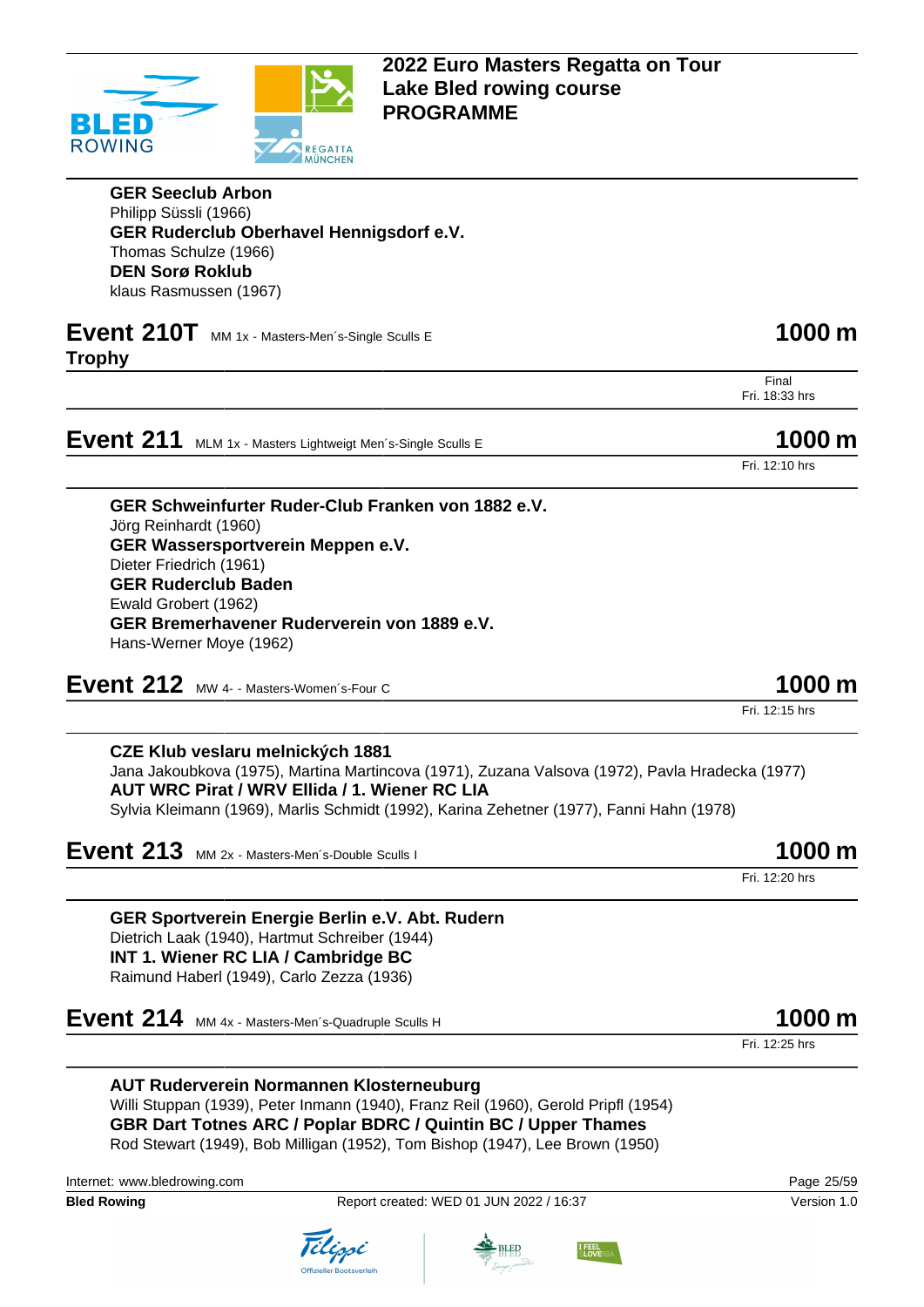

**GER Seeclub Arbon** Philipp Süssli (1966) **GER Ruderclub Oberhavel Hennigsdorf e.V.** Thomas Schulze (1966) **DEN Sorø Roklub** klaus Rasmussen (1967)

### **Event 210T** MM 1x - Masters-Men's-Single Sculls E **1000 m Trophy**

Final Fri. 18:33 hrs

**Event 211** MLM 1x - Masters Lightweigt Men´s-Single Sculls E **1000 m** 

Fri. 12:10 hrs

**GER Schweinfurter Ruder-Club Franken von 1882 e.V.** Jörg Reinhardt (1960) **GER Wassersportverein Meppen e.V.** Dieter Friedrich (1961) **GER Ruderclub Baden** Ewald Grobert (1962) **GER Bremerhavener Ruderverein von 1889 e.V.** Hans-Werner Moye (1962)

**Event 212** MW 4- - Masters-Women's-Four C **1000 m** 

Fri. 12:15 hrs

**CZE Klub veslaru melnických 1881** Jana Jakoubkova (1975), Martina Martincova (1971), Zuzana Valsova (1972), Pavla Hradecka (1977) **AUT WRC Pirat / WRV Ellida / 1. Wiener RC LIA** Sylvia Kleimann (1969), Marlis Schmidt (1992), Karina Zehetner (1977), Fanni Hahn (1978)

**Event 213** MM 2x - Masters-Men's-Double Sculls I **1000 m** 

Fri. 12:20 hrs

**GER Sportverein Energie Berlin e.V. Abt. Rudern** Dietrich Laak (1940), Hartmut Schreiber (1944) **INT 1. Wiener RC LIA / Cambridge BC** Raimund Haberl (1949), Carlo Zezza (1936)

**Event 214** MM 4x - Masters-Men's-Quadruple Sculls H **1000 m** 

Fri. 12:25 hrs

**AUT Ruderverein Normannen Klosterneuburg** Willi Stuppan (1939), Peter Inmann (1940), Franz Reil (1960), Gerold Pripfl (1954) **GBR Dart Totnes ARC / Poplar BDRC / Quintin BC / Upper Thames** Rod Stewart (1949), Bob Milligan (1952), Tom Bishop (1947), Lee Brown (1950)

Internet: [www.bledrowing.com](http://www.bledrowing.com) Page 25/59

**Bled Rowing The Report created: WED 01 JUN 2022 / 16:37 Version 1.0** Version 1.0







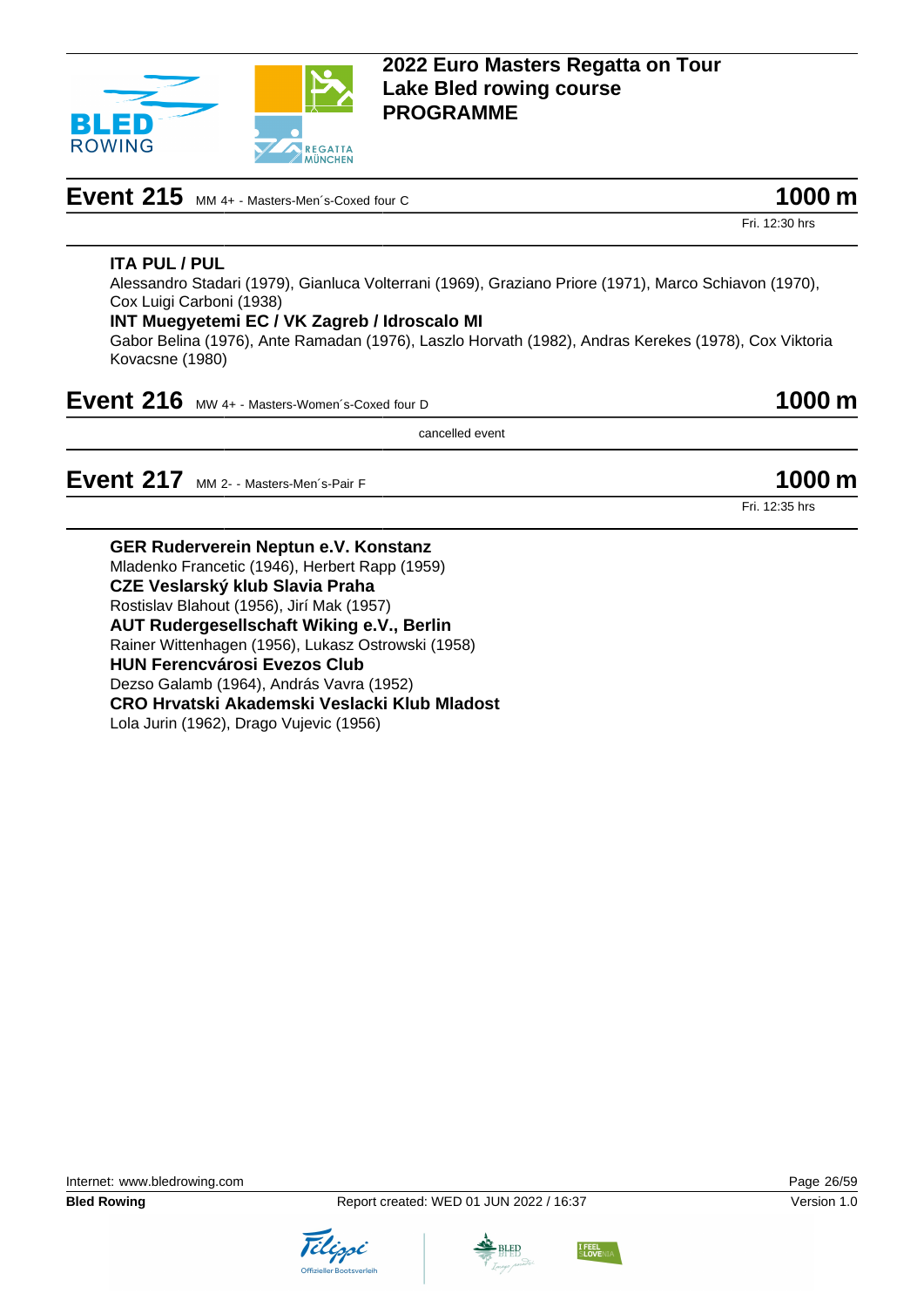

# **Event 215** MM 4+ - Masters-Men's-Coxed four C **1000 m**

Fri. 12:30 hrs

### **ITA PUL / PUL**

Alessandro Stadari (1979), Gianluca Volterrani (1969), Graziano Priore (1971), Marco Schiavon (1970), Cox Luigi Carboni (1938)

#### **INT Muegyetemi EC / VK Zagreb / Idroscalo MI**

Gabor Belina (1976), Ante Ramadan (1976), Laszlo Horvath (1982), Andras Kerekes (1978), Cox Viktoria Kovacsne (1980)

| Event 216 MW 4+ - Masters-Women's-Coxed four D | 1000 m |
|------------------------------------------------|--------|
|------------------------------------------------|--------|

cancelled event

**Event 217** MM 2- - Masters-Men's-Pair F **1000 m** 

Fri. 12:35 hrs

**GER Ruderverein Neptun e.V. Konstanz** Mladenko Francetic (1946), Herbert Rapp (1959) **CZE Veslarský klub Slavia Praha** Rostislav Blahout (1956), Jirí Mak (1957) **AUT Rudergesellschaft Wiking e.V., Berlin** Rainer Wittenhagen (1956), Lukasz Ostrowski (1958) **HUN Ferencvárosi Evezos Club** Dezso Galamb (1964), András Vavra (1952) **CRO Hrvatski Akademski Veslacki Klub Mladost**

Lola Jurin (1962), Drago Vujevic (1956)





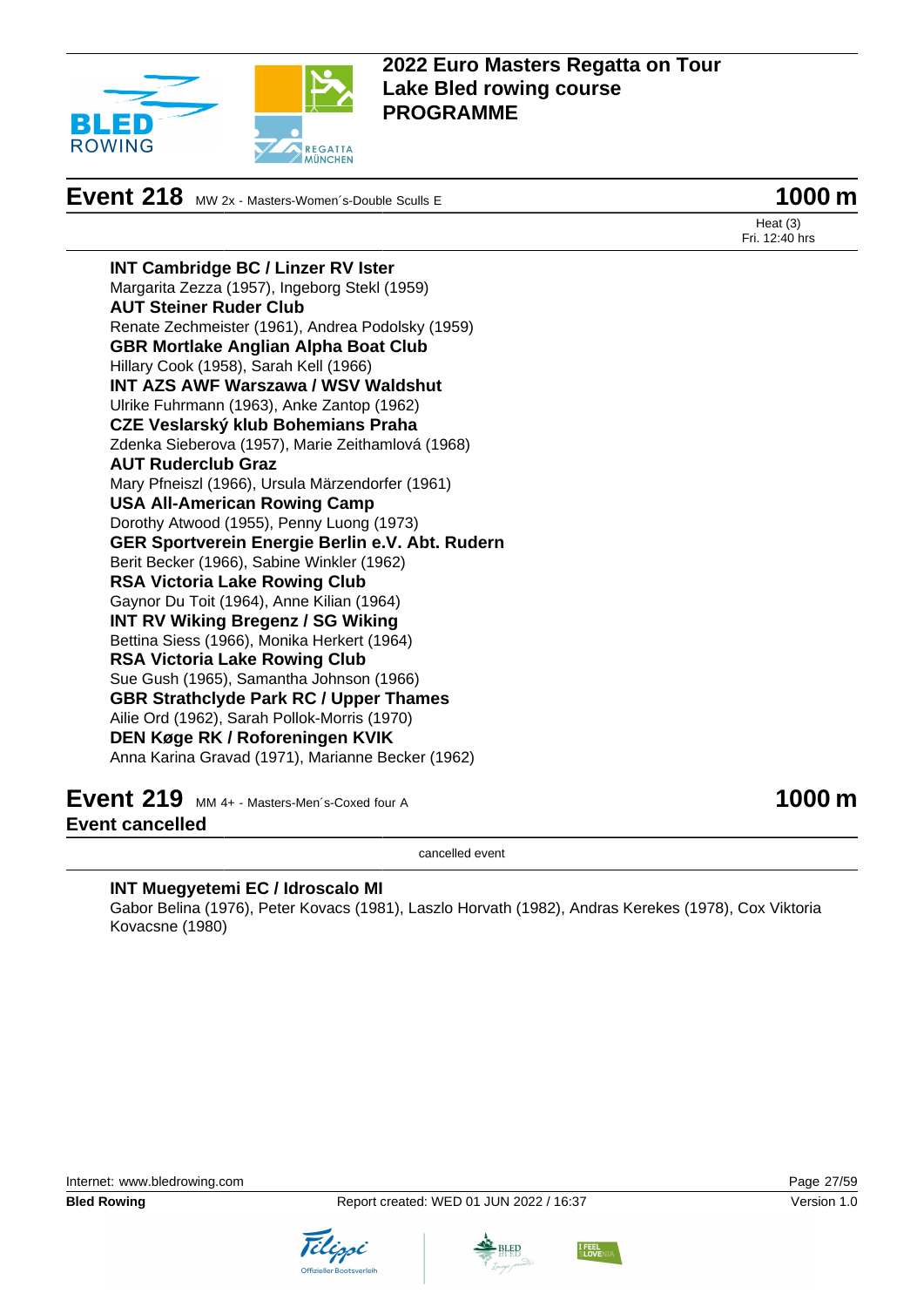

**Event 218** MW 2x - Masters-Women's-Double Sculls E **1000 m** 

Heat (3) Fri. 12:40 hrs

**INT Cambridge BC / Linzer RV Ister** Margarita Zezza (1957), Ingeborg Stekl (1959) **AUT Steiner Ruder Club** Renate Zechmeister (1961), Andrea Podolsky (1959) **GBR Mortlake Anglian Alpha Boat Club** Hillary Cook (1958), Sarah Kell (1966) **INT AZS AWF Warszawa / WSV Waldshut** Ulrike Fuhrmann (1963), Anke Zantop (1962) **CZE Veslarský klub Bohemians Praha** Zdenka Sieberova (1957), Marie Zeithamlová (1968) **AUT Ruderclub Graz** Mary Pfneiszl (1966), Ursula Märzendorfer (1961) **USA All-American Rowing Camp** Dorothy Atwood (1955), Penny Luong (1973) **GER Sportverein Energie Berlin e.V. Abt. Rudern** Berit Becker (1966), Sabine Winkler (1962) **RSA Victoria Lake Rowing Club** Gaynor Du Toit (1964), Anne Kilian (1964) **INT RV Wiking Bregenz / SG Wiking** Bettina Siess (1966), Monika Herkert (1964) **RSA Victoria Lake Rowing Club** Sue Gush (1965), Samantha Johnson (1966) **GBR Strathclyde Park RC / Upper Thames** Ailie Ord (1962), Sarah Pollok-Morris (1970) **DEN Køge RK / Roforeningen KVIK** Anna Karina Gravad (1971), Marianne Becker (1962)

**Event 219** MM 4+ - Masters-Men´s-Coxed four A **1000 m Event cancelled**

cancelled event

#### **INT Muegyetemi EC / Idroscalo MI**

Gabor Belina (1976), Peter Kovacs (1981), Laszlo Horvath (1982), Andras Kerekes (1978), Cox Viktoria Kovacsne (1980)





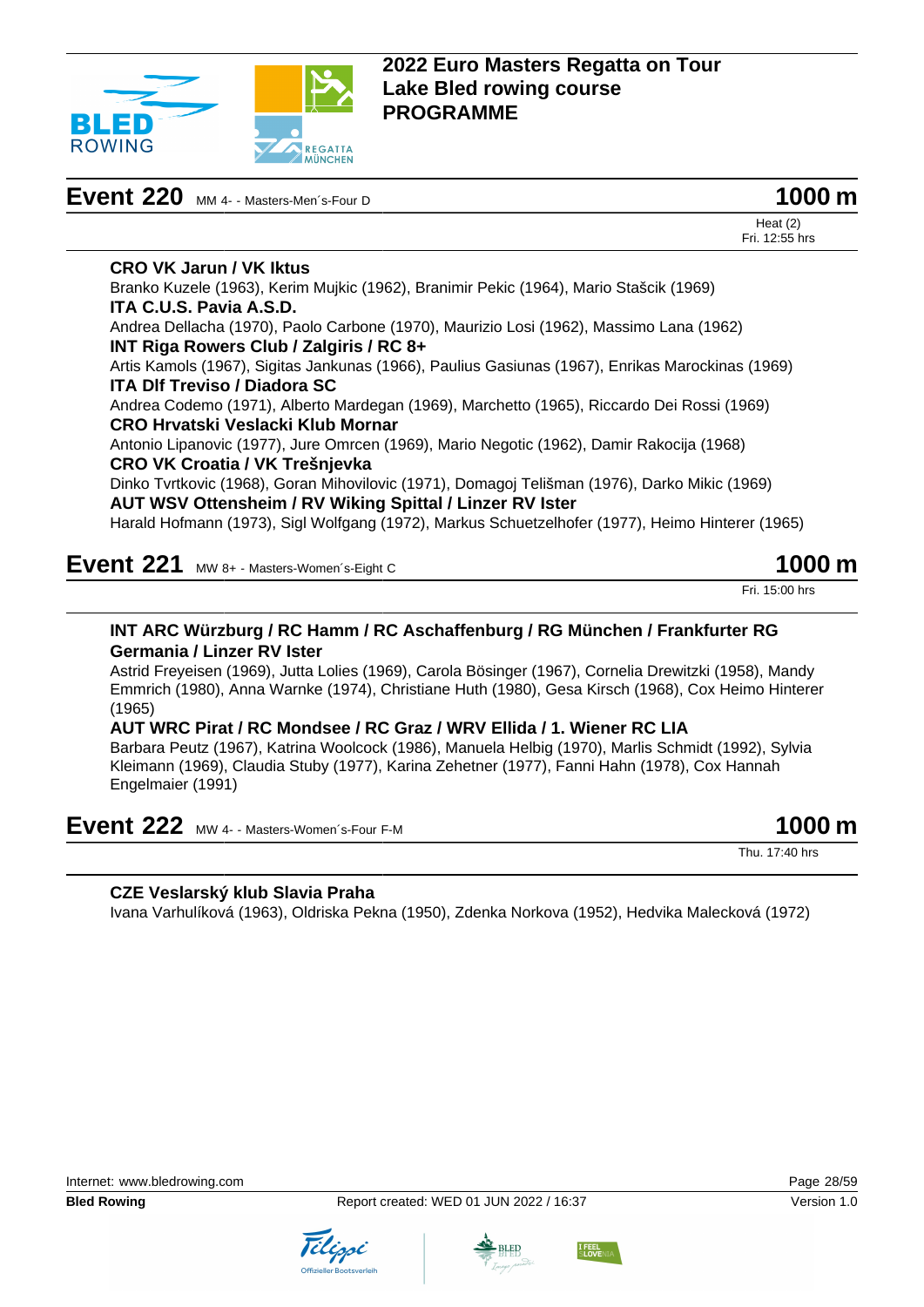

| Event 220 MM 4- - Masters-Men's-Four D | 1000 m |
|----------------------------------------|--------|
|----------------------------------------|--------|

**CRO VK Jarun / VK Iktus**

**ITA C.U.S. Pavia A.S.D.**



Heat (2) Fri. 12:55 hrs Branko Kuzele (1963), Kerim Mujkic (1962), Branimir Pekic (1964), Mario Stašcik (1969)

Andrea Dellacha (1970), Paolo Carbone (1970), Maurizio Losi (1962), Massimo Lana (1962) **INT Riga Rowers Club / Zalgiris / RC 8+** Artis Kamols (1967), Sigitas Jankunas (1966), Paulius Gasiunas (1967), Enrikas Marockinas (1969)

**ITA Dlf Treviso / Diadora SC**

Andrea Codemo (1971), Alberto Mardegan (1969), Marchetto (1965), Riccardo Dei Rossi (1969) **CRO Hrvatski Veslacki Klub Mornar**

Antonio Lipanovic (1977), Jure Omrcen (1969), Mario Negotic (1962), Damir Rakocija (1968) **CRO VK Croatia / VK Trešnjevka**

Dinko Tvrtkovic (1968), Goran Mihovilovic (1971), Domagoj Telišman (1976), Darko Mikic (1969) **AUT WSV Ottensheim / RV Wiking Spittal / Linzer RV Ister**

Harald Hofmann (1973), Sigl Wolfgang (1972), Markus Schuetzelhofer (1977), Heimo Hinterer (1965)

**Event 221** MW 8+ - Masters-Women's-Eight C **1000 m** 

Fri. 15:00 hrs

#### **INT ARC Würzburg / RC Hamm / RC Aschaffenburg / RG München / Frankfurter RG Germania / Linzer RV Ister**

Astrid Freyeisen (1969), Jutta Lolies (1969), Carola Bösinger (1967), Cornelia Drewitzki (1958), Mandy Emmrich (1980), Anna Warnke (1974), Christiane Huth (1980), Gesa Kirsch (1968), Cox Heimo Hinterer (1965)

#### **AUT WRC Pirat / RC Mondsee / RC Graz / WRV Ellida / 1. Wiener RC LIA**

Barbara Peutz (1967), Katrina Woolcock (1986), Manuela Helbig (1970), Marlis Schmidt (1992), Sylvia Kleimann (1969), Claudia Stuby (1977), Karina Zehetner (1977), Fanni Hahn (1978), Cox Hannah Engelmaier (1991)

## **Event 222** MW 4- - Masters-Women's-Four F-M **1000 m**

Thu. 17:40 hrs

### **CZE Veslarský klub Slavia Praha**

Ivana Varhulíková (1963), Oldriska Pekna (1950), Zdenka Norkova (1952), Hedvika Malecková (1972)





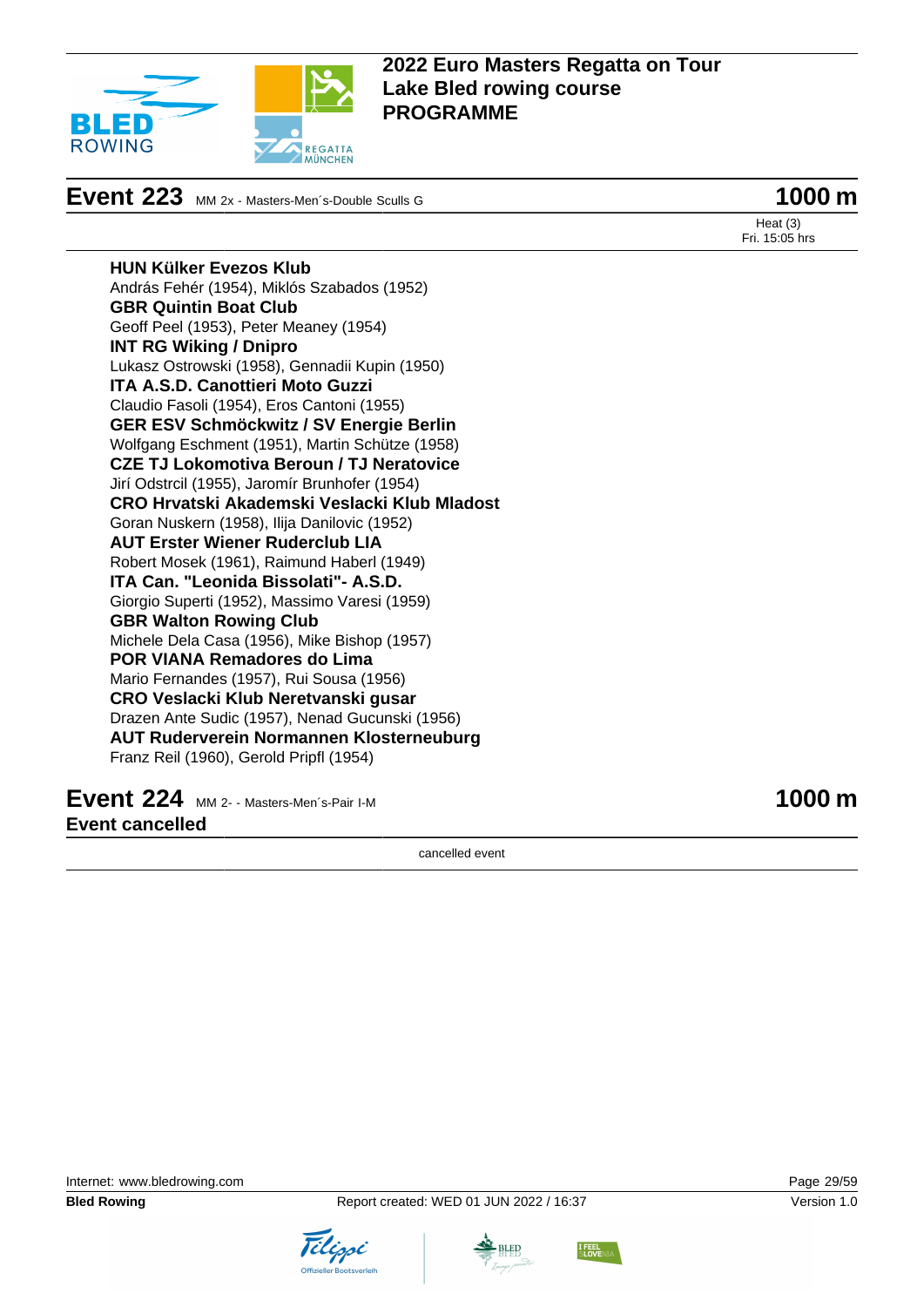

**Event 223** MM 2x - Masters-Men's-Double Sculls G **1000 m** 

Heat (3) Fri. 15:05 hrs

**HUN Külker Evezos Klub** András Fehér (1954), Miklós Szabados (1952) **GBR Quintin Boat Club** Geoff Peel (1953), Peter Meaney (1954) **INT RG Wiking / Dnipro** Lukasz Ostrowski (1958), Gennadii Kupin (1950) **ITA A.S.D. Canottieri Moto Guzzi** Claudio Fasoli (1954), Eros Cantoni (1955) **GER ESV Schmöckwitz / SV Energie Berlin** Wolfgang Eschment (1951), Martin Schütze (1958) **CZE TJ Lokomotiva Beroun / TJ Neratovice** Jirí Odstrcil (1955), Jaromír Brunhofer (1954) **CRO Hrvatski Akademski Veslacki Klub Mladost** Goran Nuskern (1958), Ilija Danilovic (1952) **AUT Erster Wiener Ruderclub LIA** Robert Mosek (1961), Raimund Haberl (1949) **ITA Can. "Leonida Bissolati"- A.S.D.** Giorgio Superti (1952), Massimo Varesi (1959) **GBR Walton Rowing Club** Michele Dela Casa (1956), Mike Bishop (1957) **POR VIANA Remadores do Lima** Mario Fernandes (1957), Rui Sousa (1956) **CRO Veslacki Klub Neretvanski gusar** Drazen Ante Sudic (1957), Nenad Gucunski (1956) **AUT Ruderverein Normannen Klosterneuburg** Franz Reil (1960), Gerold Pripfl (1954)

**Event 224** MM 2- - Masters-Men's-Pair I-M **1000 m Event cancelled**

cancelled event





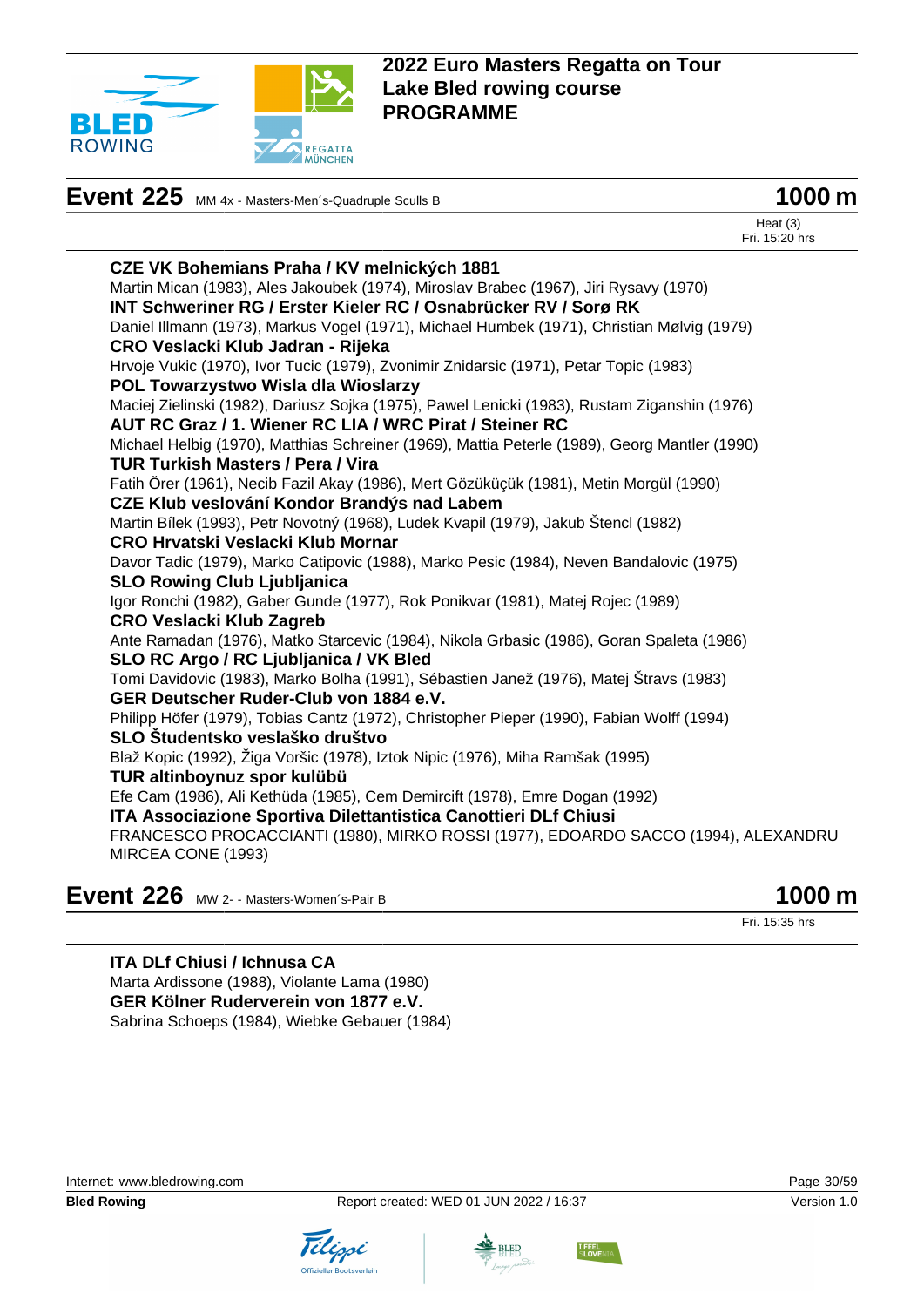

# **Event 225** MM 4x - Masters-Men<sup>-</sup>s-Quadruple Sculls B **1000 m**



Heat (3) Fri. 15:20 hrs

| <b>CZE VK Bohemians Praha / KV melnických 1881</b>                                            |
|-----------------------------------------------------------------------------------------------|
| Martin Mican (1983), Ales Jakoubek (1974), Miroslav Brabec (1967), Jiri Rysavy (1970)         |
| INT Schweriner RG / Erster Kieler RC / Osnabrücker RV / Sorø RK                               |
| Daniel Illmann (1973), Markus Vogel (1971), Michael Humbek (1971), Christian Mølvig (1979)    |
| CRO Veslacki Klub Jadran - Rijeka                                                             |
| Hrvoje Vukic (1970), Ivor Tucic (1979), Zvonimir Znidarsic (1971), Petar Topic (1983)         |
| POL Towarzystwo Wisla dla Wioslarzy                                                           |
| Maciej Zielinski (1982), Dariusz Sojka (1975), Pawel Lenicki (1983), Rustam Ziganshin (1976)  |
| AUT RC Graz / 1. Wiener RC LIA / WRC Pirat / Steiner RC                                       |
| Michael Helbig (1970), Matthias Schreiner (1969), Mattia Peterle (1989), Georg Mantler (1990) |
| <b>TUR Turkish Masters / Pera / Vira</b>                                                      |
| Fatih Örer (1961), Necib Fazil Akay (1986), Mert Gözüküçük (1981), Metin Morgül (1990)        |
| CZE Klub veslování Kondor Brandýs nad Labem                                                   |
| Martin Bílek (1993), Petr Novotný (1968), Ludek Kvapil (1979), Jakub Štencl (1982)            |
| <b>CRO Hrvatski Veslacki Klub Mornar</b>                                                      |
| Davor Tadic (1979), Marko Catipovic (1988), Marko Pesic (1984), Neven Bandalovic (1975)       |
| <b>SLO Rowing Club Ljubljanica</b>                                                            |
| Igor Ronchi (1982), Gaber Gunde (1977), Rok Ponikvar (1981), Matej Rojec (1989)               |
| <b>CRO Veslacki Klub Zagreb</b>                                                               |
| Ante Ramadan (1976), Matko Starcevic (1984), Nikola Grbasic (1986), Goran Spaleta (1986)      |
| SLO RC Argo / RC Ljubljanica / VK Bled                                                        |
| Tomi Davidovic (1983), Marko Bolha (1991), Sébastien Janež (1976), Matej Štravs (1983)        |
| GER Deutscher Ruder-Club von 1884 e.V.                                                        |
| Philipp Höfer (1979), Tobias Cantz (1972), Christopher Pieper (1990), Fabian Wolff (1994)     |
| SLO Študentsko veslaško društvo                                                               |
| Blaž Kopic (1992), Žiga Voršic (1978), Iztok Nipic (1976), Miha Ramšak (1995)                 |
| TUR altinboynuz spor kulübü                                                                   |
| Efe Cam (1986), Ali Kethüda (1985), Cem Demircift (1978), Emre Dogan (1992)                   |
| ITA Associazione Sportiva Dilettantistica Canottieri DLf Chiusi                               |
| FRANCESCO PROCACCIANTI (1980), MIRKO ROSSI (1977), EDOARDO SACCO (1994), ALEXANDRU            |
| MIRCEA CONE (1993)                                                                            |
|                                                                                               |

**Event 226** MW 2- - Masters-Women's-Pair B **1000 m** 

Fri. 15:35 hrs

**ITA DLf Chiusi / Ichnusa CA** Marta Ardissone (1988), Violante Lama (1980) **GER Kölner Ruderverein von 1877 e.V.** Sabrina Schoeps (1984), Wiebke Gebauer (1984)





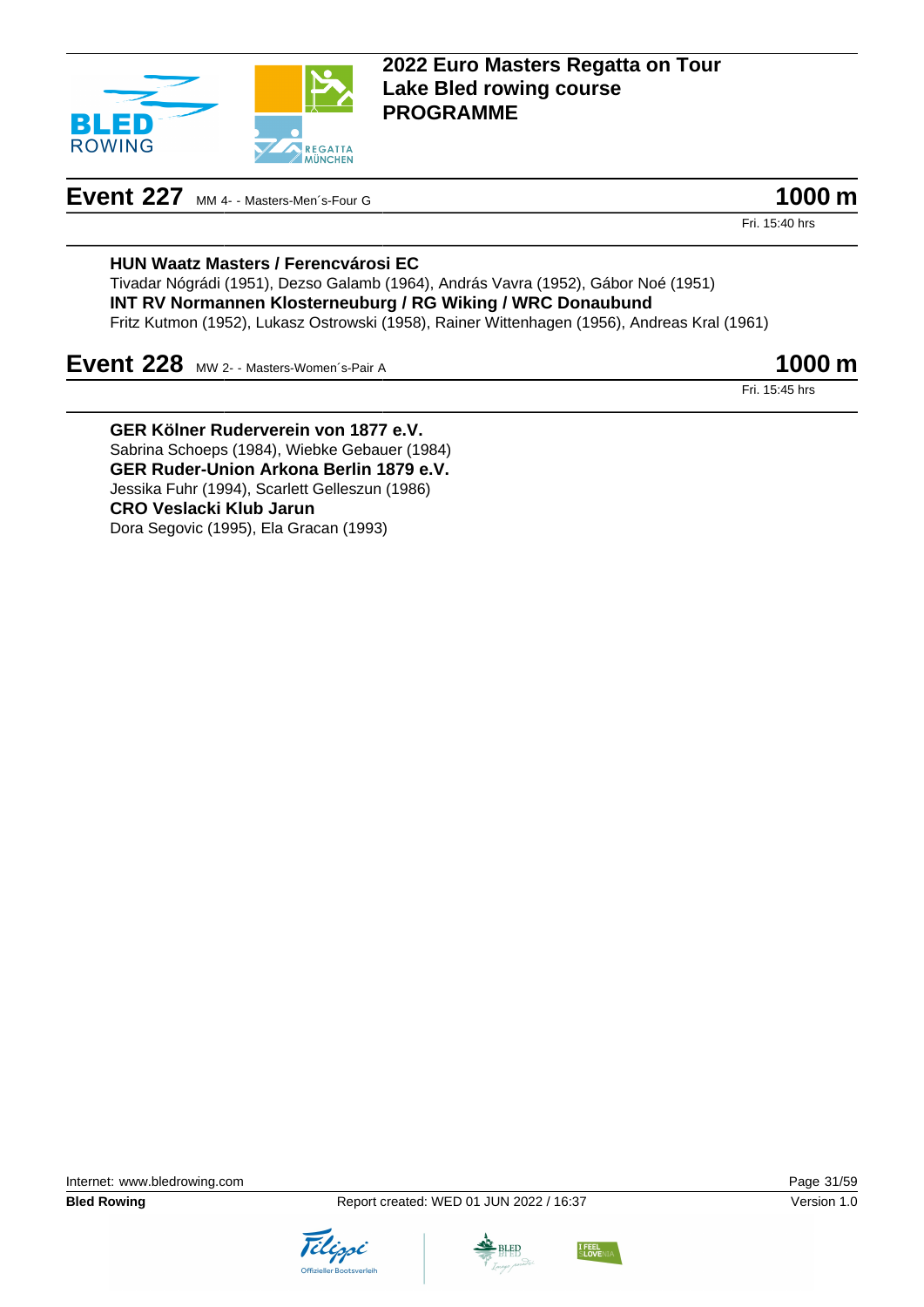

# **Event 227** MM 4- - Masters-Men's-Four G **1000 m**

Fri. 15:40 hrs

#### **HUN Waatz Masters / Ferencvárosi EC**

Tivadar Nógrádi (1951), Dezso Galamb (1964), András Vavra (1952), Gábor Noé (1951) **INT RV Normannen Klosterneuburg / RG Wiking / WRC Donaubund** Fritz Kutmon (1952), Lukasz Ostrowski (1958), Rainer Wittenhagen (1956), Andreas Kral (1961)

## **Event 228** MW 2- - Masters-Women's-Pair A **1000 m**

Fri. 15:45 hrs

**GER Kölner Ruderverein von 1877 e.V.** Sabrina Schoeps (1984), Wiebke Gebauer (1984) **GER Ruder-Union Arkona Berlin 1879 e.V.** Jessika Fuhr (1994), Scarlett Gelleszun (1986) **CRO Veslacki Klub Jarun** Dora Segovic (1995), Ela Gracan (1993)





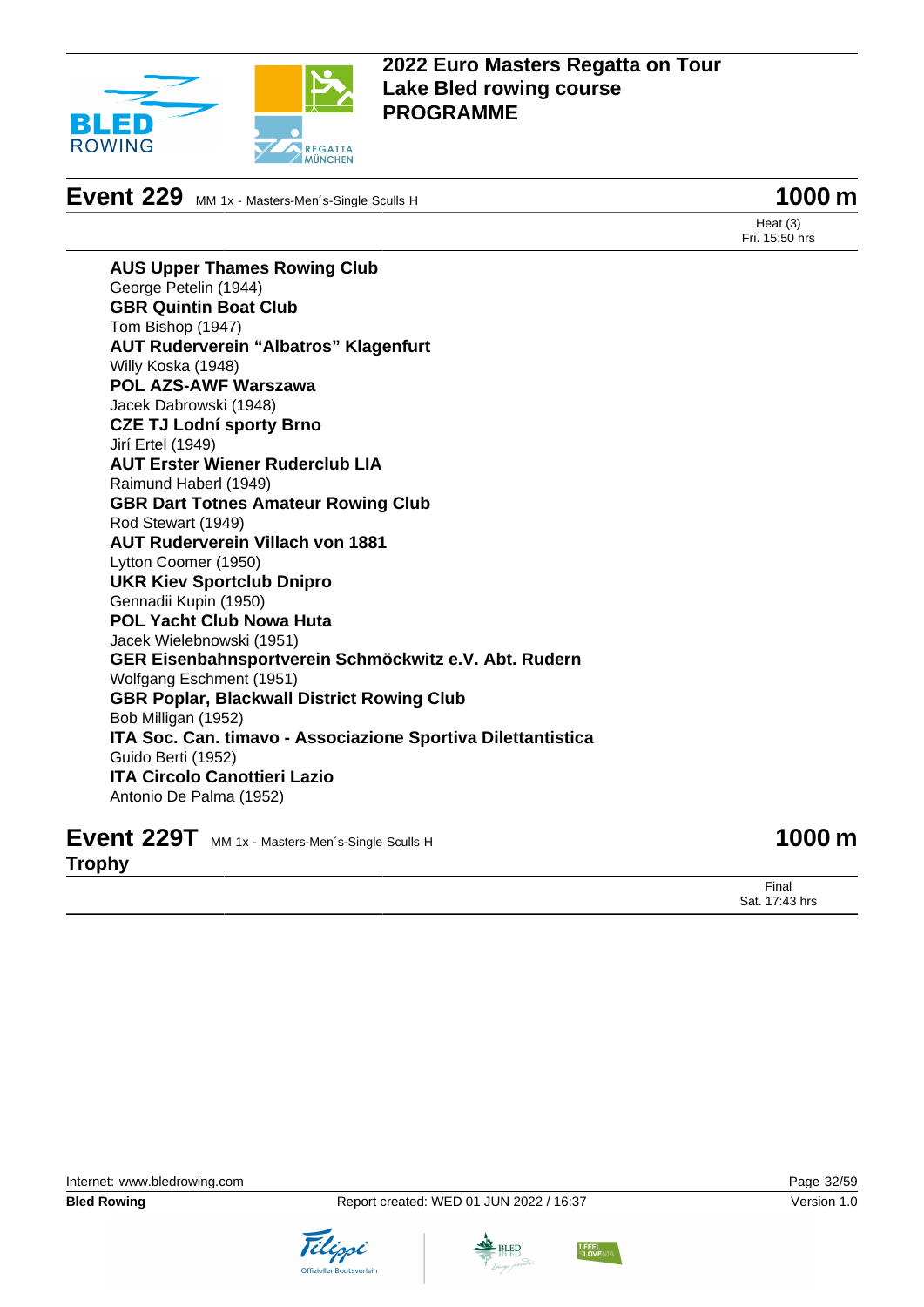

**Event 229** MM 1x - Masters-Men´s-Single Sculls H **1000 m** 

Heat (3) Fri. 15:50 hrs

**AUS Upper Thames Rowing Club** George Petelin (1944) **GBR Quintin Boat Club** Tom Bishop (1947) **AUT Ruderverein "Albatros" Klagenfurt** Willy Koska (1948) **POL AZS-AWF Warszawa** Jacek Dabrowski (1948) **CZE TJ Lodní sporty Brno** Jirí Ertel (1949) **AUT Erster Wiener Ruderclub LIA** Raimund Haberl (1949) **GBR Dart Totnes Amateur Rowing Club** Rod Stewart (1949) **AUT Ruderverein Villach von 1881** Lytton Coomer (1950) **UKR Kiev Sportclub Dnipro** Gennadii Kupin (1950) **POL Yacht Club Nowa Huta** Jacek Wielebnowski (1951) **GER Eisenbahnsportverein Schmöckwitz e.V. Abt. Rudern** Wolfgang Eschment (1951) **GBR Poplar, Blackwall District Rowing Club** Bob Milligan (1952) **ITA Soc. Can. timavo - Associazione Sportiva Dilettantistica** Guido Berti (1952) **ITA Circolo Canottieri Lazio** Antonio De Palma (1952)

**Event 229T** MM 1x - Masters-Men's-Single Sculls H **1000 m** 

Final Sat. 17:43 hrs

**Trophy**





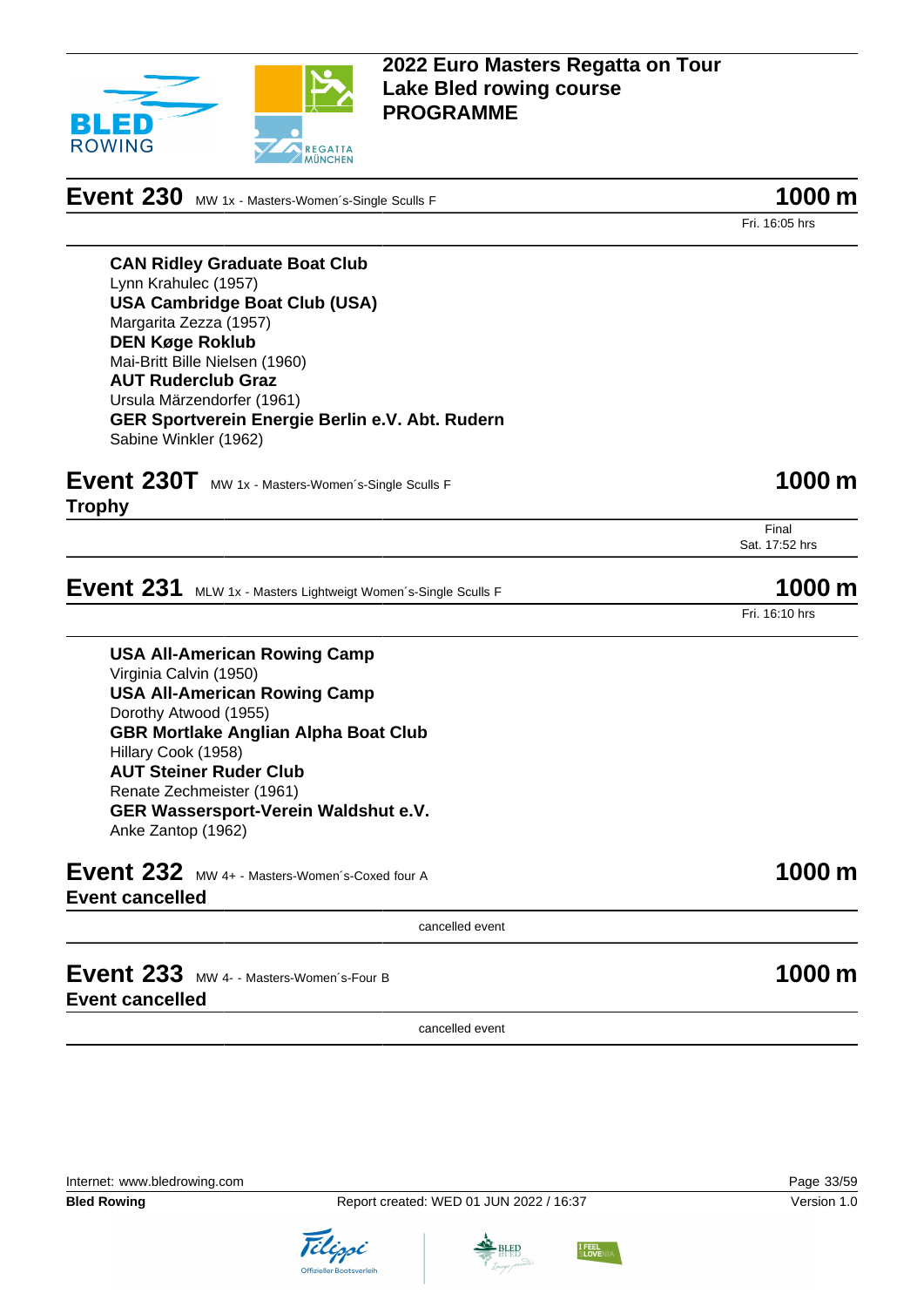

**Event 230** MW 1x - Masters-Women's-Single Sculls F **1000 m** 

Fri. 16:05 hrs

**CAN Ridley Graduate Boat Club** Lynn Krahulec (1957) **USA Cambridge Boat Club (USA)** Margarita Zezza (1957) **DEN Køge Roklub** Mai-Britt Bille Nielsen (1960) **AUT Ruderclub Graz** Ursula Märzendorfer (1961) **GER Sportverein Energie Berlin e.V. Abt. Rudern** Sabine Winkler (1962)

| Event 230T MW 1x - Masters-Women's-Single Sculls F | 1000 m |
|----------------------------------------------------|--------|
|----------------------------------------------------|--------|

**Trophy**

Final Sat. 17:52 hrs

**Event 231** MLW 1x - Masters Lightweigt Women's-Single Sculls F **1000 m** 

Fri. 16:10 hrs

**USA All-American Rowing Camp** Virginia Calvin (1950) **USA All-American Rowing Camp** Dorothy Atwood (1955) **GBR Mortlake Anglian Alpha Boat Club** Hillary Cook (1958) **AUT Steiner Ruder Club** Renate Zechmeister (1961) **GER Wassersport-Verein Waldshut e.V.** Anke Zantop (1962)

**Event 232** MW 4+ - Masters-Women's-Coxed four A **1000 m Event cancelled**

cancelled event

**Event 233** MW 4- - Masters-Women's-Four B **1000 m Event cancelled**

cancelled event

Internet: [www.bledrowing.com](http://www.bledrowing.com) Page 33/59





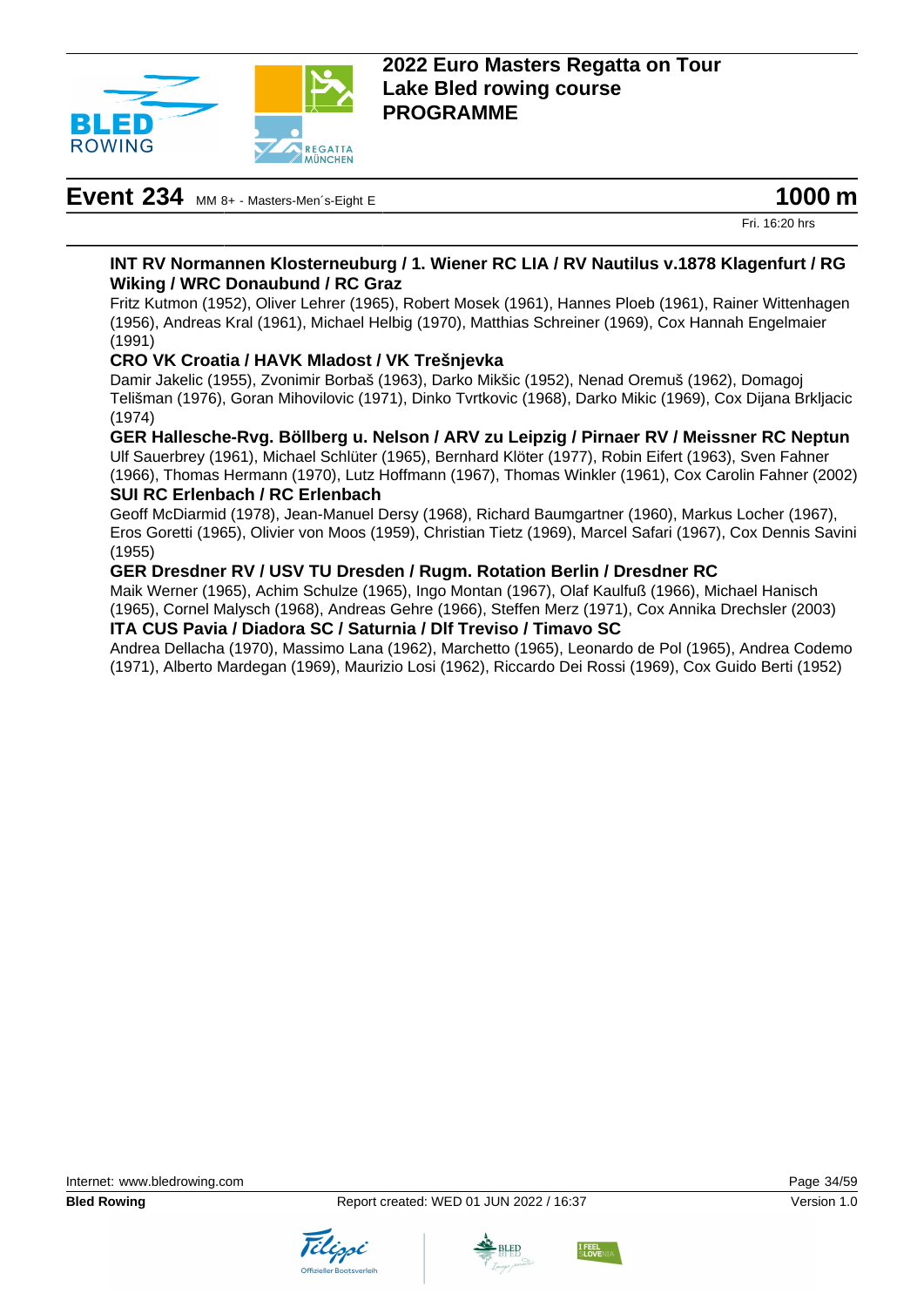

# **Event 234** MM 8+ - Masters-Men´s-Eight E **1000 m**

Fri. 16:20 hrs

#### **INT RV Normannen Klosterneuburg / 1. Wiener RC LIA / RV Nautilus v.1878 Klagenfurt / RG Wiking / WRC Donaubund / RC Graz**

Fritz Kutmon (1952), Oliver Lehrer (1965), Robert Mosek (1961), Hannes Ploeb (1961), Rainer Wittenhagen (1956), Andreas Kral (1961), Michael Helbig (1970), Matthias Schreiner (1969), Cox Hannah Engelmaier (1991)

#### **CRO VK Croatia / HAVK Mladost / VK Trešnjevka**

Damir Jakelic (1955), Zvonimir Borbaš (1963), Darko Mikšic (1952), Nenad Oremuš (1962), Domagoj Telišman (1976), Goran Mihovilovic (1971), Dinko Tvrtkovic (1968), Darko Mikic (1969), Cox Dijana Brkljacic (1974)

#### **GER Hallesche-Rvg. Böllberg u. Nelson / ARV zu Leipzig / Pirnaer RV / Meissner RC Neptun**

Ulf Sauerbrey (1961), Michael Schlüter (1965), Bernhard Klöter (1977), Robin Eifert (1963), Sven Fahner (1966), Thomas Hermann (1970), Lutz Hoffmann (1967), Thomas Winkler (1961), Cox Carolin Fahner (2002) **SUI RC Erlenbach / RC Erlenbach**

Geoff McDiarmid (1978), Jean-Manuel Dersy (1968), Richard Baumgartner (1960), Markus Locher (1967), Eros Goretti (1965), Olivier von Moos (1959), Christian Tietz (1969), Marcel Safari (1967), Cox Dennis Savini (1955)

#### **GER Dresdner RV / USV TU Dresden / Rugm. Rotation Berlin / Dresdner RC**

Maik Werner (1965), Achim Schulze (1965), Ingo Montan (1967), Olaf Kaulfuß (1966), Michael Hanisch (1965), Cornel Malysch (1968), Andreas Gehre (1966), Steffen Merz (1971), Cox Annika Drechsler (2003) **ITA CUS Pavia / Diadora SC / Saturnia / Dlf Treviso / Timavo SC**

Andrea Dellacha (1970), Massimo Lana (1962), Marchetto (1965), Leonardo de Pol (1965), Andrea Codemo (1971), Alberto Mardegan (1969), Maurizio Losi (1962), Riccardo Dei Rossi (1969), Cox Guido Berti (1952)





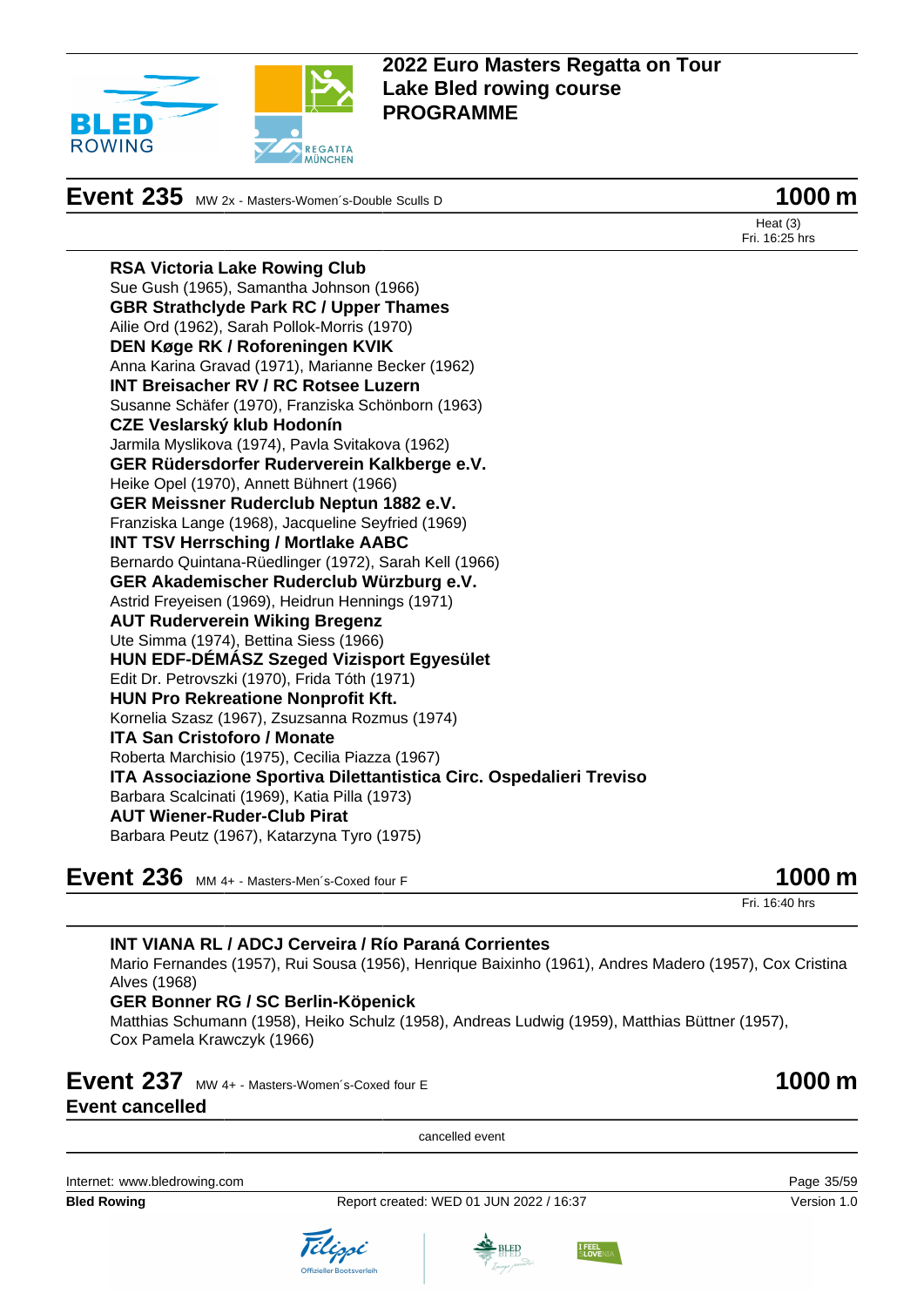

# **Event 235** MW 2x - Masters-Women's-Double Sculls D **1000 m**

Heat (3) Fri. 16:25 hrs

**RSA Victoria Lake Rowing Club** Sue Gush (1965), Samantha Johnson (1966) **GBR Strathclyde Park RC / Upper Thames** Ailie Ord (1962), Sarah Pollok-Morris (1970) **DEN Køge RK / Roforeningen KVIK** Anna Karina Gravad (1971), Marianne Becker (1962) **INT Breisacher RV / RC Rotsee Luzern** Susanne Schäfer (1970), Franziska Schönborn (1963) **CZE Veslarský klub Hodonín** Jarmila Myslikova (1974), Pavla Svitakova (1962) **GER Rüdersdorfer Ruderverein Kalkberge e.V.** Heike Opel (1970), Annett Bühnert (1966) **GER Meissner Ruderclub Neptun 1882 e.V.** Franziska Lange (1968), Jacqueline Seyfried (1969) **INT TSV Herrsching / Mortlake AABC** Bernardo Quintana-Rüedlinger (1972), Sarah Kell (1966) **GER Akademischer Ruderclub Würzburg e.V.** Astrid Freyeisen (1969), Heidrun Hennings (1971) **AUT Ruderverein Wiking Bregenz** Ute Simma (1974), Bettina Siess (1966) **HUN EDF-DÉMÁSZ Szeged Vizisport Egyesület** Edit Dr. Petrovszki (1970), Frida Tóth (1971) **HUN Pro Rekreatione Nonprofit Kft.** Kornelia Szasz (1967), Zsuzsanna Rozmus (1974) **ITA San Cristoforo / Monate** Roberta Marchisio (1975), Cecilia Piazza (1967) **ITA Associazione Sportiva Dilettantistica Circ. Ospedalieri Treviso** Barbara Scalcinati (1969), Katia Pilla (1973) **AUT Wiener-Ruder-Club Pirat** Barbara Peutz (1967), Katarzyna Tyro (1975)

**Event 236** MM 4+ - Masters-Men´s-Coxed four F **1000 m** 

Fri. 16:40 hrs

| <b>INT VIANA RL / ADCJ Cerveira / Río Paraná Corrientes</b>                                                                  |                     |
|------------------------------------------------------------------------------------------------------------------------------|---------------------|
| Mario Fernandes (1957), Rui Sousa (1956), Henrique Baixinho (1961), Andres Madero (1957), Cox Cristina<br>Alves (1968)       |                     |
| <b>GER Bonner RG / SC Berlin-Köpenick</b>                                                                                    |                     |
| Matthias Schumann (1958), Heiko Schulz (1958), Andreas Ludwig (1959), Matthias Büttner (1957),<br>Cox Pamela Krawczyk (1966) |                     |
| Event 237 MW 4+ - Masters-Women's-Coxed four E                                                                               | $1000 \,\mathrm{m}$ |
| <b>Event cancelled</b>                                                                                                       |                     |
| cancelled event                                                                                                              |                     |
|                                                                                                                              |                     |

Internet: [www.bledrowing.com](http://www.bledrowing.com) Page 35/59

**Bled Rowing The Report created: WED 01 JUN 2022 / 16:37 Version 1.0** Version 1.0



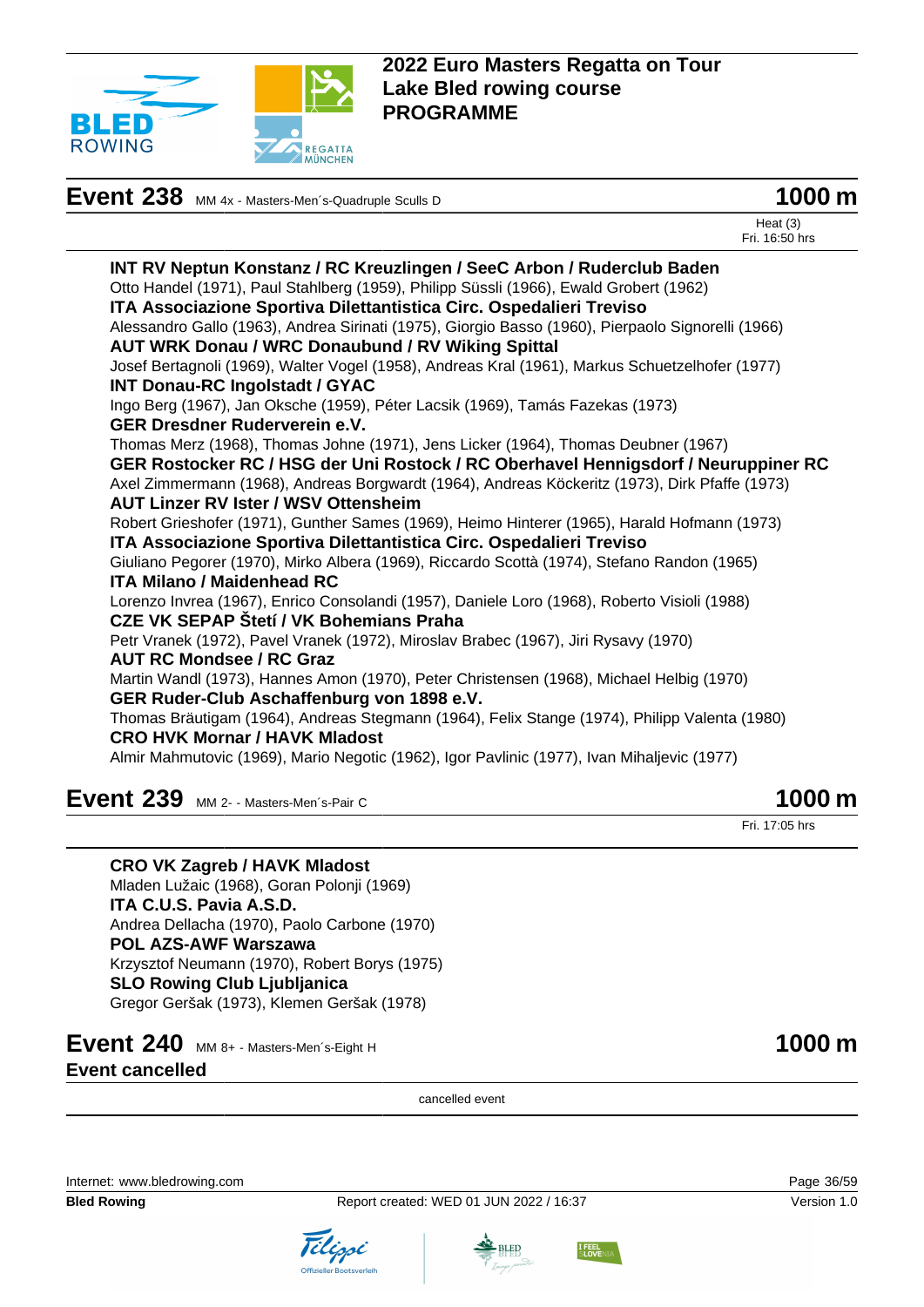

| Event 238 MM 4x - Masters-Men's-Quadruple Sculls D | 1000 m |
|----------------------------------------------------|--------|
|----------------------------------------------------|--------|



Heat (3) Fri. 16:50 hrs

**INT RV Neptun Konstanz / RC Kreuzlingen / SeeC Arbon / Ruderclub Baden** Otto Handel (1971), Paul Stahlberg (1959), Philipp Süssli (1966), Ewald Grobert (1962) **ITA Associazione Sportiva Dilettantistica Circ. Ospedalieri Treviso** Alessandro Gallo (1963), Andrea Sirinati (1975), Giorgio Basso (1960), Pierpaolo Signorelli (1966) **AUT WRK Donau / WRC Donaubund / RV Wiking Spittal** Josef Bertagnoli (1969), Walter Vogel (1958), Andreas Kral (1961), Markus Schuetzelhofer (1977) **INT Donau-RC Ingolstadt / GYAC** Ingo Berg (1967), Jan Oksche (1959), Péter Lacsik (1969), Tamás Fazekas (1973) **GER Dresdner Ruderverein e.V.** Thomas Merz (1968), Thomas Johne (1971), Jens Licker (1964), Thomas Deubner (1967) **GER Rostocker RC / HSG der Uni Rostock / RC Oberhavel Hennigsdorf / Neuruppiner RC** Axel Zimmermann (1968), Andreas Borgwardt (1964), Andreas Köckeritz (1973), Dirk Pfaffe (1973) **AUT Linzer RV Ister / WSV Ottensheim** Robert Grieshofer (1971), Gunther Sames (1969), Heimo Hinterer (1965), Harald Hofmann (1973) **ITA Associazione Sportiva Dilettantistica Circ. Ospedalieri Treviso** Giuliano Pegorer (1970), Mirko Albera (1969), Riccardo Scottà (1974), Stefano Randon (1965) **ITA Milano / Maidenhead RC** Lorenzo Invrea (1967), Enrico Consolandi (1957), Daniele Loro (1968), Roberto Visioli (1988) **CZE VK SEPAP Štetí / VK Bohemians Praha** Petr Vranek (1972), Pavel Vranek (1972), Miroslav Brabec (1967), Jiri Rysavy (1970) **AUT RC Mondsee / RC Graz** Martin Wandl (1973), Hannes Amon (1970), Peter Christensen (1968), Michael Helbig (1970) **GER Ruder-Club Aschaffenburg von 1898 e.V.** Thomas Bräutigam (1964), Andreas Stegmann (1964), Felix Stange (1974), Philipp Valenta (1980) **CRO HVK Mornar / HAVK Mladost** Almir Mahmutovic (1969), Mario Negotic (1962), Igor Pavlinic (1977), Ivan Mihaljevic (1977)

**Event 239** MM 2- - Masters-Men's-Pair C **1000 m** 

**CRO VK Zagreb / HAVK Mladost**

Mladen Lužaic (1968), Goran Polonji (1969) **ITA C.U.S. Pavia A.S.D.** Andrea Dellacha (1970), Paolo Carbone (1970) **POL AZS-AWF Warszawa** Krzysztof Neumann (1970), Robert Borys (1975) **SLO Rowing Club Ljubljanica** Gregor Geršak (1973), Klemen Geršak (1978)

## **Event 240** MM 8+ - Masters-Men´s-Eight H **1000 m** 1000 m **Event cancelled**

cancelled event

Internet: [www.bledrowing.com](http://www.bledrowing.com) Page 36/59

**Bled Rowing The Report created: WED 01 JUN 2022 / 16:37 Version 1.0** Version 1.0









Fri. 17:05 hrs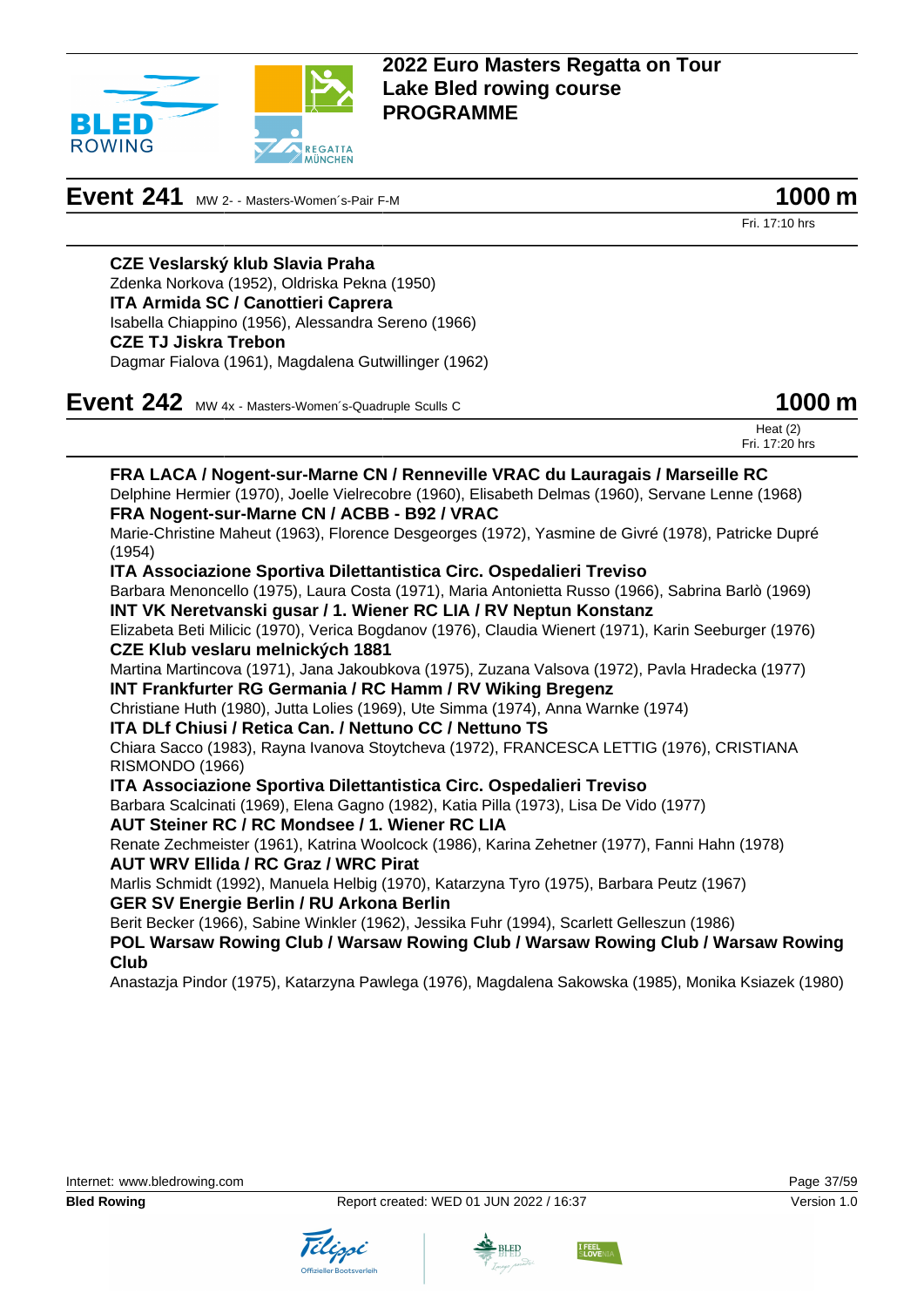

## **Event 241** MW 2- - Masters-Women's-Pair F-M **1000 m**

Fri. 17:10 hrs

## **CZE Veslarský klub Slavia Praha**

Zdenka Norkova (1952), Oldriska Pekna (1950) **ITA Armida SC / Canottieri Caprera** Isabella Chiappino (1956), Alessandra Sereno (1966) **CZE TJ Jiskra Trebon** Dagmar Fialova (1961), Magdalena Gutwillinger (1962)

**Event 242** MW 4x - Masters-Women's-Quadruple Sculls C

|  | 1000 m |  |
|--|--------|--|
|--|--------|--|

|  | Heat $(2)$<br>Fri. 17:20 hrs |
|--|------------------------------|
|  |                              |

**FRA LACA / Nogent-sur-Marne CN / Renneville VRAC du Lauragais / Marseille RC** Delphine Hermier (1970), Joelle Vielrecobre (1960), Elisabeth Delmas (1960), Servane Lenne (1968) **FRA Nogent-sur-Marne CN / ACBB - B92 / VRAC** Marie-Christine Maheut (1963), Florence Desgeorges (1972), Yasmine de Givré (1978), Patricke Dupré (1954) **ITA Associazione Sportiva Dilettantistica Circ. Ospedalieri Treviso** Barbara Menoncello (1975), Laura Costa (1971), Maria Antonietta Russo (1966), Sabrina Barlò (1969) **INT VK Neretvanski gusar / 1. Wiener RC LIA / RV Neptun Konstanz** Elizabeta Beti Milicic (1970), Verica Bogdanov (1976), Claudia Wienert (1971), Karin Seeburger (1976) **CZE Klub veslaru melnických 1881** Martina Martincova (1971), Jana Jakoubkova (1975), Zuzana Valsova (1972), Pavla Hradecka (1977) **INT Frankfurter RG Germania / RC Hamm / RV Wiking Bregenz** Christiane Huth (1980), Jutta Lolies (1969), Ute Simma (1974), Anna Warnke (1974) **ITA DLf Chiusi / Retica Can. / Nettuno CC / Nettuno TS** Chiara Sacco (1983), Rayna Ivanova Stoytcheva (1972), FRANCESCA LETTIG (1976), CRISTIANA RISMONDO (1966) **ITA Associazione Sportiva Dilettantistica Circ. Ospedalieri Treviso** Barbara Scalcinati (1969), Elena Gagno (1982), Katia Pilla (1973), Lisa De Vido (1977) **AUT Steiner RC / RC Mondsee / 1. Wiener RC LIA**

Renate Zechmeister (1961), Katrina Woolcock (1986), Karina Zehetner (1977), Fanni Hahn (1978) **AUT WRV Ellida / RC Graz / WRC Pirat**

Marlis Schmidt (1992), Manuela Helbig (1970), Katarzyna Tyro (1975), Barbara Peutz (1967) **GER SV Energie Berlin / RU Arkona Berlin**

Berit Becker (1966), Sabine Winkler (1962), Jessika Fuhr (1994), Scarlett Gelleszun (1986)

**POL Warsaw Rowing Club / Warsaw Rowing Club / Warsaw Rowing Club / Warsaw Rowing Club**

Anastazja Pindor (1975), Katarzyna Pawlega (1976), Magdalena Sakowska (1985), Monika Ksiazek (1980)





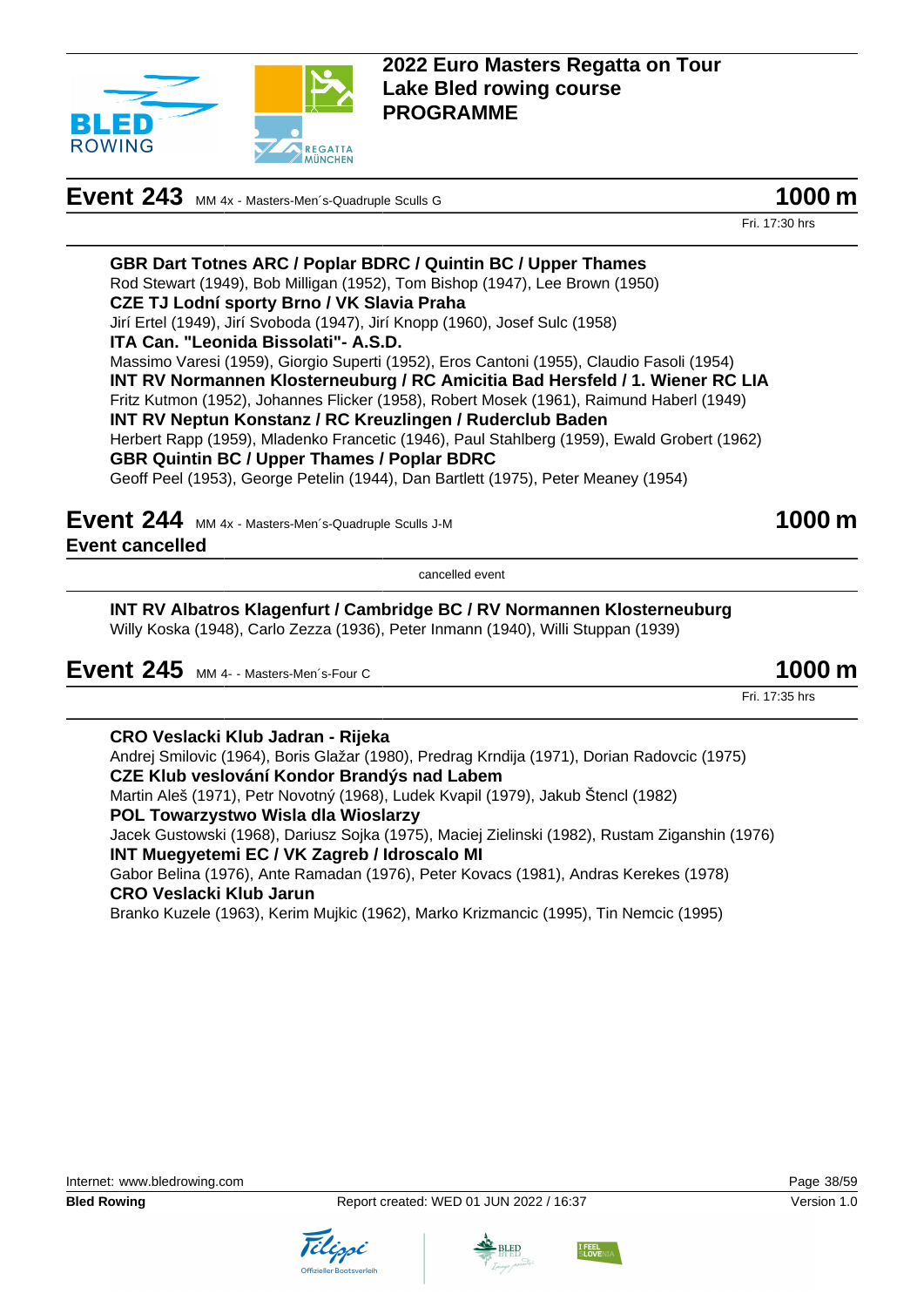

# **Event 243** MM 4x - Masters-Men's-Quadruple Sculls G **1000 m**

Fri. 17:30 hrs

**GBR Dart Totnes ARC / Poplar BDRC / Quintin BC / Upper Thames** Rod Stewart (1949), Bob Milligan (1952), Tom Bishop (1947), Lee Brown (1950) **CZE TJ Lodní sporty Brno / VK Slavia Praha** Jirí Ertel (1949), Jirí Svoboda (1947), Jirí Knopp (1960), Josef Sulc (1958) **ITA Can. "Leonida Bissolati"- A.S.D.** Massimo Varesi (1959), Giorgio Superti (1952), Eros Cantoni (1955), Claudio Fasoli (1954) **INT RV Normannen Klosterneuburg / RC Amicitia Bad Hersfeld / 1. Wiener RC LIA** Fritz Kutmon (1952), Johannes Flicker (1958), Robert Mosek (1961), Raimund Haberl (1949) **INT RV Neptun Konstanz / RC Kreuzlingen / Ruderclub Baden** Herbert Rapp (1959), Mladenko Francetic (1946), Paul Stahlberg (1959), Ewald Grobert (1962) **GBR Quintin BC / Upper Thames / Poplar BDRC** Geoff Peel (1953), George Petelin (1944), Dan Bartlett (1975), Peter Meaney (1954)

**Event 244** MM 4x - Masters-Men's-Quadruple Sculls J-M **1000 m Event cancelled**

cancelled event

**INT RV Albatros Klagenfurt / Cambridge BC / RV Normannen Klosterneuburg** Willy Koska (1948), Carlo Zezza (1936), Peter Inmann (1940), Willi Stuppan (1939)

| Event 245 MM 4- - Masters-Men's-Four C | 1000 m |
|----------------------------------------|--------|
|----------------------------------------|--------|

Fri. 17:35 hrs

**CRO Veslacki Klub Jadran - Rijeka** Andrej Smilovic (1964), Boris Glažar (1980), Predrag Krndija (1971), Dorian Radovcic (1975) **CZE Klub veslování Kondor Brandýs nad Labem** Martin Aleš (1971), Petr Novotný (1968), Ludek Kvapil (1979), Jakub Štencl (1982) **POL Towarzystwo Wisla dla Wioslarzy** Jacek Gustowski (1968), Dariusz Sojka (1975), Maciej Zielinski (1982), Rustam Ziganshin (1976) **INT Muegyetemi EC / VK Zagreb / Idroscalo MI** Gabor Belina (1976), Ante Ramadan (1976), Peter Kovacs (1981), Andras Kerekes (1978) **CRO Veslacki Klub Jarun** Branko Kuzele (1963), Kerim Mujkic (1962), Marko Krizmancic (1995), Tin Nemcic (1995)





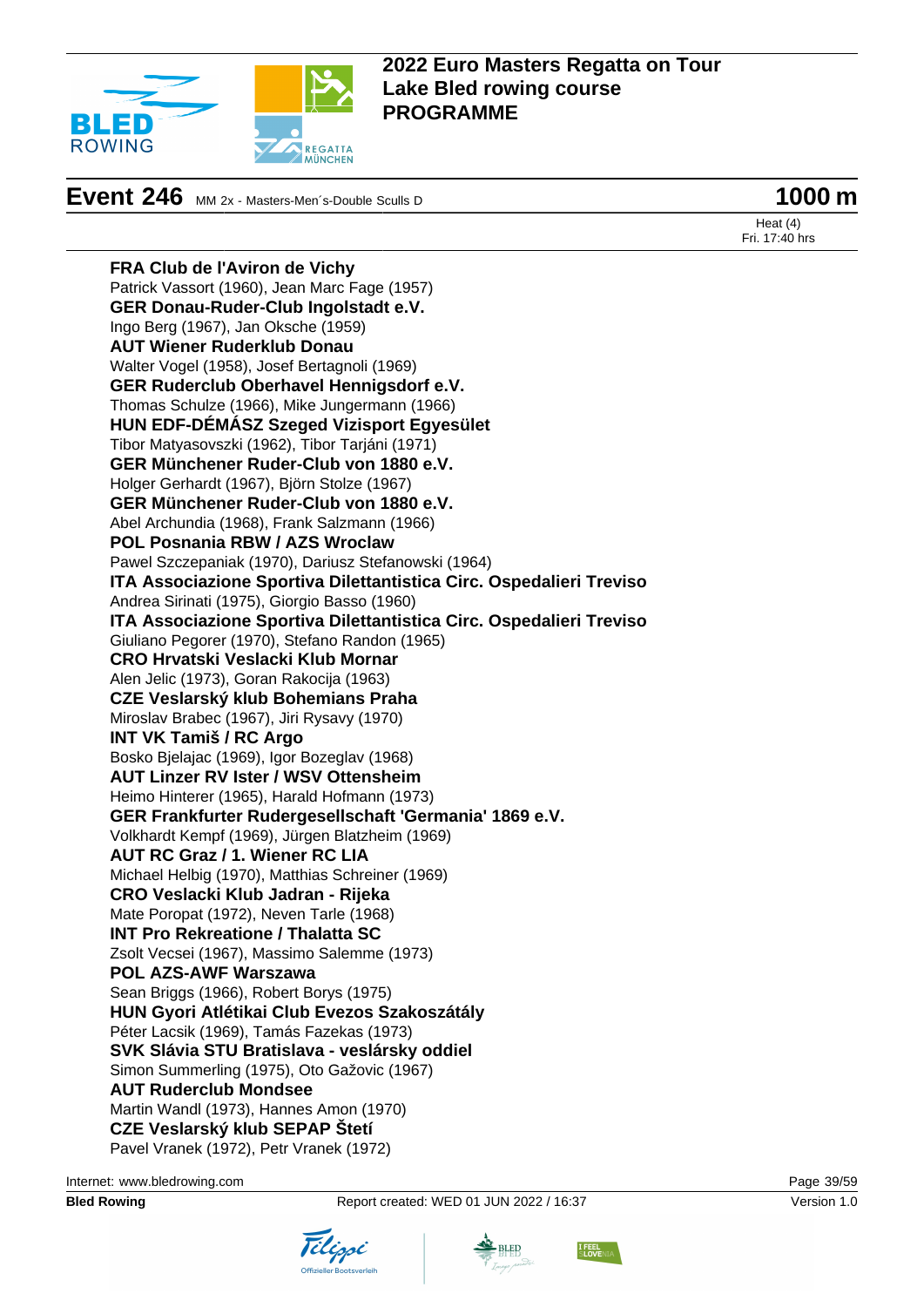

# **Event 246** MM 2x - Masters-Men's-Double Sculls D **1000 m**

Heat (4) Fri. 17:40 hrs

**FRA Club de l'Aviron de Vichy** Patrick Vassort (1960), Jean Marc Fage (1957) **GER Donau-Ruder-Club Ingolstadt e.V.** Ingo Berg (1967), Jan Oksche (1959) **AUT Wiener Ruderklub Donau** Walter Vogel (1958), Josef Bertagnoli (1969) **GER Ruderclub Oberhavel Hennigsdorf e.V.** Thomas Schulze (1966), Mike Jungermann (1966) **HUN EDF-DÉMÁSZ Szeged Vizisport Egyesület** Tibor Matyasovszki (1962), Tibor Tarjáni (1971) **GER Münchener Ruder-Club von 1880 e.V.** Holger Gerhardt (1967), Björn Stolze (1967) **GER Münchener Ruder-Club von 1880 e.V.** Abel Archundia (1968), Frank Salzmann (1966) **POL Posnania RBW / AZS Wroclaw** Pawel Szczepaniak (1970), Dariusz Stefanowski (1964) **ITA Associazione Sportiva Dilettantistica Circ. Ospedalieri Treviso** Andrea Sirinati (1975), Giorgio Basso (1960) **ITA Associazione Sportiva Dilettantistica Circ. Ospedalieri Treviso** Giuliano Pegorer (1970), Stefano Randon (1965) **CRO Hrvatski Veslacki Klub Mornar** Alen Jelic (1973), Goran Rakocija (1963) **CZE Veslarský klub Bohemians Praha** Miroslav Brabec (1967), Jiri Rysavy (1970) **INT VK Tamiš / RC Argo** Bosko Bjelajac (1969), Igor Bozeglav (1968) **AUT Linzer RV Ister / WSV Ottensheim** Heimo Hinterer (1965), Harald Hofmann (1973) **GER Frankfurter Rudergesellschaft 'Germania' 1869 e.V.** Volkhardt Kempf (1969), Jürgen Blatzheim (1969) **AUT RC Graz / 1. Wiener RC LIA** Michael Helbig (1970), Matthias Schreiner (1969) **CRO Veslacki Klub Jadran - Rijeka** Mate Poropat (1972), Neven Tarle (1968) **INT Pro Rekreatione / Thalatta SC** Zsolt Vecsei (1967), Massimo Salemme (1973) **POL AZS-AWF Warszawa** Sean Briggs (1966), Robert Borys (1975) **HUN Gyori Atlétikai Club Evezos Szakoszátály** Péter Lacsik (1969), Tamás Fazekas (1973) **SVK Slávia STU Bratislava - veslársky oddiel** Simon Summerling (1975), Oto Gažovic (1967) **AUT Ruderclub Mondsee** Martin Wandl (1973), Hannes Amon (1970) **CZE Veslarský klub SEPAP Štetí** Pavel Vranek (1972), Petr Vranek (1972)

Internet: [www.bledrowing.com](http://www.bledrowing.com) Page 39/59





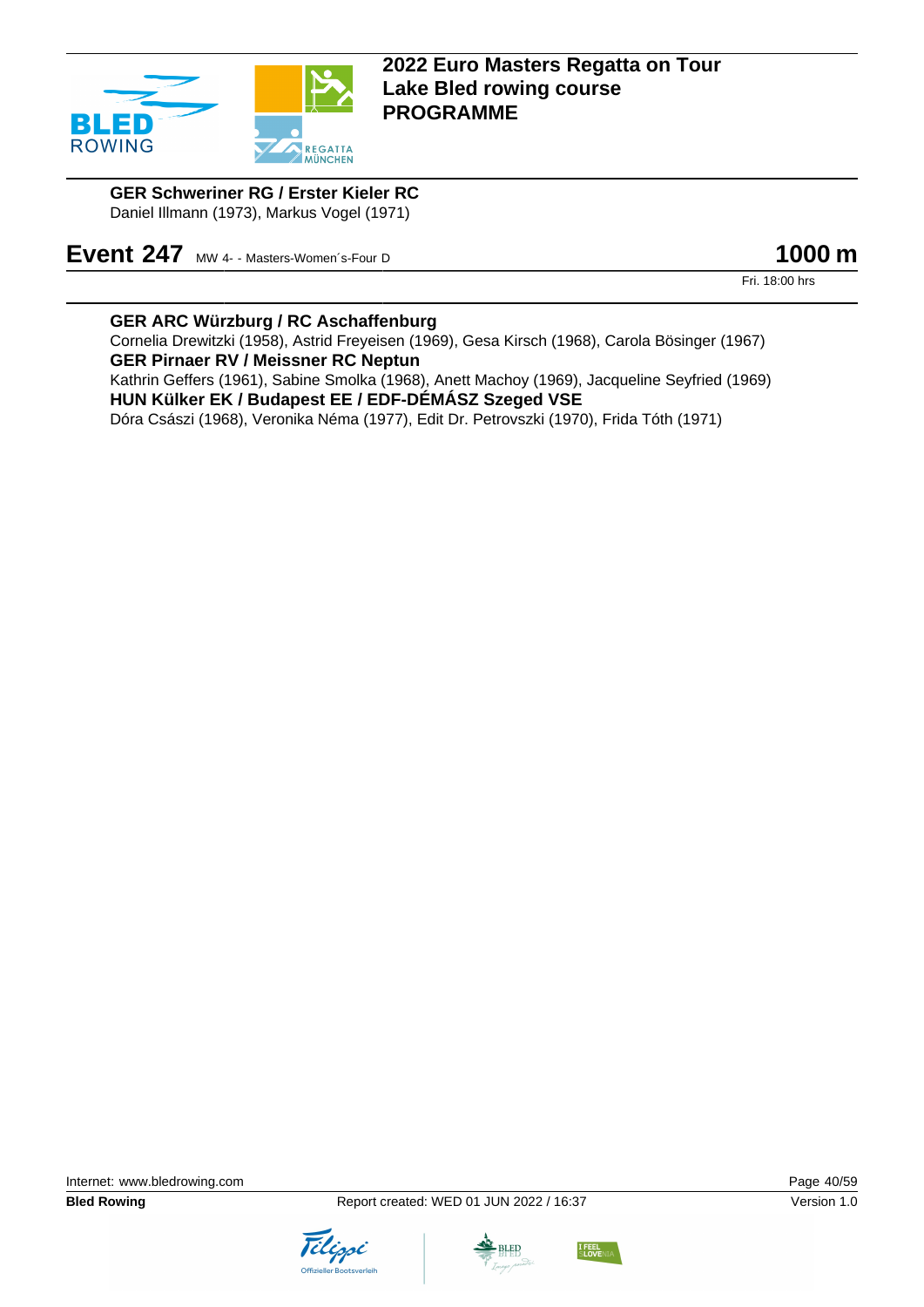

**GER Schweriner RG / Erster Kieler RC** Daniel Illmann (1973), Markus Vogel (1971)

**Event 247** MW 4- - Masters-Women's-Four D **1000 m** 

Fri. 18:00 hrs

### **GER ARC Würzburg / RC Aschaffenburg**

Cornelia Drewitzki (1958), Astrid Freyeisen (1969), Gesa Kirsch (1968), Carola Bösinger (1967) **GER Pirnaer RV / Meissner RC Neptun** Kathrin Geffers (1961), Sabine Smolka (1968), Anett Machoy (1969), Jacqueline Seyfried (1969) **HUN Külker EK / Budapest EE / EDF-DÉMÁSZ Szeged VSE**

Dóra Császi (1968), Veronika Néma (1977), Edit Dr. Petrovszki (1970), Frida Tóth (1971)





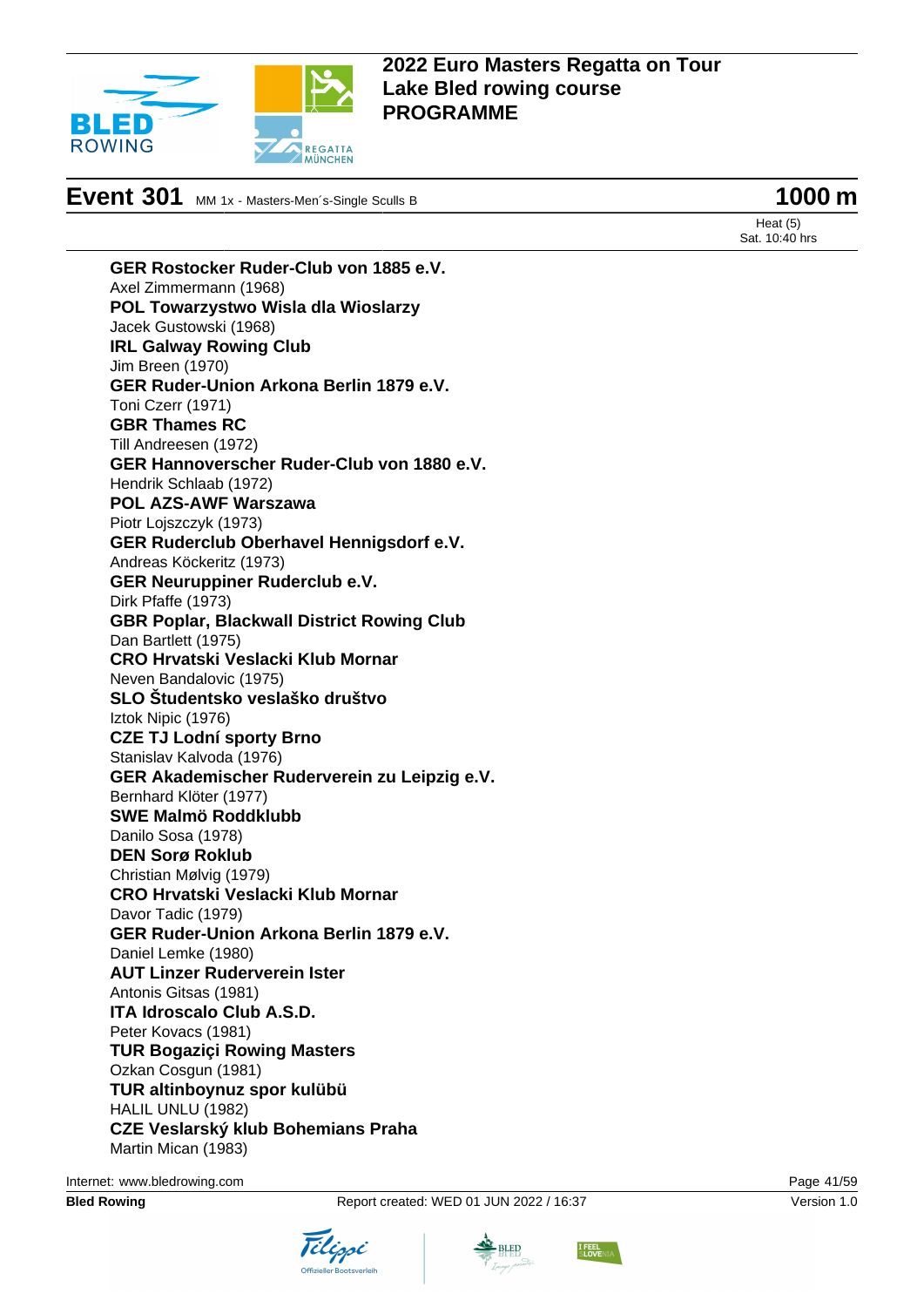

# **Event 301** MM 1x - Masters-Men´s-Single Sculls B **1000 m**

Heat (5) Sat. 10:40 hrs

**GER Rostocker Ruder-Club von 1885 e.V.** Axel Zimmermann (1968) **POL Towarzystwo Wisla dla Wioslarzy** Jacek Gustowski (1968) **IRL Galway Rowing Club** Jim Breen (1970) **GER Ruder-Union Arkona Berlin 1879 e.V.** Toni Czerr (1971) **GBR Thames RC** Till Andreesen (1972) **GER Hannoverscher Ruder-Club von 1880 e.V.** Hendrik Schlaab (1972) **POL AZS-AWF Warszawa** Piotr Lojszczyk (1973) **GER Ruderclub Oberhavel Hennigsdorf e.V.** Andreas Köckeritz (1973) **GER Neuruppiner Ruderclub e.V.** Dirk Pfaffe (1973) **GBR Poplar, Blackwall District Rowing Club** Dan Bartlett (1975) **CRO Hrvatski Veslacki Klub Mornar** Neven Bandalovic (1975) **SLO Študentsko veslaško društvo** Iztok Nipic (1976) **CZE TJ Lodní sporty Brno** Stanislav Kalvoda (1976) **GER Akademischer Ruderverein zu Leipzig e.V.** Bernhard Klöter (1977) **SWE Malmö Roddklubb** Danilo Sosa (1978) **DEN Sorø Roklub** Christian Mølvig (1979) **CRO Hrvatski Veslacki Klub Mornar** Davor Tadic (1979) **GER Ruder-Union Arkona Berlin 1879 e.V.** Daniel Lemke (1980) **AUT Linzer Ruderverein Ister** Antonis Gitsas (1981) **ITA Idroscalo Club A.S.D.** Peter Kovacs (1981) **TUR Bogaziçi Rowing Masters** Ozkan Cosgun (1981) **TUR altinboynuz spor kulübü** HALIL UNLU (1982) **CZE Veslarský klub Bohemians Praha** Martin Mican (1983)

Internet: [www.bledrowing.com](http://www.bledrowing.com) Page 41/59





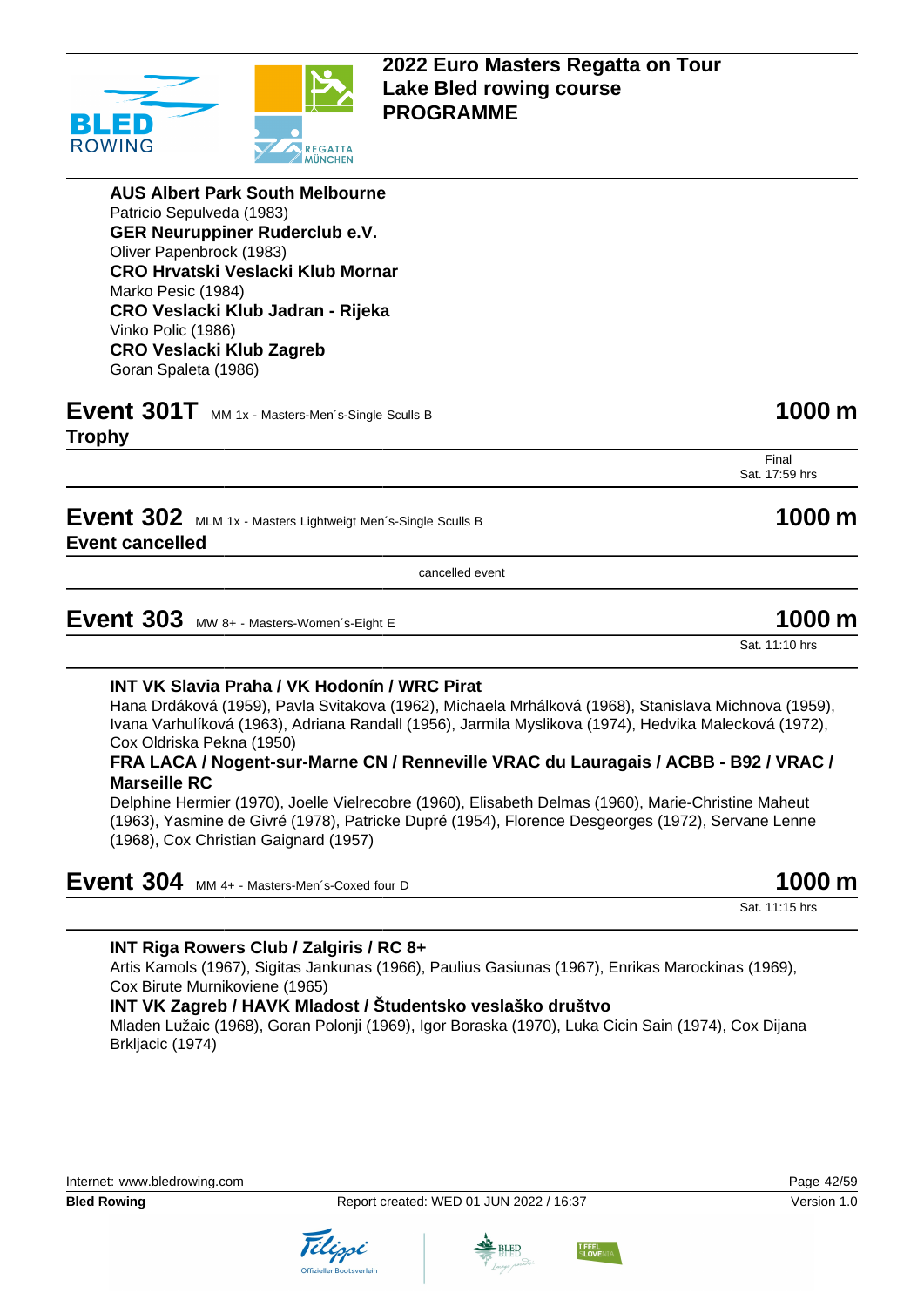

**AUS Albert Park South Melbourne** Patricio Sepulveda (1983) **GER Neuruppiner Ruderclub e.V.** Oliver Papenbrock (1983) **CRO Hrvatski Veslacki Klub Mornar** Marko Pesic (1984) **CRO Veslacki Klub Jadran - Rijeka** Vinko Polic (1986) **CRO Veslacki Klub Zagreb** Goran Spaleta (1986)

# **Event 301T** MM 1x - Masters-Men's-Single Sculls B **1000 m**

**Trophy**

Final Sat. 17:59 hrs

**Event 302** MLM 1x - Masters Lightweigt Men's-Single Sculls B **1000 m Event cancelled**

cancelled event

**Event 303** MW 8+ - Masters-Women's-Eight E 1000 m

Sat. 11:10 hrs

#### **INT VK Slavia Praha / VK Hodonín / WRC Pirat**

Hana Drdáková (1959), Pavla Svitakova (1962), Michaela Mrhálková (1968), Stanislava Michnova (1959), Ivana Varhulíková (1963), Adriana Randall (1956), Jarmila Myslikova (1974), Hedvika Malecková (1972), Cox Oldriska Pekna (1950)

#### **FRA LACA / Nogent-sur-Marne CN / Renneville VRAC du Lauragais / ACBB - B92 / VRAC / Marseille RC**

Delphine Hermier (1970), Joelle Vielrecobre (1960), Elisabeth Delmas (1960), Marie-Christine Maheut (1963), Yasmine de Givré (1978), Patricke Dupré (1954), Florence Desgeorges (1972), Servane Lenne (1968), Cox Christian Gaignard (1957)

| Event 304 MM 4+ - Masters-Men's-Coxed four D | 1000 m |
|----------------------------------------------|--------|
|----------------------------------------------|--------|

Sat. 11:15 hrs

#### **INT Riga Rowers Club / Zalgiris / RC 8+**

Artis Kamols (1967), Sigitas Jankunas (1966), Paulius Gasiunas (1967), Enrikas Marockinas (1969), Cox Birute Murnikoviene (1965)

#### **INT VK Zagreb / HAVK Mladost / Študentsko veslaško društvo**

Mladen Lužaic (1968), Goran Polonji (1969), Igor Boraska (1970), Luka Cicin Sain (1974), Cox Dijana Brkljacic (1974)









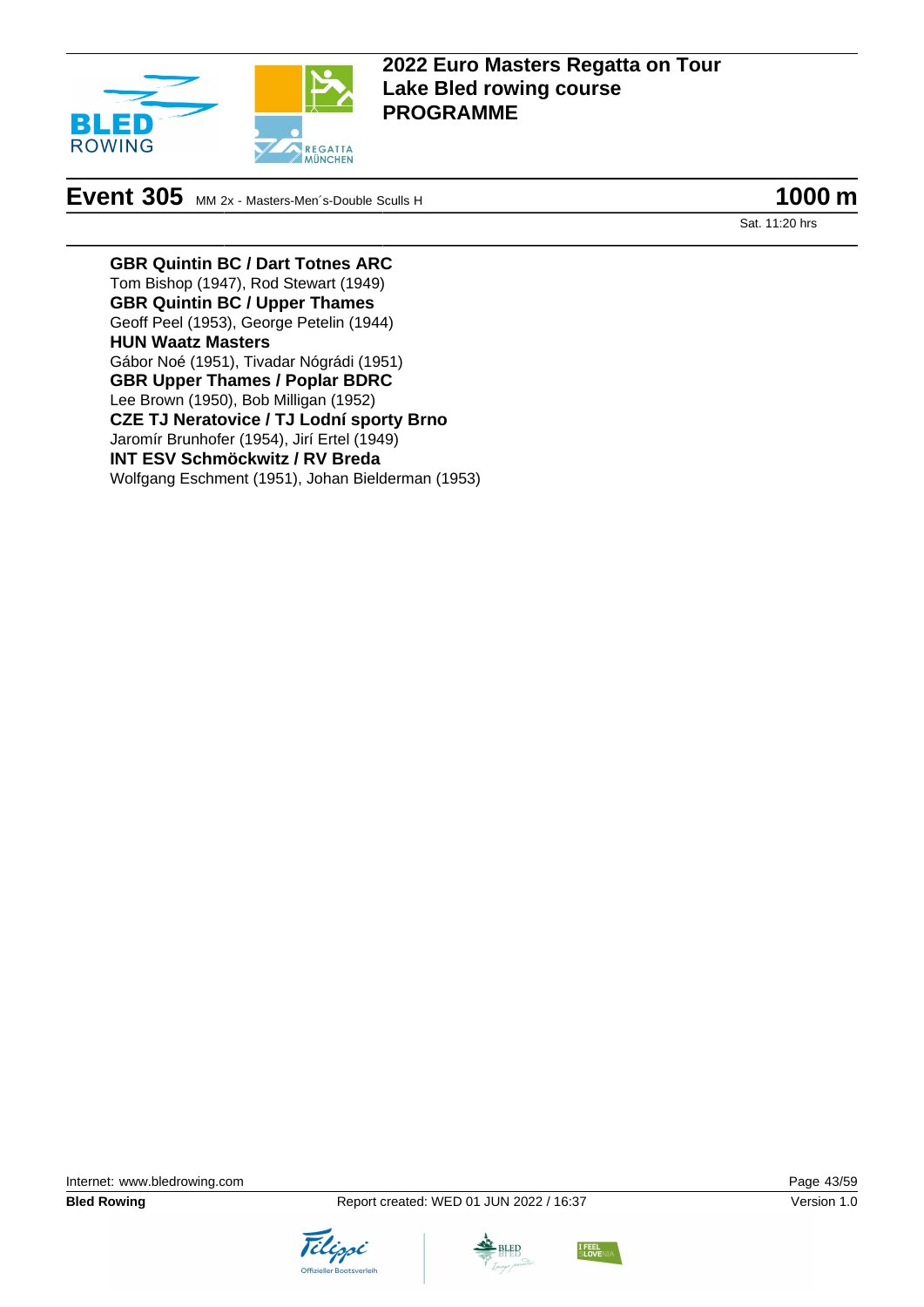

# **Event 305** MM 2x - Masters-Men<sup>-</sup>s-Double Sculls H **1000 m**

Sat. 11:20 hrs

**GBR Quintin BC / Dart Totnes ARC** Tom Bishop (1947), Rod Stewart (1949) **GBR Quintin BC / Upper Thames** Geoff Peel (1953), George Petelin (1944) **HUN Waatz Masters** Gábor Noé (1951), Tivadar Nógrádi (1951) **GBR Upper Thames / Poplar BDRC** Lee Brown (1950), Bob Milligan (1952) **CZE TJ Neratovice / TJ Lodní sporty Brno** Jaromír Brunhofer (1954), Jirí Ertel (1949) **INT ESV Schmöckwitz / RV Breda** Wolfgang Eschment (1951), Johan Bielderman (1953)





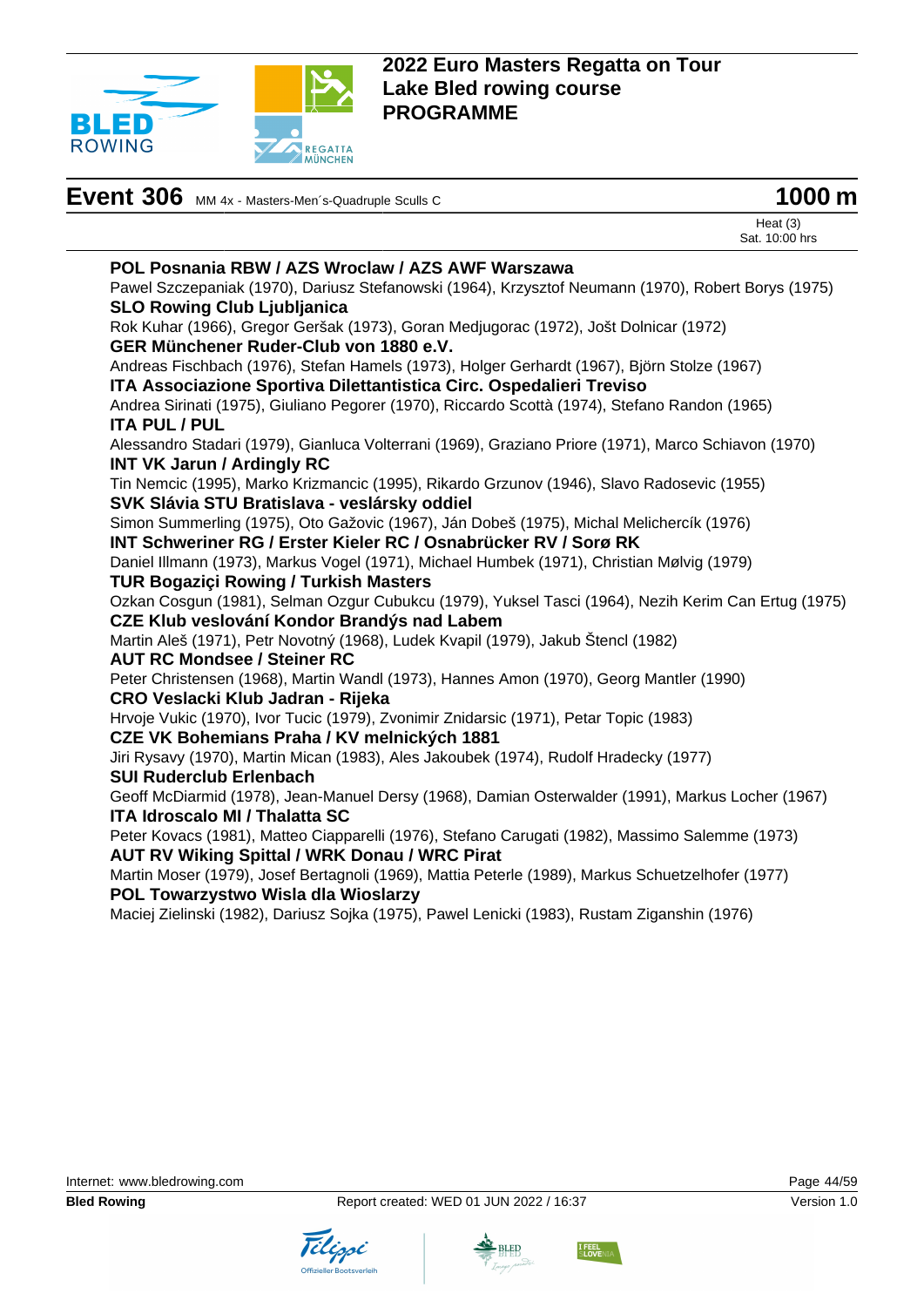

| Event 306 MM 4x - Masters-Men's-Quadruple Sculls C | 1000 m |
|----------------------------------------------------|--------|
|----------------------------------------------------|--------|



Heat (3) Sat. 10:00 hrs

#### **POL Posnania RBW / AZS Wroclaw / AZS AWF Warszawa** Pawel Szczepaniak (1970), Dariusz Stefanowski (1964), Krzysztof Neumann (1970), Robert Borys (1975)

**SLO Rowing Club Ljubljanica**

Rok Kuhar (1966), Gregor Geršak (1973), Goran Medjugorac (1972), Jošt Dolnicar (1972) **GER Münchener Ruder-Club von 1880 e.V.**

Andreas Fischbach (1976), Stefan Hamels (1973), Holger Gerhardt (1967), Björn Stolze (1967) **ITA Associazione Sportiva Dilettantistica Circ. Ospedalieri Treviso**

Andrea Sirinati (1975), Giuliano Pegorer (1970), Riccardo Scottà (1974), Stefano Randon (1965) **ITA PUL / PUL**

Alessandro Stadari (1979), Gianluca Volterrani (1969), Graziano Priore (1971), Marco Schiavon (1970) **INT VK Jarun / Ardingly RC**

Tin Nemcic (1995), Marko Krizmancic (1995), Rikardo Grzunov (1946), Slavo Radosevic (1955) **SVK Slávia STU Bratislava - veslársky oddiel**

Simon Summerling (1975), Oto Gažovic (1967), Ján Dobeš (1975), Michal Melichercík (1976) **INT Schweriner RG / Erster Kieler RC / Osnabrücker RV / Sorø RK**

Daniel Illmann (1973), Markus Vogel (1971), Michael Humbek (1971), Christian Mølvig (1979) **TUR Bogaziçi Rowing / Turkish Masters**

Ozkan Cosgun (1981), Selman Ozgur Cubukcu (1979), Yuksel Tasci (1964), Nezih Kerim Can Ertug (1975) **CZE Klub veslování Kondor Brandýs nad Labem**

Martin Aleš (1971), Petr Novotný (1968), Ludek Kvapil (1979), Jakub Štencl (1982)

**AUT RC Mondsee / Steiner RC**

Peter Christensen (1968), Martin Wandl (1973), Hannes Amon (1970), Georg Mantler (1990)

#### **CRO Veslacki Klub Jadran - Rijeka**

Hrvoje Vukic (1970), Ivor Tucic (1979), Zvonimir Znidarsic (1971), Petar Topic (1983)

#### **CZE VK Bohemians Praha / KV melnických 1881**

Jiri Rysavy (1970), Martin Mican (1983), Ales Jakoubek (1974), Rudolf Hradecky (1977)

**SUI Ruderclub Erlenbach**

Geoff McDiarmid (1978), Jean-Manuel Dersy (1968), Damian Osterwalder (1991), Markus Locher (1967) **ITA Idroscalo MI / Thalatta SC**

Peter Kovacs (1981), Matteo Ciapparelli (1976), Stefano Carugati (1982), Massimo Salemme (1973) **AUT RV Wiking Spittal / WRK Donau / WRC Pirat**

Martin Moser (1979), Josef Bertagnoli (1969), Mattia Peterle (1989), Markus Schuetzelhofer (1977) **POL Towarzystwo Wisla dla Wioslarzy**

Maciej Zielinski (1982), Dariusz Sojka (1975), Pawel Lenicki (1983), Rustam Ziganshin (1976)





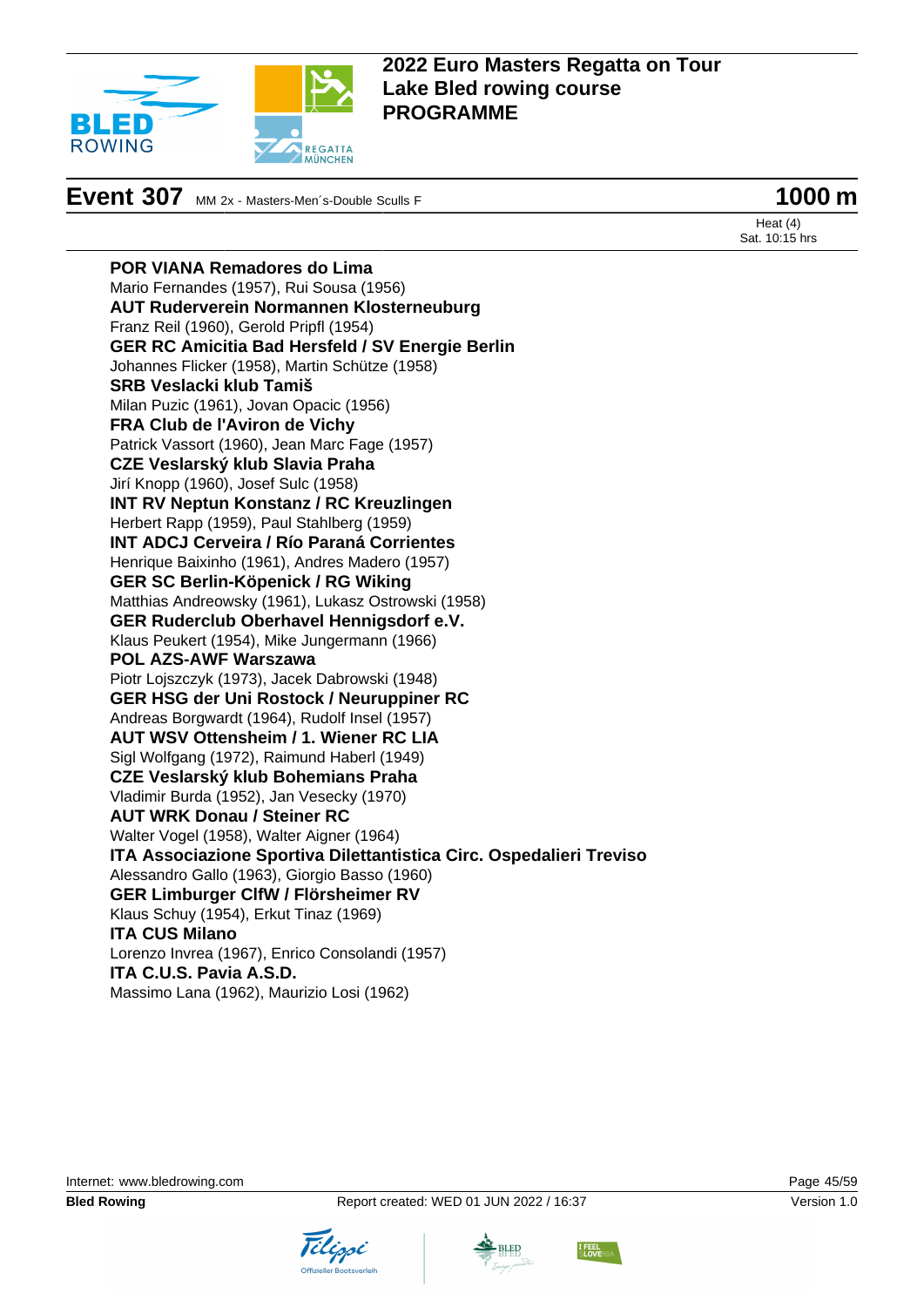

**Event 307** MM 2x - Masters-Men's-Double Sculls F **1000 m** 

Heat (4) Sat. 10:15 hrs

**POR VIANA Remadores do Lima** Mario Fernandes (1957), Rui Sousa (1956) **AUT Ruderverein Normannen Klosterneuburg** Franz Reil (1960), Gerold Pripfl (1954) **GER RC Amicitia Bad Hersfeld / SV Energie Berlin** Johannes Flicker (1958), Martin Schütze (1958) **SRB Veslacki klub Tamiš** Milan Puzic (1961), Jovan Opacic (1956) **FRA Club de l'Aviron de Vichy** Patrick Vassort (1960), Jean Marc Fage (1957) **CZE Veslarský klub Slavia Praha** Jirí Knopp (1960), Josef Sulc (1958) **INT RV Neptun Konstanz / RC Kreuzlingen** Herbert Rapp (1959), Paul Stahlberg (1959) **INT ADCJ Cerveira / Río Paraná Corrientes** Henrique Baixinho (1961), Andres Madero (1957) **GER SC Berlin-Köpenick / RG Wiking** Matthias Andreowsky (1961), Lukasz Ostrowski (1958) **GER Ruderclub Oberhavel Hennigsdorf e.V.** Klaus Peukert (1954), Mike Jungermann (1966) **POL AZS-AWF Warszawa** Piotr Lojszczyk (1973), Jacek Dabrowski (1948) **GER HSG der Uni Rostock / Neuruppiner RC** Andreas Borgwardt (1964), Rudolf Insel (1957) **AUT WSV Ottensheim / 1. Wiener RC LIA** Sigl Wolfgang (1972), Raimund Haberl (1949) **CZE Veslarský klub Bohemians Praha** Vladimir Burda (1952), Jan Vesecky (1970) **AUT WRK Donau / Steiner RC** Walter Vogel (1958), Walter Aigner (1964) **ITA Associazione Sportiva Dilettantistica Circ. Ospedalieri Treviso** Alessandro Gallo (1963), Giorgio Basso (1960) **GER Limburger ClfW / Flörsheimer RV** Klaus Schuy (1954), Erkut Tinaz (1969) **ITA CUS Milano** Lorenzo Invrea (1967), Enrico Consolandi (1957) **ITA C.U.S. Pavia A.S.D.** Massimo Lana (1962), Maurizio Losi (1962)



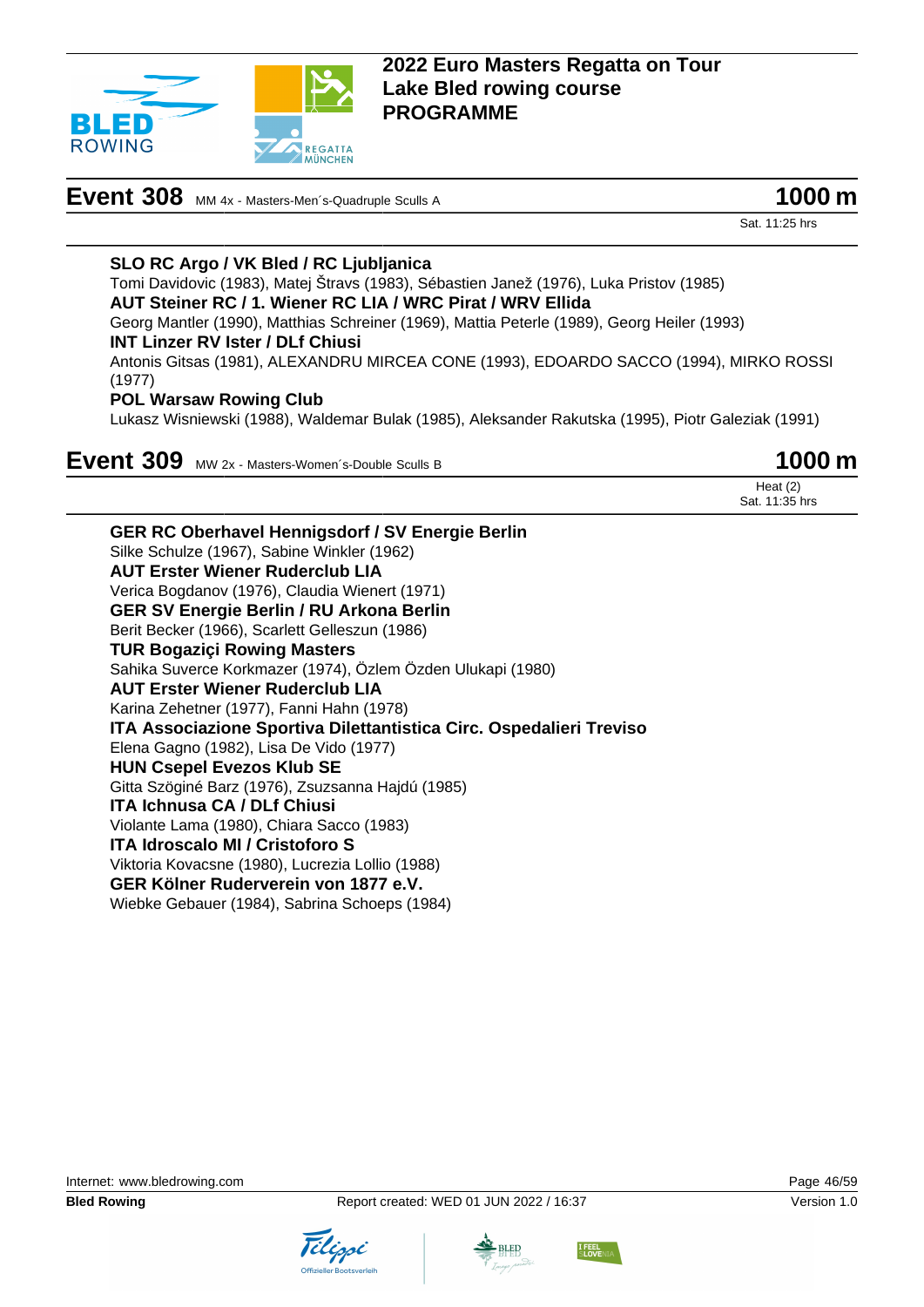

# **Event 308** MM 4x - Masters-Men<sup>-</sup>s-Quadruple Sculls A **1000 m**

Sat. 11:25 hrs

#### **SLO RC Argo / VK Bled / RC Ljubljanica**

Tomi Davidovic (1983), Matej Štravs (1983), Sébastien Janež (1976), Luka Pristov (1985) **AUT Steiner RC / 1. Wiener RC LIA / WRC Pirat / WRV Ellida** Georg Mantler (1990), Matthias Schreiner (1969), Mattia Peterle (1989), Georg Heiler (1993) **INT Linzer RV Ister / DLf Chiusi** Antonis Gitsas (1981), ALEXANDRU MIRCEA CONE (1993), EDOARDO SACCO (1994), MIRKO ROSSI (1977) **POL Warsaw Rowing Club**

Lukasz Wisniewski (1988), Waldemar Bulak (1985), Aleksander Rakutska (1995), Piotr Galeziak (1991)

**Event 309** MW 2x - Masters-Women's-Double Sculls B

Heat (2) Sat. 11:35 hrs



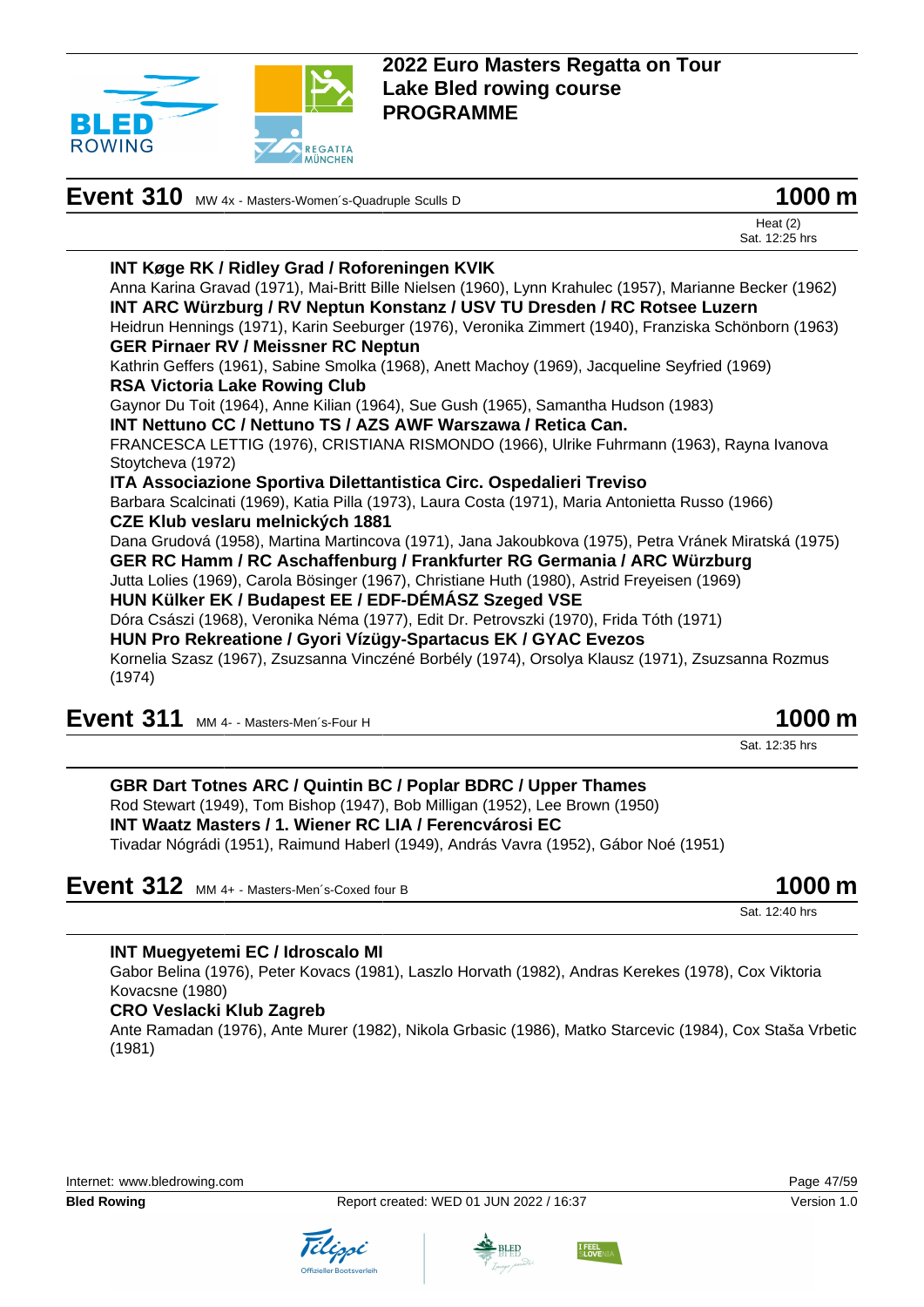

| Event 310 MW 4x - Masters-Women's-Quadruple Sculls D                                                    | 1000 m                       |
|---------------------------------------------------------------------------------------------------------|------------------------------|
|                                                                                                         | Heat $(2)$<br>Sat. 12:25 hrs |
| <b>INT Køge RK / Ridley Grad / Roforeningen KVIK</b>                                                    |                              |
| Anna Karina Gravad (1971), Mai-Britt Bille Nielsen (1960), Lynn Krahulec (1957), Marianne Becker (1962) |                              |
| INT ARC Würzburg / RV Neptun Konstanz / USV TU Dresden / RC Rotsee Luzern                               |                              |
| Heidrun Hennings (1971), Karin Seeburger (1976), Veronika Zimmert (1940), Franziska Schönborn (1963)    |                              |
| <b>GER Pirnaer RV / Meissner RC Neptun</b>                                                              |                              |
| Kathrin Geffers (1961), Sabine Smolka (1968), Anett Machoy (1969), Jacqueline Seyfried (1969)           |                              |
| <b>RSA Victoria Lake Rowing Club</b>                                                                    |                              |
| Gaynor Du Toit (1964), Anne Kilian (1964), Sue Gush (1965), Samantha Hudson (1983)                      |                              |
| INT Nettuno CC / Nettuno TS / AZS AWF Warszawa / Retica Can.                                            |                              |
| FRANCESCA LETTIG (1976), CRISTIANA RISMONDO (1966), Ulrike Fuhrmann (1963), Rayna Ivanova               |                              |
| Stoytcheva (1972)                                                                                       |                              |
| ITA Associazione Sportiva Dilettantistica Circ. Ospedalieri Treviso                                     |                              |
| Barbara Scalcinati (1969), Katia Pilla (1973), Laura Costa (1971), Maria Antonietta Russo (1966)        |                              |
| CZE Klub veslaru melnických 1881                                                                        |                              |
| Dana Grudová (1958), Martina Martincova (1971), Jana Jakoubkova (1975), Petra Vránek Miratská (1975)    |                              |
| GER RC Hamm / RC Aschaffenburg / Frankfurter RG Germania / ARC Würzburg                                 |                              |
| Jutta Lolies (1969), Carola Bösinger (1967), Christiane Huth (1980), Astrid Freyeisen (1969)            |                              |
| HUN Külker EK / Budapest EE / EDF-DÉMÁSZ Szeged VSE                                                     |                              |
| Dóra Császi (1968), Veronika Néma (1977), Edit Dr. Petrovszki (1970), Frida Tóth (1971)                 |                              |
| HUN Pro Rekreatione / Gyori Vízügy-Spartacus EK / GYAC Evezos                                           |                              |
| Kornelia Szasz (1967), Zsuzsanna Vinczéné Borbély (1974), Orsolya Klausz (1971), Zsuzsanna Rozmus       |                              |
| (1974)                                                                                                  |                              |

| Event 311 MM 4- - Masters-Men's-Four H | 1000 m |
|----------------------------------------|--------|
|----------------------------------------|--------|

Sat. 12:35 hrs

#### **GBR Dart Totnes ARC / Quintin BC / Poplar BDRC / Upper Thames** Rod Stewart (1949), Tom Bishop (1947), Bob Milligan (1952), Lee Brown (1950) **INT Waatz Masters / 1. Wiener RC LIA / Ferencvárosi EC** Tivadar Nógrádi (1951), Raimund Haberl (1949), András Vavra (1952), Gábor Noé (1951)

**Event 312** MM 4+ - Masters-Men's-Coxed four B **1000 m** 

Sat. 12:40 hrs

#### **INT Muegyetemi EC / Idroscalo MI**

Gabor Belina (1976), Peter Kovacs (1981), Laszlo Horvath (1982), Andras Kerekes (1978), Cox Viktoria Kovacsne (1980)

#### **CRO Veslacki Klub Zagreb**

Ante Ramadan (1976), Ante Murer (1982), Nikola Grbasic (1986), Matko Starcevic (1984), Cox Staša Vrbetic (1981)







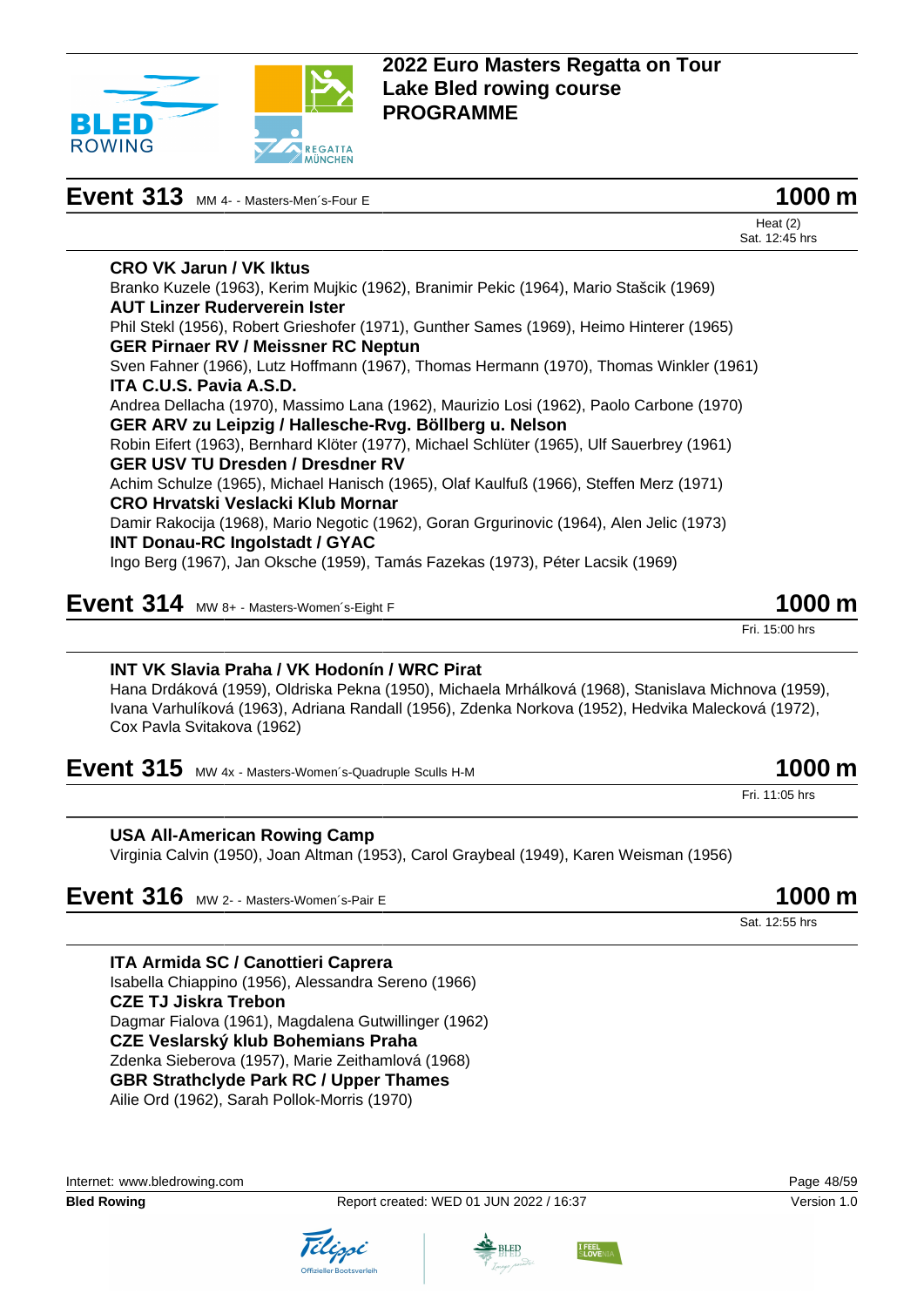

## **Event 313** MM 4- - Masters-Men's-Four E **1000 m**

| 1000 m |  |
|--------|--|
|        |  |

Heat (2)

Sat. 12:45 hrs **CRO VK Jarun / VK Iktus** Branko Kuzele (1963), Kerim Mujkic (1962), Branimir Pekic (1964), Mario Stašcik (1969) **AUT Linzer Ruderverein Ister** Phil Stekl (1956), Robert Grieshofer (1971), Gunther Sames (1969), Heimo Hinterer (1965) **GER Pirnaer RV / Meissner RC Neptun** Sven Fahner (1966), Lutz Hoffmann (1967), Thomas Hermann (1970), Thomas Winkler (1961) **ITA C.U.S. Pavia A.S.D.** Andrea Dellacha (1970), Massimo Lana (1962), Maurizio Losi (1962), Paolo Carbone (1970) **GER ARV zu Leipzig / Hallesche-Rvg. Böllberg u. Nelson** Robin Eifert (1963), Bernhard Klöter (1977), Michael Schlüter (1965), Ulf Sauerbrey (1961) **GER USV TU Dresden / Dresdner RV** Achim Schulze (1965), Michael Hanisch (1965), Olaf Kaulfuß (1966), Steffen Merz (1971) **CRO Hrvatski Veslacki Klub Mornar** Damir Rakocija (1968), Mario Negotic (1962), Goran Grgurinovic (1964), Alen Jelic (1973) **INT Donau-RC Ingolstadt / GYAC** Ingo Berg (1967), Jan Oksche (1959), Tamás Fazekas (1973), Péter Lacsik (1969)

# **Event 314** MW 8+ - Masters-Women's-Eight F **1000 m**

#### **INT VK Slavia Praha / VK Hodonín / WRC Pirat**

Hana Drdáková (1959), Oldriska Pekna (1950), Michaela Mrhálková (1968), Stanislava Michnova (1959), Ivana Varhulíková (1963), Adriana Randall (1956), Zdenka Norkova (1952), Hedvika Malecková (1972), Cox Pavla Svitakova (1962)

**Event 315** MW 4x - Masters-Women's-Quadruple Sculls H-M **1000 m** 

#### **USA All-American Rowing Camp**

Virginia Calvin (1950), Joan Altman (1953), Carol Graybeal (1949), Karen Weisman (1956)

**Event 316** MW 2- - Masters-Women's-Pair E 1000 m

Sat. 12:55 hrs

**ITA Armida SC / Canottieri Caprera** Isabella Chiappino (1956), Alessandra Sereno (1966) **CZE TJ Jiskra Trebon** Dagmar Fialova (1961), Magdalena Gutwillinger (1962) **CZE Veslarský klub Bohemians Praha** Zdenka Sieberova (1957), Marie Zeithamlová (1968) **GBR Strathclyde Park RC / Upper Thames** Ailie Ord (1962), Sarah Pollok-Morris (1970)









Fri. 15:00 hrs

Fri. 11:05 hrs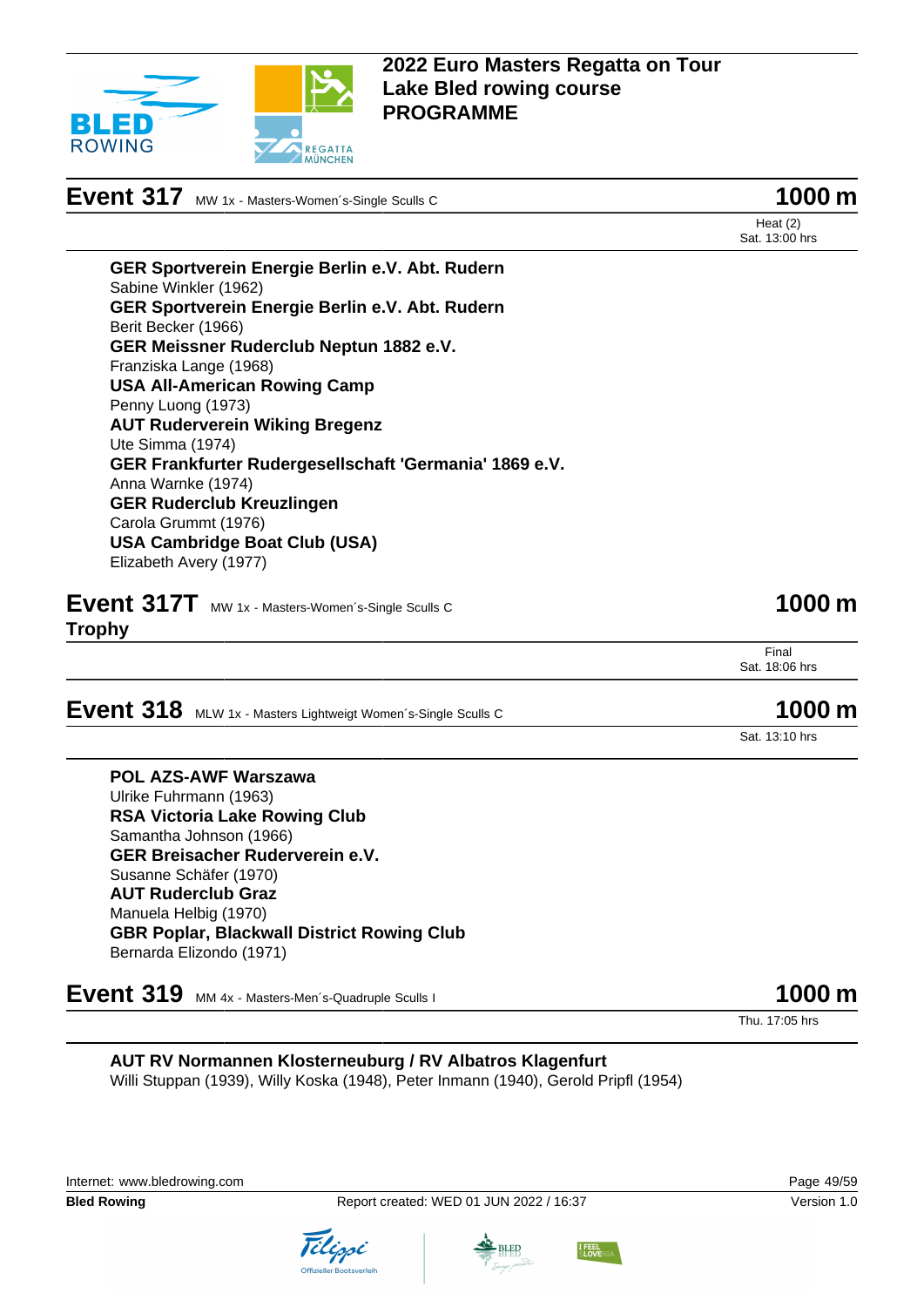

# **Event 317** MW 1x - Masters-Women's-Single Sculls C **1000 m**

Heat (2) Sat. 13:00 hrs

**GER Sportverein Energie Berlin e.V. Abt. Rudern** Sabine Winkler (1962) **GER Sportverein Energie Berlin e.V. Abt. Rudern** Berit Becker (1966) **GER Meissner Ruderclub Neptun 1882 e.V.** Franziska Lange (1968) **USA All-American Rowing Camp** Penny Luong (1973) **AUT Ruderverein Wiking Bregenz** Ute Simma (1974) **GER Frankfurter Rudergesellschaft 'Germania' 1869 e.V.** Anna Warnke (1974) **GER Ruderclub Kreuzlingen** Carola Grummt (1976) **USA Cambridge Boat Club (USA)** Elizabeth Avery (1977)

**Event 317T** MW 1x - Masters-Women's-Single Sculls C **1000 m Trophy**

Final Sat. 18:06 hrs

# **Event 318** MLW 1x - Masters Lightweigt Women's-Single Sculls C **1000 m**

Sat. 13:10 hrs

#### **POL AZS-AWF Warszawa** Ulrike Fuhrmann (1963) **RSA Victoria Lake Rowing Club** Samantha Johnson (1966) **GER Breisacher Ruderverein e.V.** Susanne Schäfer (1970) **AUT Ruderclub Graz** Manuela Helbig (1970) **GBR Poplar, Blackwall District Rowing Club**

Bernarda Elizondo (1971)

**Event 319** MM 4x - Masters-Men's-Quadruple Sculls I **1000 m** 

Thu. 17:05 hrs

**AUT RV Normannen Klosterneuburg / RV Albatros Klagenfurt** Willi Stuppan (1939), Willy Koska (1948), Peter Inmann (1940), Gerold Pripfl (1954)









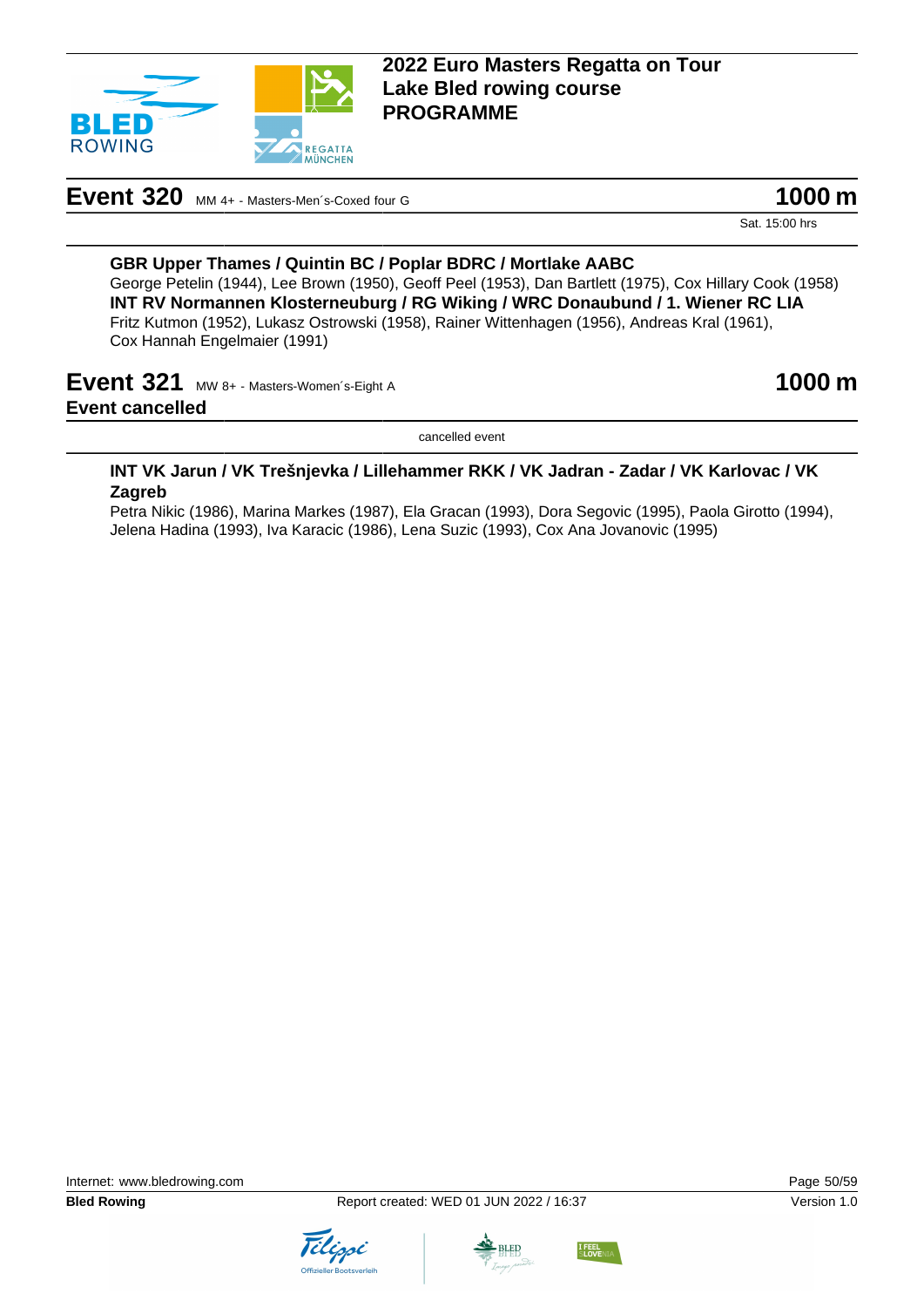

## **Event 320** MM 4+ - Masters-Men's-Coxed four G **1000 m**

Sat. 15:00 hrs

#### **GBR Upper Thames / Quintin BC / Poplar BDRC / Mortlake AABC** George Petelin (1944), Lee Brown (1950), Geoff Peel (1953), Dan Bartlett (1975), Cox Hillary Cook (1958) **INT RV Normannen Klosterneuburg / RG Wiking / WRC Donaubund / 1. Wiener RC LIA** Fritz Kutmon (1952), Lukasz Ostrowski (1958), Rainer Wittenhagen (1956), Andreas Kral (1961), Cox Hannah Engelmaier (1991)

## **Event 321** MW 8+ - Masters-Women's-Eight A **1000 m Event cancelled**

cancelled event

#### **INT VK Jarun / VK Trešnjevka / Lillehammer RKK / VK Jadran - Zadar / VK Karlovac / VK Zagreb**

Petra Nikic (1986), Marina Markes (1987), Ela Gracan (1993), Dora Segovic (1995), Paola Girotto (1994), Jelena Hadina (1993), Iva Karacic (1986), Lena Suzic (1993), Cox Ana Jovanovic (1995)





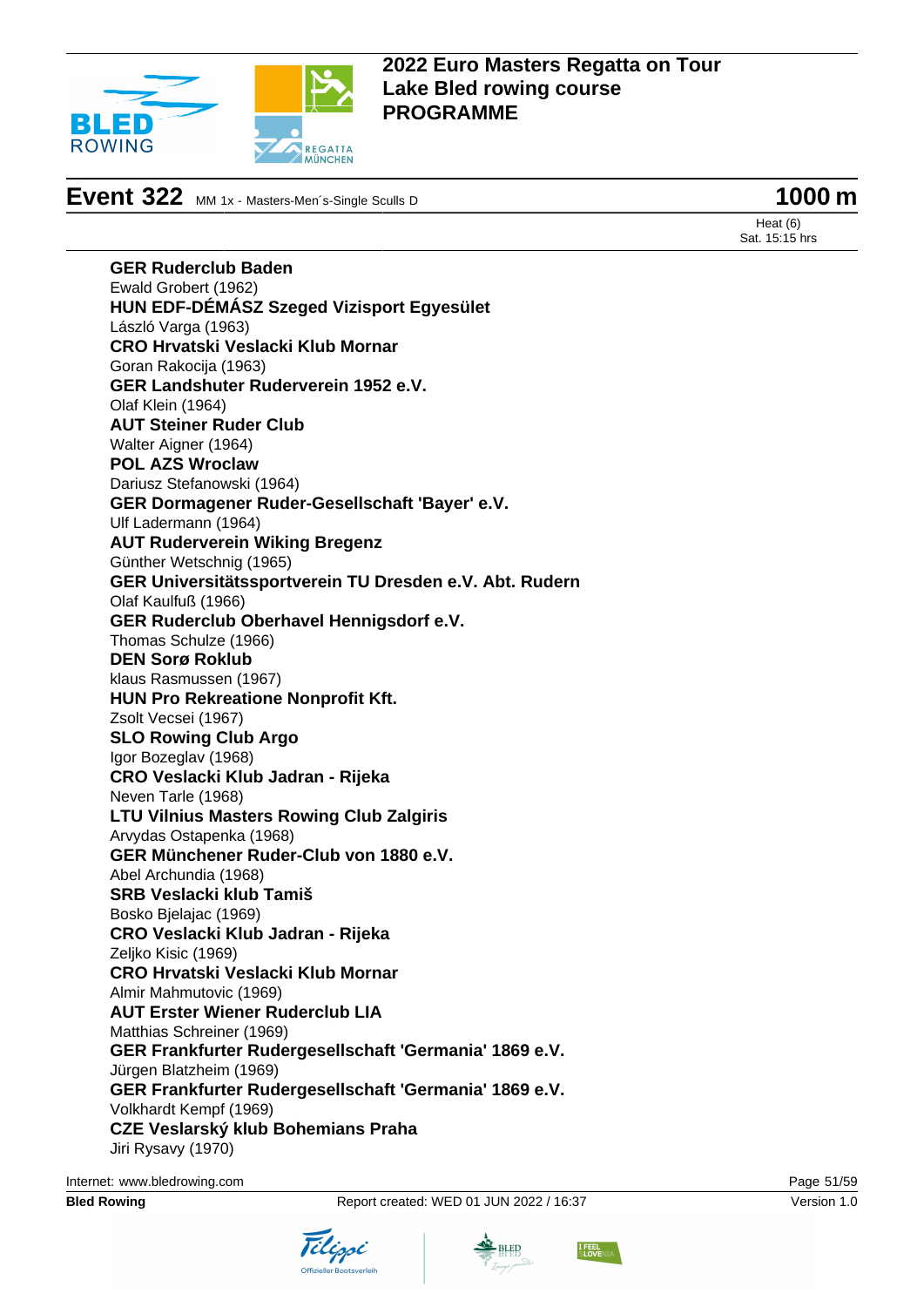

**Event 322** MM 1x - Masters-Men´s-Single Sculls D **1000 m** 

Heat (6) Sat. 15:15 hrs

**GER Ruderclub Baden** Ewald Grobert (1962) **HUN EDF-DÉMÁSZ Szeged Vizisport Egyesület** László Varga (1963) **CRO Hrvatski Veslacki Klub Mornar** Goran Rakocija (1963) **GER Landshuter Ruderverein 1952 e.V.** Olaf Klein (1964) **AUT Steiner Ruder Club** Walter Aigner (1964) **POL AZS Wroclaw** Dariusz Stefanowski (1964) **GER Dormagener Ruder-Gesellschaft 'Bayer' e.V.** Ulf Ladermann (1964) **AUT Ruderverein Wiking Bregenz** Günther Wetschnig (1965) **GER Universitätssportverein TU Dresden e.V. Abt. Rudern** Olaf Kaulfuß (1966) **GER Ruderclub Oberhavel Hennigsdorf e.V.** Thomas Schulze (1966) **DEN Sorø Roklub** klaus Rasmussen (1967) **HUN Pro Rekreatione Nonprofit Kft.** Zsolt Vecsei (1967) **SLO Rowing Club Argo** Igor Bozeglav (1968) **CRO Veslacki Klub Jadran - Rijeka** Neven Tarle (1968) **LTU Vilnius Masters Rowing Club Zalgiris** Arvydas Ostapenka (1968) **GER Münchener Ruder-Club von 1880 e.V.** Abel Archundia (1968) **SRB Veslacki klub Tamiš** Bosko Bjelajac (1969) **CRO Veslacki Klub Jadran - Rijeka** Zeljko Kisic (1969) **CRO Hrvatski Veslacki Klub Mornar** Almir Mahmutovic (1969) **AUT Erster Wiener Ruderclub LIA** Matthias Schreiner (1969) **GER Frankfurter Rudergesellschaft 'Germania' 1869 e.V.** Jürgen Blatzheim (1969) **GER Frankfurter Rudergesellschaft 'Germania' 1869 e.V.** Volkhardt Kempf (1969) **CZE Veslarský klub Bohemians Praha** Jiri Rysavy (1970)

Internet: [www.bledrowing.com](http://www.bledrowing.com) Page 51/59





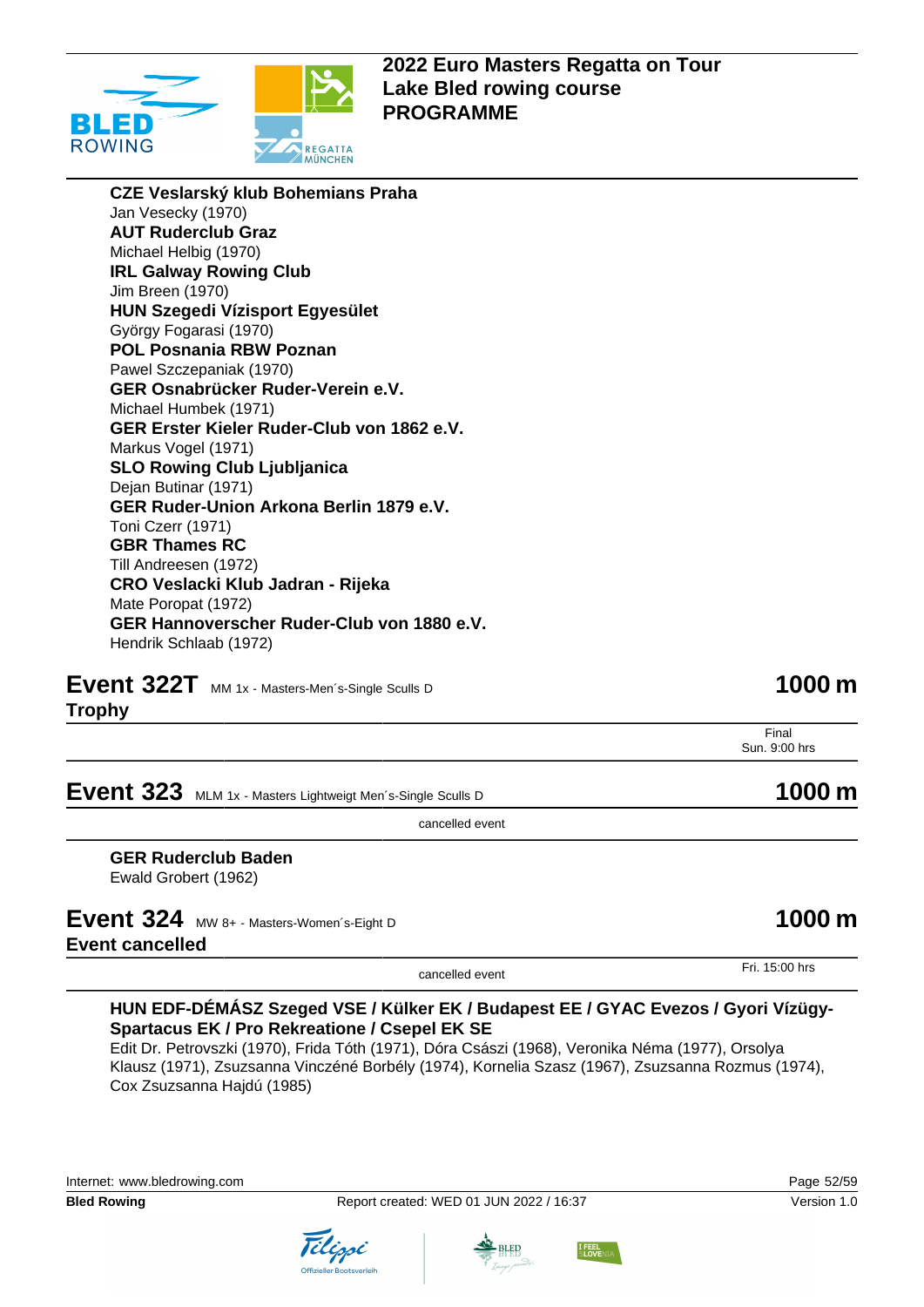

**CZE Veslarský klub Bohemians Praha** Jan Vesecky (1970) **AUT Ruderclub Graz** Michael Helbig (1970) **IRL Galway Rowing Club** Jim Breen (1970) **HUN Szegedi Vízisport Egyesület** György Fogarasi (1970) **POL Posnania RBW Poznan** Pawel Szczepaniak (1970) **GER Osnabrücker Ruder-Verein e.V.** Michael Humbek (1971) **GER Erster Kieler Ruder-Club von 1862 e.V.** Markus Vogel (1971) **SLO Rowing Club Ljubljanica** Dejan Butinar (1971) **GER Ruder-Union Arkona Berlin 1879 e.V.** Toni Czerr (1971) **GBR Thames RC** Till Andreesen (1972) **CRO Veslacki Klub Jadran - Rijeka** Mate Poropat (1972) **GER Hannoverscher Ruder-Club von 1880 e.V.** Hendrik Schlaab (1972)

**Event 322T** MM 1x - Masters-Men's-Single Sculls D **1000 m** 

**Trophy**

Final

**Event 323** MLM 1x - Masters Lightweigt Men's-Single Sculls D **1000 m** 

cancelled event

**GER Ruderclub Baden** Ewald Grobert (1962)

## **Event 324** MW 8+ - Masters-Women's-Eight D **1000 m Event cancelled**

### **HUN EDF-DÉMÁSZ Szeged VSE / Külker EK / Budapest EE / GYAC Evezos / Gyori Vízügy-Spartacus EK / Pro Rekreatione / Csepel EK SE**

Edit Dr. Petrovszki (1970), Frida Tóth (1971), Dóra Császi (1968), Veronika Néma (1977), Orsolya Klausz (1971), Zsuzsanna Vinczéné Borbély (1974), Kornelia Szasz (1967), Zsuzsanna Rozmus (1974), Cox Zsuzsanna Hajdú (1985)





Sun. 9:00 hrs

cancelled event Fri. 15:00 hrs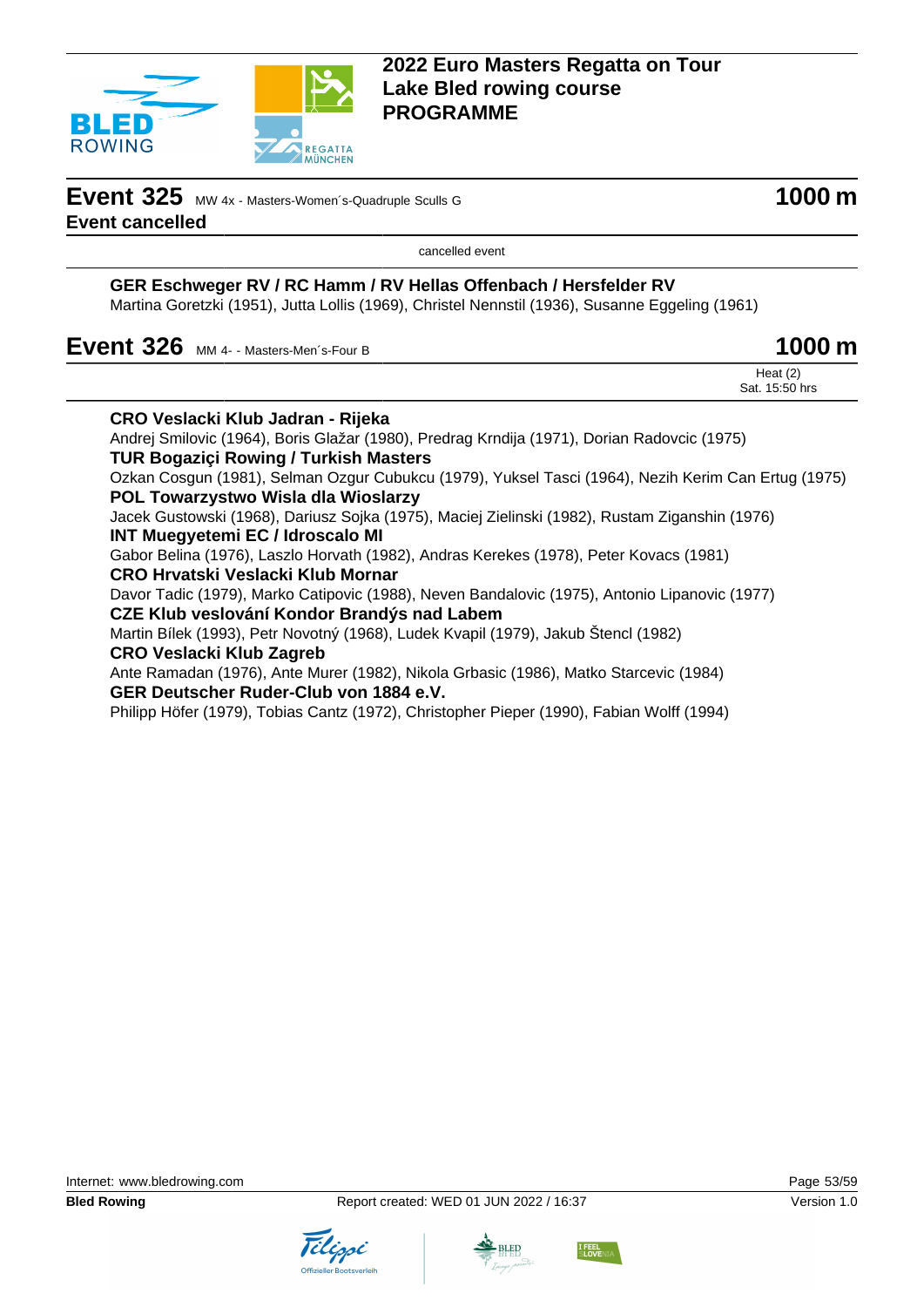

**Event 325** MW 4x - Masters-Women's-Quadruple Sculls G **1000 m Event cancelled**

cancelled event

### **GER Eschweger RV / RC Hamm / RV Hellas Offenbach / Hersfelder RV**

Martina Goretzki (1951), Jutta Lollis (1969), Christel Nennstil (1936), Susanne Eggeling (1961)

**Event 326** MM 4- - Masters-Men's-Four B **1000 m** 

|  | Heat $(2)$<br>$\sim$ $\sim$ $\sim$<br>Sat. 1<br>⊺50 hrs |
|--|---------------------------------------------------------|
|  |                                                         |

| <b>CRO Veslacki Klub Jadran - Rijeka</b>                                                            |  |
|-----------------------------------------------------------------------------------------------------|--|
| Andrej Smilovic (1964), Boris Glažar (1980), Predrag Krndija (1971), Dorian Radovcic (1975)         |  |
| <b>TUR Bogaziçi Rowing / Turkish Masters</b>                                                        |  |
| Ozkan Cosgun (1981), Selman Ozgur Cubukcu (1979), Yuksel Tasci (1964), Nezih Kerim Can Ertug (1975) |  |
| <b>POL Towarzystwo Wisla dla Wioslarzy</b>                                                          |  |
| Jacek Gustowski (1968), Dariusz Sojka (1975), Maciej Zielinski (1982), Rustam Ziganshin (1976)      |  |
| <b>INT Muegyetemi EC / Idroscalo MI</b>                                                             |  |
| Gabor Belina (1976), Laszlo Horvath (1982), Andras Kerekes (1978), Peter Kovacs (1981)              |  |
| CRO Hrvatski Veslacki Klub Mornar                                                                   |  |
| Davor Tadic (1979), Marko Catipovic (1988), Neven Bandalovic (1975), Antonio Lipanovic (1977)       |  |
| CZE Klub veslování Kondor Brandýs nad Labem                                                         |  |
| Martin Bílek (1993), Petr Novotný (1968), Ludek Kvapil (1979), Jakub Štencl (1982)                  |  |
| <b>CRO Veslacki Klub Zagreb</b>                                                                     |  |
| Ante Ramadan (1976), Ante Murer (1982), Nikola Grbasic (1986), Matko Starcevic (1984)               |  |
| GER Deutscher Ruder-Club von 1884 e.V.                                                              |  |
| Philipp Höfer (1979), Tobias Cantz (1972), Christopher Pieper (1990), Fabian Wolff (1994)           |  |
|                                                                                                     |  |





**LFEE**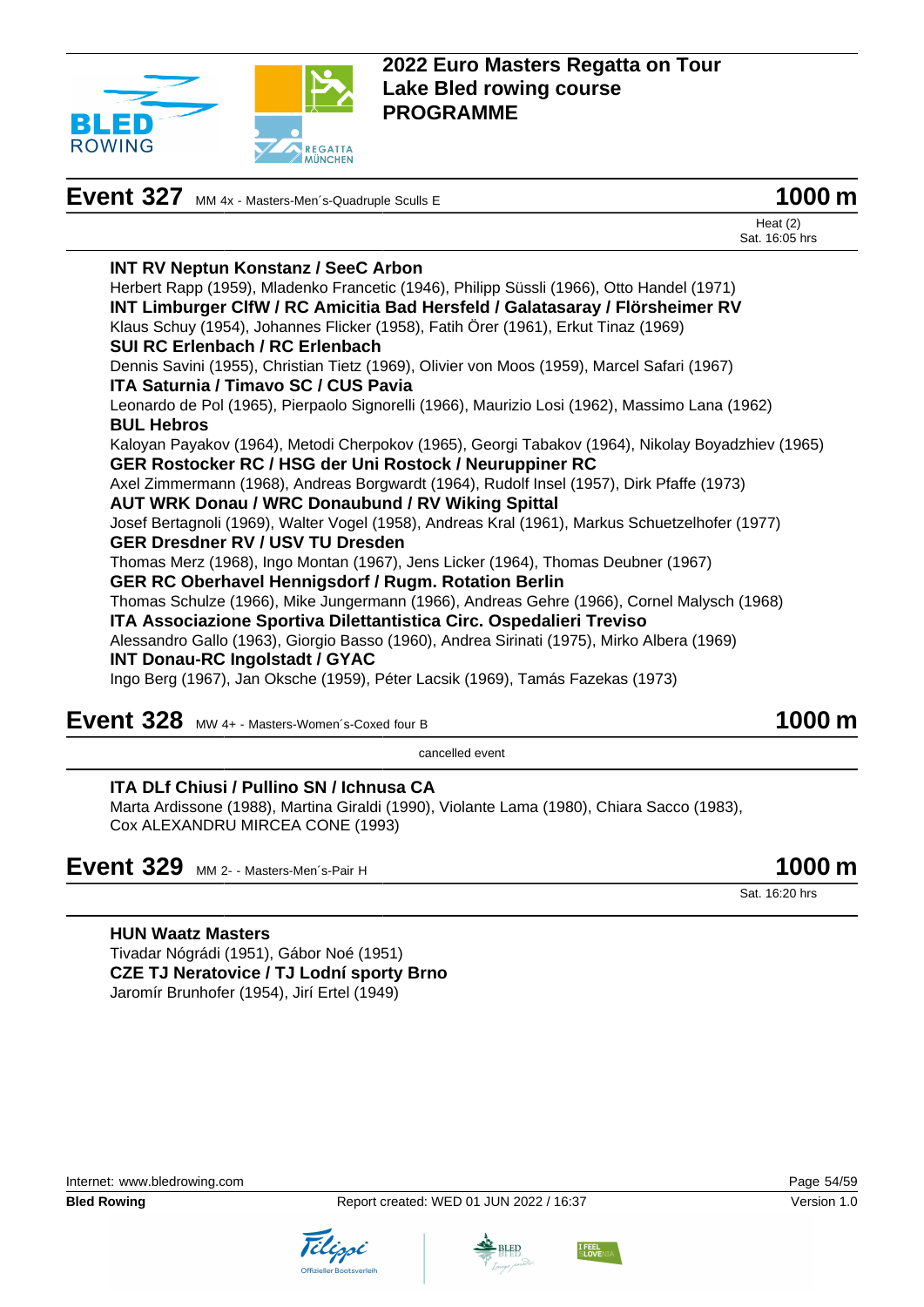

|                                                                                                   | Heat $(2)$<br>Sat. 16:05 hrs |
|---------------------------------------------------------------------------------------------------|------------------------------|
| <b>INT RV Neptun Konstanz / SeeC Arbon</b>                                                        |                              |
| Herbert Rapp (1959), Mladenko Francetic (1946), Philipp Süssli (1966), Otto Handel (1971)         |                              |
| INT Limburger CIfW / RC Amicitia Bad Hersfeld / Galatasaray / Flörsheimer RV                      |                              |
| Klaus Schuy (1954), Johannes Flicker (1958), Fatih Örer (1961), Erkut Tinaz (1969)                |                              |
| SUI RC Erlenbach / RC Erlenbach                                                                   |                              |
| Dennis Savini (1955), Christian Tietz (1969), Olivier von Moos (1959), Marcel Safari (1967)       |                              |
| <b>ITA Saturnia / Timavo SC / CUS Pavia</b>                                                       |                              |
| Leonardo de Pol (1965), Pierpaolo Signorelli (1966), Maurizio Losi (1962), Massimo Lana (1962)    |                              |
| <b>BUL Hebros</b>                                                                                 |                              |
| Kaloyan Payakov (1964), Metodi Cherpokov (1965), Georgi Tabakov (1964), Nikolay Boyadzhiev (1965) |                              |
| GER Rostocker RC / HSG der Uni Rostock / Neuruppiner RC                                           |                              |
| Axel Zimmermann (1968), Andreas Borgwardt (1964), Rudolf Insel (1957), Dirk Pfaffe (1973)         |                              |
| <b>AUT WRK Donau / WRC Donaubund / RV Wiking Spittal</b>                                          |                              |
| Josef Bertagnoli (1969), Walter Vogel (1958), Andreas Kral (1961), Markus Schuetzelhofer (1977)   |                              |
| <b>GER Dresdner RV / USV TU Dresden</b>                                                           |                              |
| Thomas Merz (1968), Ingo Montan (1967), Jens Licker (1964), Thomas Deubner (1967)                 |                              |
| <b>GER RC Oberhavel Hennigsdorf / Rugm. Rotation Berlin</b>                                       |                              |
| Thomas Schulze (1966), Mike Jungermann (1966), Andreas Gehre (1966), Cornel Malysch (1968)        |                              |
| ITA Associazione Sportiva Dilettantistica Circ. Ospedalieri Treviso                               |                              |
| Alessandro Gallo (1963), Giorgio Basso (1960), Andrea Sirinati (1975), Mirko Albera (1969)        |                              |
| <b>INT Donau-RC Ingolstadt / GYAC</b>                                                             |                              |
| Ingo Berg (1967), Jan Oksche (1959), Péter Lacsik (1969), Tamás Fazekas (1973)                    |                              |
|                                                                                                   |                              |

**Event 327** MM 4x - Masters-Men<sup>-</sup>s-Quadruple Sculls E **1000 m** 

# **Event 328** MW 4+ - Masters-Women's-Coxed four B **1000 m**

cancelled event

#### **ITA DLf Chiusi / Pullino SN / Ichnusa CA**

Marta Ardissone (1988), Martina Giraldi (1990), Violante Lama (1980), Chiara Sacco (1983), Cox ALEXANDRU MIRCEA CONE (1993)

# **Event 329** MM 2- - Masters-Men´s-Pair H **1000 m**

Sat. 16:20 hrs

#### **HUN Waatz Masters**

Tivadar Nógrádi (1951), Gábor Noé (1951) **CZE TJ Neratovice / TJ Lodní sporty Brno** Jaromír Brunhofer (1954), Jirí Ertel (1949)





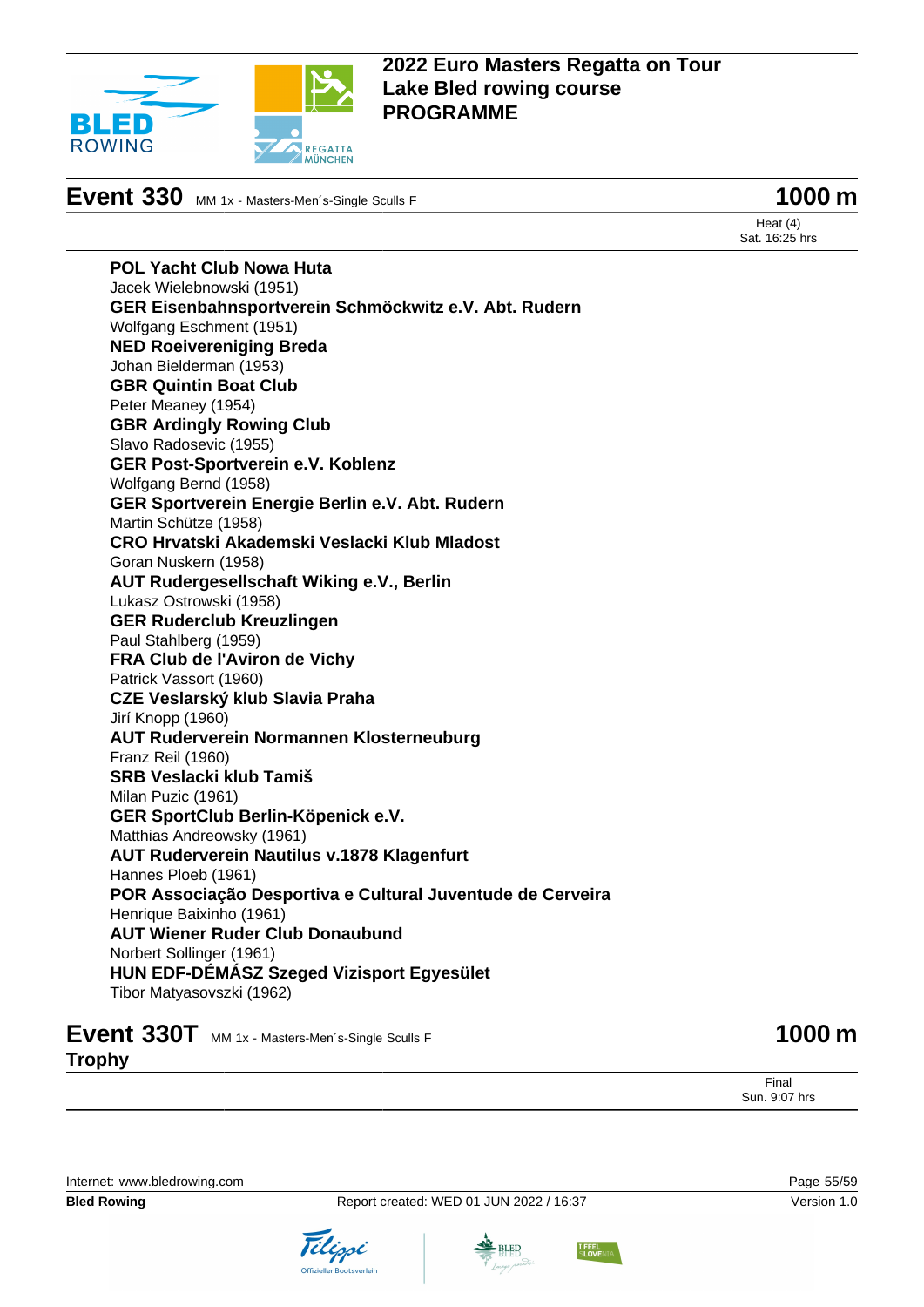

**Event 330** MM 1x - Masters-Men´s-Single Sculls F **1000 m** 

Heat (4) Sat. 16:25 hrs

**POL Yacht Club Nowa Huta** Jacek Wielebnowski (1951) **GER Eisenbahnsportverein Schmöckwitz e.V. Abt. Rudern** Wolfgang Eschment (1951) **NED Roeivereniging Breda** Johan Bielderman (1953) **GBR Quintin Boat Club** Peter Meaney (1954) **GBR Ardingly Rowing Club** Slavo Radosevic (1955) **GER Post-Sportverein e.V. Koblenz** Wolfgang Bernd (1958) **GER Sportverein Energie Berlin e.V. Abt. Rudern** Martin Schütze (1958) **CRO Hrvatski Akademski Veslacki Klub Mladost** Goran Nuskern (1958) **AUT Rudergesellschaft Wiking e.V., Berlin** Lukasz Ostrowski (1958) **GER Ruderclub Kreuzlingen** Paul Stahlberg (1959) **FRA Club de l'Aviron de Vichy** Patrick Vassort (1960) **CZE Veslarský klub Slavia Praha** Jirí Knopp (1960) **AUT Ruderverein Normannen Klosterneuburg** Franz Reil (1960) **SRB Veslacki klub Tamiš** Milan Puzic (1961) **GER SportClub Berlin-Köpenick e.V.** Matthias Andreowsky (1961) **AUT Ruderverein Nautilus v.1878 Klagenfurt** Hannes Ploeb (1961) **POR Associação Desportiva e Cultural Juventude de Cerveira** Henrique Baixinho (1961) **AUT Wiener Ruder Club Donaubund** Norbert Sollinger (1961) **HUN EDF-DÉMÁSZ Szeged Vizisport Egyesület** Tibor Matyasovszki (1962)

**Event 330T** MM 1x - Masters-Men's-Single Sculls F **1000 m Trophy**

Final Sun. 9:07 hrs

Internet: [www.bledrowing.com](http://www.bledrowing.com) Page 55/59







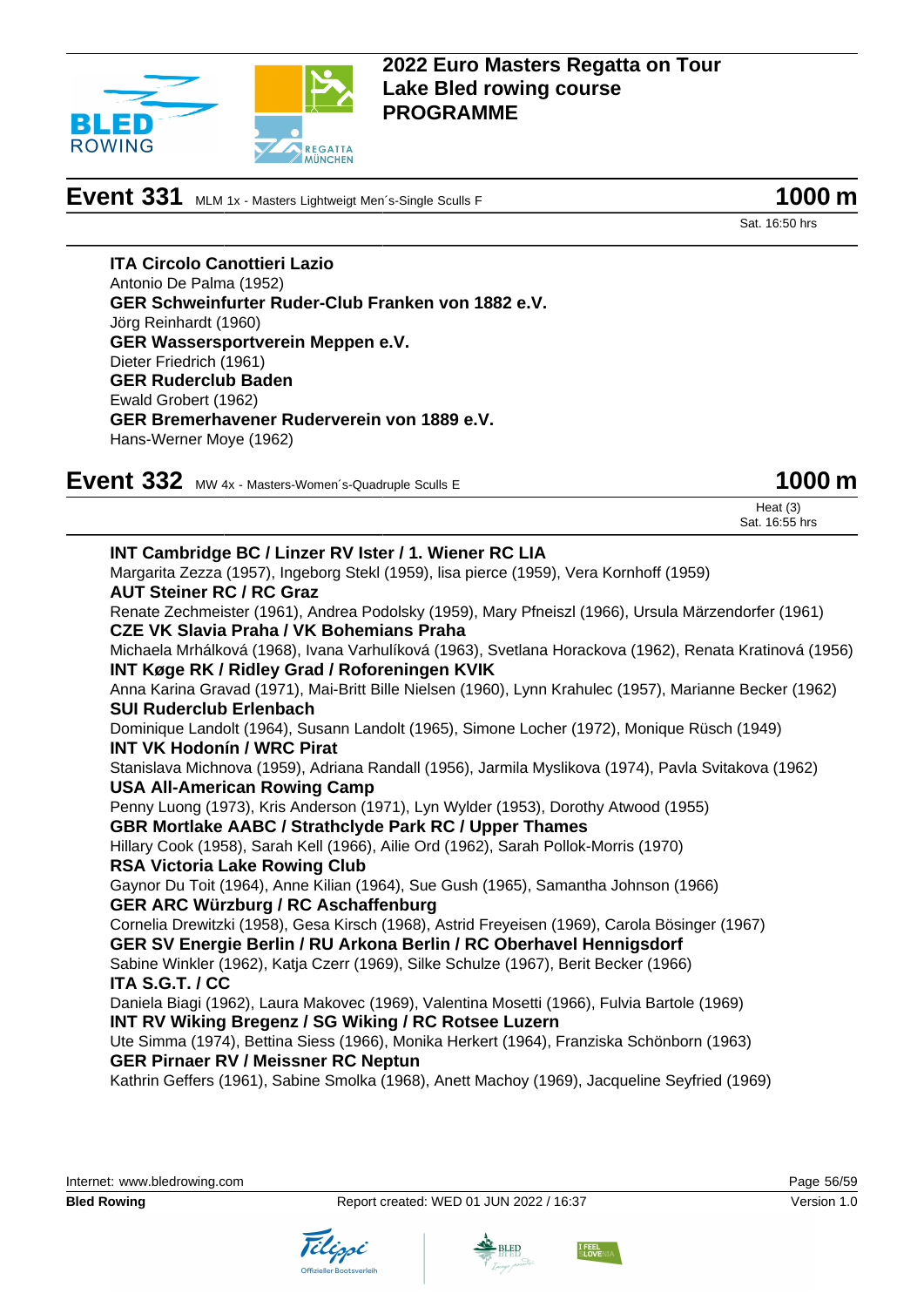

**Event 331** MLM 1x - Masters Lightweigt Men´s-Single Sculls F **1000 m** 



Sat. 16:50 hrs

**ITA Circolo Canottieri Lazio** Antonio De Palma (1952) **GER Schweinfurter Ruder-Club Franken von 1882 e.V.** Jörg Reinhardt (1960) **GER Wassersportverein Meppen e.V.** Dieter Friedrich (1961) **GER Ruderclub Baden** Ewald Grobert (1962) **GER Bremerhavener Ruderverein von 1889 e.V.** Hans-Werner Moye (1962)

**Event 332** MW 4x - Masters-Women's-Quadruple Sculls E **1000 m** 

Heat (3) Sat. 16:55 hrs

**INT Cambridge BC / Linzer RV Ister / 1. Wiener RC LIA** Margarita Zezza (1957), Ingeborg Stekl (1959), lisa pierce (1959), Vera Kornhoff (1959) **AUT Steiner RC / RC Graz** Renate Zechmeister (1961), Andrea Podolsky (1959), Mary Pfneiszl (1966), Ursula Märzendorfer (1961) **CZE VK Slavia Praha / VK Bohemians Praha** Michaela Mrhálková (1968), Ivana Varhulíková (1963), Svetlana Horackova (1962), Renata Kratinová (1956) **INT Køge RK / Ridley Grad / Roforeningen KVIK** Anna Karina Gravad (1971), Mai-Britt Bille Nielsen (1960), Lynn Krahulec (1957), Marianne Becker (1962) **SUI Ruderclub Erlenbach** Dominique Landolt (1964), Susann Landolt (1965), Simone Locher (1972), Monique Rüsch (1949) **INT VK Hodonín / WRC Pirat** Stanislava Michnova (1959), Adriana Randall (1956), Jarmila Myslikova (1974), Pavla Svitakova (1962) **USA All-American Rowing Camp** Penny Luong (1973), Kris Anderson (1971), Lyn Wylder (1953), Dorothy Atwood (1955) **GBR Mortlake AABC / Strathclyde Park RC / Upper Thames** Hillary Cook (1958), Sarah Kell (1966), Ailie Ord (1962), Sarah Pollok-Morris (1970) **RSA Victoria Lake Rowing Club** Gaynor Du Toit (1964), Anne Kilian (1964), Sue Gush (1965), Samantha Johnson (1966) **GER ARC Würzburg / RC Aschaffenburg** Cornelia Drewitzki (1958), Gesa Kirsch (1968), Astrid Freyeisen (1969), Carola Bösinger (1967) **GER SV Energie Berlin / RU Arkona Berlin / RC Oberhavel Hennigsdorf** Sabine Winkler (1962), Katja Czerr (1969), Silke Schulze (1967), Berit Becker (1966) **ITA S.G.T. / CC** Daniela Biagi (1962), Laura Makovec (1969), Valentina Mosetti (1966), Fulvia Bartole (1969) **INT RV Wiking Bregenz / SG Wiking / RC Rotsee Luzern** Ute Simma (1974), Bettina Siess (1966), Monika Herkert (1964), Franziska Schönborn (1963) **GER Pirnaer RV / Meissner RC Neptun** Kathrin Geffers (1961), Sabine Smolka (1968), Anett Machoy (1969), Jacqueline Seyfried (1969)



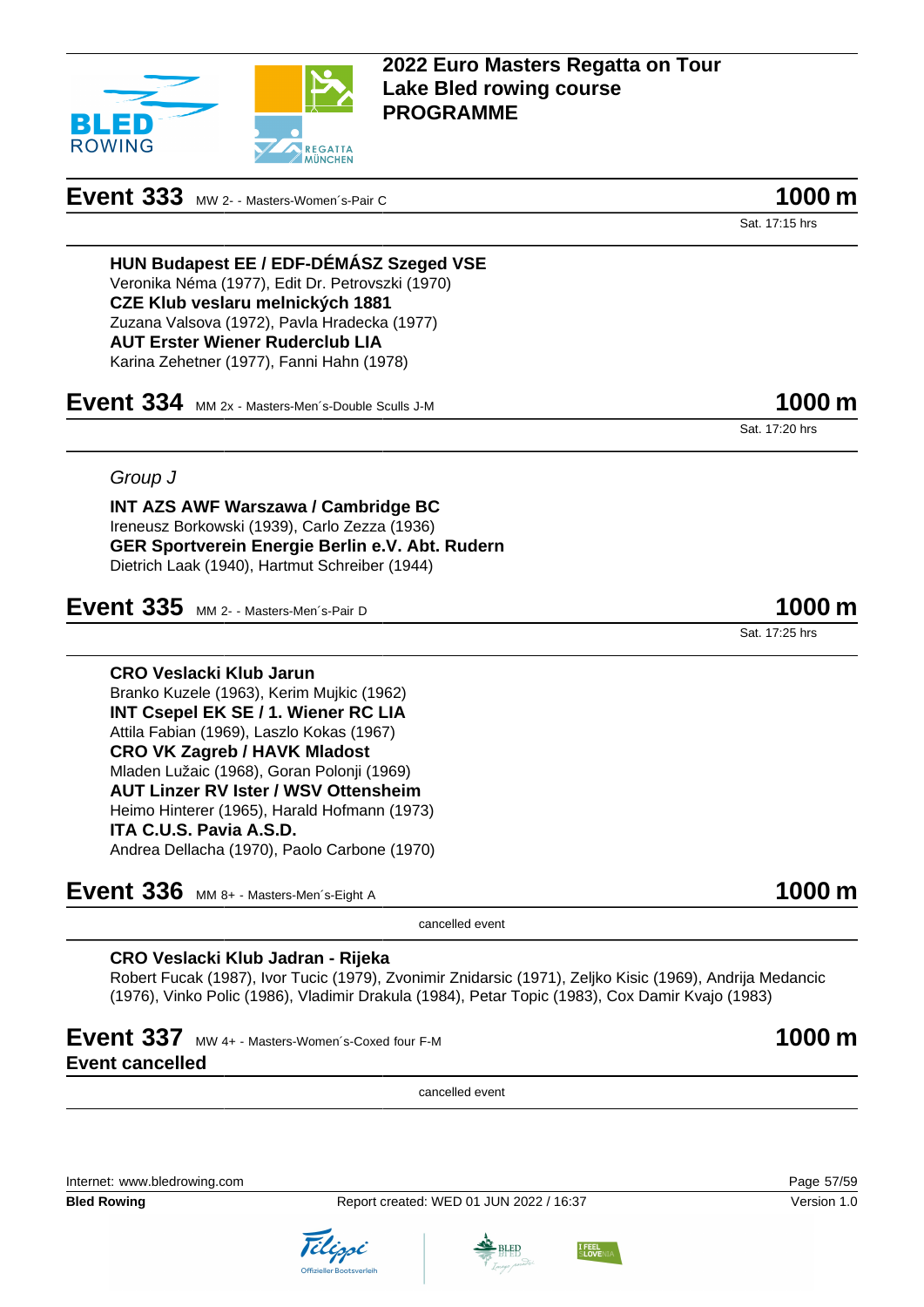

## **Event 333** MW 2- - Masters-Women's-Pair C **1000 m**

Sat. 17:15 hrs

**HUN Budapest EE / EDF-DÉMÁSZ Szeged VSE** Veronika Néma (1977), Edit Dr. Petrovszki (1970) **CZE Klub veslaru melnických 1881** Zuzana Valsova (1972), Pavla Hradecka (1977) **AUT Erster Wiener Ruderclub LIA** Karina Zehetner (1977), Fanni Hahn (1978)

**Event 334** MM 2x - Masters-Men´s-Double Sculls J-M **1000 m** 

Sat. 17:20 hrs

Sat. 17:25 hrs

### Group J

**INT AZS AWF Warszawa / Cambridge BC** Ireneusz Borkowski (1939), Carlo Zezza (1936) **GER Sportverein Energie Berlin e.V. Abt. Rudern** Dietrich Laak (1940), Hartmut Schreiber (1944)

## **Event 335** MM 2- - Masters-Men´s-Pair D **1000 m**

**CRO Veslacki Klub Jarun** Branko Kuzele (1963), Kerim Mujkic (1962) **INT Csepel EK SE / 1. Wiener RC LIA** Attila Fabian (1969), Laszlo Kokas (1967) **CRO VK Zagreb / HAVK Mladost** Mladen Lužaic (1968), Goran Polonji (1969) **AUT Linzer RV Ister / WSV Ottensheim** Heimo Hinterer (1965), Harald Hofmann (1973) **ITA C.U.S. Pavia A.S.D.** Andrea Dellacha (1970), Paolo Carbone (1970)

**Event 336** MM 8+ - Masters-Men´s-Eight A **1000 m** 

cancelled event

### **CRO Veslacki Klub Jadran - Rijeka**

Robert Fucak (1987), Ivor Tucic (1979), Zvonimir Znidarsic (1971), Zeljko Kisic (1969), Andrija Medancic (1976), Vinko Polic (1986), Vladimir Drakula (1984), Petar Topic (1983), Cox Damir Kvajo (1983)

## **Event 337** MW 4+ - Masters-Women's-Coxed four F-M **1000 m Event cancelled**

cancelled event

Internet: [www.bledrowing.com](http://www.bledrowing.com) Page 57/59

**Bled Rowing The Report created: WED 01 JUN 2022 / 16:37 Version 1.0** Version 1.0





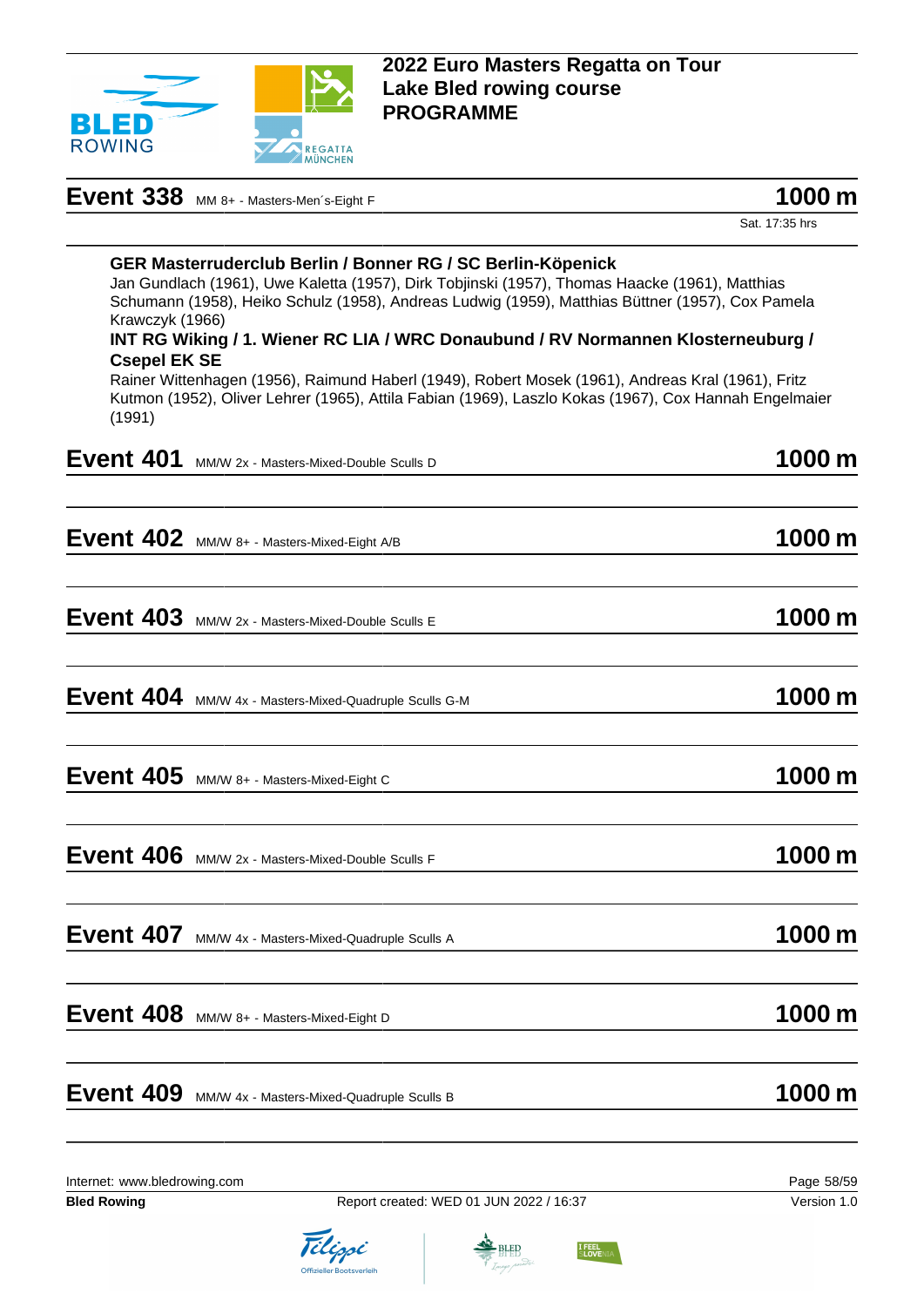

| Event 338 MM 8+ - Masters-Men's-Eight F | 1000 m |
|-----------------------------------------|--------|
|-----------------------------------------|--------|

| 1000 m |  |
|--------|--|
|--------|--|

Sat. 17:35 hrs

| (1991)                       | Krawczyk (1966)<br><b>Csepel EK SE</b> | GER Masterruderclub Berlin / Bonner RG / SC Berlin-Köpenick<br>Jan Gundlach (1961), Uwe Kaletta (1957), Dirk Tobjinski (1957), Thomas Haacke (1961), Matthias<br>Schumann (1958), Heiko Schulz (1958), Andreas Ludwig (1959), Matthias Büttner (1957), Cox Pamela<br>INT RG Wiking / 1. Wiener RC LIA / WRC Donaubund / RV Normannen Klosterneuburg /<br>Rainer Wittenhagen (1956), Raimund Haberl (1949), Robert Mosek (1961), Andreas Kral (1961), Fritz<br>Kutmon (1952), Oliver Lehrer (1965), Attila Fabian (1969), Laszlo Kokas (1967), Cox Hannah Engelmaier |                     |
|------------------------------|----------------------------------------|---------------------------------------------------------------------------------------------------------------------------------------------------------------------------------------------------------------------------------------------------------------------------------------------------------------------------------------------------------------------------------------------------------------------------------------------------------------------------------------------------------------------------------------------------------------------|---------------------|
| Event 401                    |                                        | MM/W 2x - Masters-Mixed-Double Sculls D                                                                                                                                                                                                                                                                                                                                                                                                                                                                                                                             | 1000 m              |
|                              |                                        | Event 402 MM/W 8+ - Masters-Mixed-Eight A/B                                                                                                                                                                                                                                                                                                                                                                                                                                                                                                                         | $1000 \,\mathrm{m}$ |
| Event 403                    |                                        | MM/W 2x - Masters-Mixed-Double Sculls E                                                                                                                                                                                                                                                                                                                                                                                                                                                                                                                             | 1000 m              |
|                              |                                        | Event 404 MM/W 4x - Masters-Mixed-Quadruple Sculls G-M                                                                                                                                                                                                                                                                                                                                                                                                                                                                                                              | 1000 m              |
|                              |                                        | Event 405 MM/W 8+ - Masters-Mixed-Eight C                                                                                                                                                                                                                                                                                                                                                                                                                                                                                                                           | 1000 m              |
| Event 406                    |                                        | MM/W 2x - Masters-Mixed-Double Sculls F                                                                                                                                                                                                                                                                                                                                                                                                                                                                                                                             | 1000 m              |
| Event 407                    |                                        | MM/W 4x - Masters-Mixed-Quadruple Sculls A                                                                                                                                                                                                                                                                                                                                                                                                                                                                                                                          | 1000 m              |
| Event 408                    |                                        | MM/W 8+ - Masters-Mixed-Eight D                                                                                                                                                                                                                                                                                                                                                                                                                                                                                                                                     | 1000 m              |
| Event 409                    |                                        | MM/W 4x - Masters-Mixed-Quadruple Sculls B                                                                                                                                                                                                                                                                                                                                                                                                                                                                                                                          | 1000 m              |
| Internet: www.bledrowing.com |                                        |                                                                                                                                                                                                                                                                                                                                                                                                                                                                                                                                                                     | Page 58/59          |





I FEEL